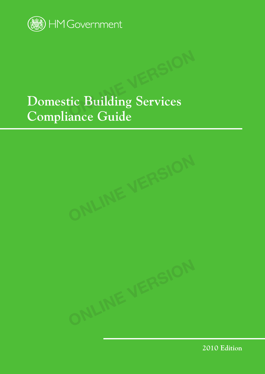

# **Domestic Building Services Compliance Guide EXAMPLE PROPERTY**<br> **CONCORRENATION**



**2010 Edition**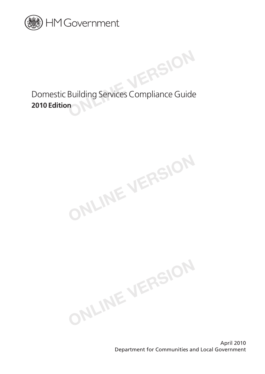

Domestic Building Services Compliance Guide **2010 Edition**<br> **2010 Edition** 

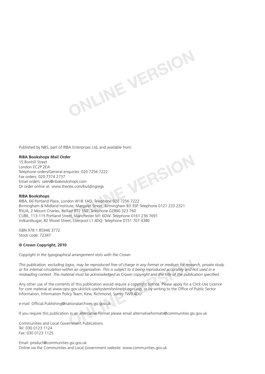Published by NBS, part of RIBA Enterprises Ltd, and available from: **ONLINE VERSION**

#### **RIBA Bookshops Mail Order**

15 Bonhill Street London EC2P 2EA Telephone orders/General enquiries: 020 7256 7222 Fax orders: 020 7374 2737 Email orders: sales@ribabookshops.com Or order online at: www.thenbs.com/buildingregs

#### **RIBA Bookshops**

RIBA, 66 Portland Place, London W1B 1AD. Telephone 020 7256 7222 Birmingham & Midland Institute, Margaret Street, Birmingham B3 3SP. Telephone 0121 233 2321 RSUA, 2 Mount Charles, Belfast BT7 1NZ. Telephone 02890 323 760 CUBE, 113-115 Portland Street, Manchester M1 6DW. Telephone 0161 236 7691 milkandsugar, 82 Wood Street, Liverpool L1 4DQ. Telephone 0151 707 4380

ISBN 978 1 85946 3772 Stock code: 72347

#### **© Crown Copyright, 2010**

*Copyright in the typographical arrangement rests with the Crown*

*This publication, excluding logos, may be reproduced free of charge in any format or medium for research, private study or for internal circulation within an organisation. This is subject to it being reproduced accurately and not used in a misleading context. The material must be acknowledged as Crown copyright and the title of the publication specified.* **ONCOCYCY ASSEM THE SET ASSEM SERVE THE SET AND A DETERMIND THE SET AND A DETERMIN AN Organisation. This is subject to it being reproduced accurately and nerial must be acknowledged as Crown copyright and the title of the** 

**ONLINE VERSION**

Any other use of the contents of this publication would require a copyright licence. Please apply for a Click-Use Licence for core material at www.opsi.gov.uk/click-use/system/online/pLogin.asp, or by writing to the Office of Public Sector Information, Information Policy Team, Kew, Richmond, Surrey TW9 4DU

e-mail: Official.Publishing@nationalarchives.gsi.gov.uk

If you require this publication in an alternative format please email alternativeformats@communities.gsi.gov.uk

Communities and Local Government Publications Tel: 030 0123 1124 Fax: 030 0123 1125

Email: product@communities.gsi.gov.uk Online via the Communities and Local Government website: www.communities.gov.uk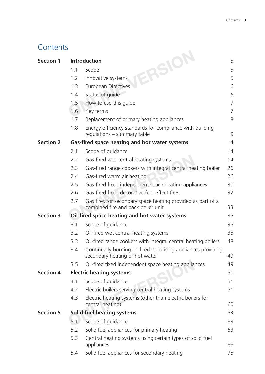### **Contents**

| <b>Section 1</b> |     | ERSION<br><b>Introduction</b>                                                                     | 5              |
|------------------|-----|---------------------------------------------------------------------------------------------------|----------------|
|                  | 1.1 | Scope                                                                                             | 5              |
|                  | 1.2 | Innovative systems                                                                                | 5              |
|                  | 1.3 | <b>European Directives</b>                                                                        | 6              |
|                  | 1.4 | Status of guide                                                                                   | 6              |
|                  | 1.5 | How to use this guide                                                                             | $\overline{7}$ |
|                  | 1.6 | Key terms                                                                                         | $\overline{7}$ |
|                  | 1.7 | Replacement of primary heating appliances                                                         | 8              |
|                  | 1.8 | Energy efficiency standards for compliance with building<br>regulations – summary table           | 9              |
| <b>Section 2</b> |     | Gas-fired space heating and hot water systems                                                     | 14             |
|                  | 2.1 | Scope of guidance                                                                                 | 14             |
|                  | 2.2 | Gas-fired wet central heating systems                                                             | 14             |
|                  | 2.3 | Gas-fired range cookers with integral central heating boiler                                      | 26             |
|                  | 2.4 | Gas-fired warm air heating                                                                        | 26             |
|                  | 2.5 | Gas-fired fixed independent space heating appliances                                              | 30             |
|                  | 2.6 | Gas-fired fixed decorative fuel-effect fires                                                      | 32             |
|                  | 2.7 | Gas fires for secondary space heating provided as part of a<br>combined fire and back boiler unit | 33             |
| <b>Section 3</b> |     | Oil-fired space heating and hot water systems                                                     | 35             |
|                  | 3.1 | Scope of guidance                                                                                 | 35             |
|                  | 3.2 | Oil-fired wet central heating systems                                                             | 35             |
|                  | 3.3 | Oil-fired range cookers with integral central heating boilers                                     | 48             |
|                  | 3.4 | Continually-burning oil-fired vaporising appliances providing<br>secondary heating or hot water   | 49             |
|                  | 3.5 | Oil-fired fixed independent space heating appliances                                              | 49             |
| <b>Section 4</b> |     | <b>Electric heating systems</b>                                                                   | 51             |
|                  | 4.1 | Scope of guidance                                                                                 | 51             |
|                  | 4.2 | Electric boilers serving central heating systems                                                  | 51             |
|                  | 4.3 | Electric heating systems (other than electric boilers for<br>central heating)                     | 60             |
| <b>Section 5</b> |     | <b>Solid fuel heating systems</b>                                                                 | 63             |
|                  | 5.1 | Scope of guidance                                                                                 | 63             |
|                  | 5.2 | Solid fuel appliances for primary heating                                                         | 63             |
|                  | 5.3 | Central heating systems using certain types of solid fuel                                         |                |
|                  |     | appliances                                                                                        | 66             |
|                  | 5.4 | Solid fuel appliances for secondary heating                                                       | 75             |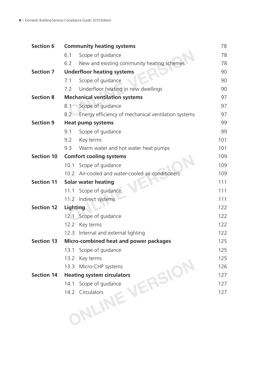| <b>Section 6</b>  |          | <b>Community heating systems</b>                    | 78  |
|-------------------|----------|-----------------------------------------------------|-----|
|                   | 6.1      | Scope of guidance                                   | 78  |
|                   | 6.2      | New and existing community heating schemes          | 78  |
| <b>Section 7</b>  |          | <b>Underfloor heating systems</b>                   | 90  |
|                   | 7.1      | Scope of guidance                                   | 90  |
|                   | 7.2      | Underfloor heating in new dwellings                 | 90  |
| <b>Section 8</b>  |          | <b>Mechanical ventilation systems</b>               | 97  |
|                   | 8.1      | Scope of guidance                                   | 97  |
|                   | 8.2      | Energy efficiency of mechanical ventilation systems | 97  |
| <b>Section 9</b>  |          | <b>Heat pump systems</b>                            | 99  |
|                   | 9.1      | Scope of guidance                                   | 99  |
|                   | 9.2      | Key terms                                           | 101 |
|                   | 9.3      | Warm water and hot water heat pumps                 | 101 |
| <b>Section 10</b> |          | <b>Comfort cooling systems</b>                      | 109 |
|                   | 10.1     | Scope of guidance                                   | 109 |
|                   | 10.2     | Air-cooled and water-cooled air conditioners        | 109 |
| <b>Section 11</b> |          | <b>Solar water heating</b>                          | 111 |
|                   | 11.1     | Scope of guidance                                   | 111 |
|                   |          | 11.2 Indirect systems                               | 111 |
| <b>Section 12</b> | Lighting |                                                     | 122 |
|                   |          | 12.1 Scope of guidance                              | 122 |
|                   | 12.2     | Key terms                                           | 122 |
|                   | 12.3     | Internal and external lighting                      | 122 |
| <b>Section 13</b> |          | Micro-combined heat and power packages              | 125 |
|                   | 13.1     | Scope of guidance                                   | 125 |
|                   | 13.2     | Key terms                                           | 125 |
|                   |          | 13.3 Micro-CHP systems                              | 126 |
| <b>Section 14</b> |          | <b>Heating system circulators</b>                   | 127 |
|                   | 14.1     |                                                     | 127 |
|                   | 14.2     |                                                     | 127 |
|                   |          |                                                     |     |
|                   |          | JNLINE VERSION                                      |     |
|                   |          |                                                     |     |
|                   |          |                                                     |     |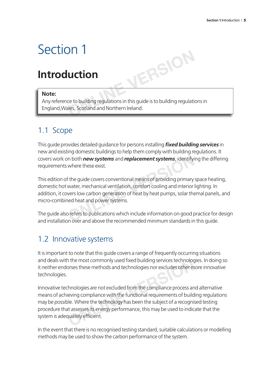### Section 1

### **Introduction**

#### **Note:**

Any reference to building regulations in this guide is to building regulations in England,Wales, Scotland and Northern Ireland.

**ONLINE VERSION**

### 1.1 Scope

This guide provides detailed guidance for persons installing *fi xed building services* in new and existing domestic buildings to help them comply with building regulations. It covers work on both *new systems* and *replacement systems*, identifying the differing requirements where these exist.

This edition of the guide covers conventional means of providing primary space heating, domestic hot water, mechanical ventilation, comfort cooling and interior lighting. In addition, it covers low carbon generation of heat by heat pumps, solar themal panels, and micro-combined heat and power systems. In both **new systems** and **replacement systems**, identifying where these exist.<br>
Fithe guide covers conventional means of providing primary<br>
water, mechanical ventilation, comfort cooling and interior<br>
vers low carbon gene

The guide also refers to publications which include information on good practice for design and installation over and above the recommended minimum standards in this guide.

### 1.2 Innovative systems

It is important to note that this guide covers a range of frequently occurring situations and deals with the most commonly used fixed building services technologies. In doing so it neither endorses these methods and technologies nor excludes other more innovative technologies.

Innovative technologies are not excluded from the compliance process and alternative means of achieving compliance with the functional requirements of building regulations may be possible. Where the technology has been the subject of a recognised testing procedure that assesses its energy performance, this may be used to indicate that the system is adequately efficient. In the most commonly used fixed building services technolog<br>prses these methods and technologies nor excludes other m<br>chnologies are not excluded from the compliance process an<br>leving compliance with the functional require

In the event that there is no recognised testing standard, suitable calculations or modelling methods may be used to show the carbon performance of the system.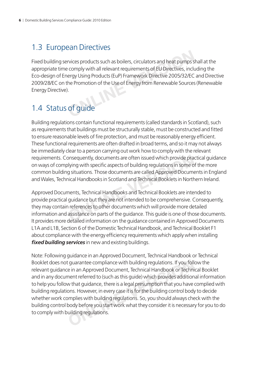### 1.3 European Directives

Fixed building services products such as boilers, circulators and heat pumps shall at the appropriate time comply with all relevant requirements of EU Directives, including the Eco-design of Energy Using Products (EuP) Framework Directive 2005/32/EC and Directive 2009/28/EC on the Promotion of the Use of Energy from Renewable Sources (Renewable Energy Directive). Frances products such as boilers, circulators and heat pumps so comply with all relevant requirements of EU Directives, includergy Using Products (EuP) Framework Directive 2005/32/EC he Promotion of the Use of Energy from

### 1.4 Status of guide

Building regulations contain functional requirements (called standards in Scotland), such as requirements that buildings must be structurally stable, must be constructed and fitted to ensure reasonable levels of fire protection, and must be reasonably energy efficient. These functional requirements are often drafted in broad terms, and so it may not always be immediately clear to a person carrying out work how to comply with the relevant requirements. Consequently, documents are often issued which provide practical guidance on ways of complying with specific aspects of building regulations in some of the more common building situations. Those documents are called Approved Documents in England and Wales, Technical Handbooks in Scotland and Technical Booklets in Northern Ireland.

Approved Documents, Technical Handbooks and Technical Booklets are intended to provide practical guidance but they are not intended to be comprehensive. Consequently, they may contain references to other documents which will provide more detailed information and assistance on parts of the guidance. This guide is one of those documents. It provides more detailed information on the guidance contained in Approved Documents L1A and L1B, Section 6 of the Domestic Technical Handbook, and Technical Booklet F1 about compliance with the energy efficiency requirements which apply when installing **fixed building services** in new and existing buildings. Discription on the quidance contained in Approve<br>desistance of the provide practice aspects of building regulations in some of<br>g situations. Those documents are called Approved Docume<br>ical Handbooks in Scotland and Technic

Note: Following guidance in an Approved Document, Technical Handbook or Technical Booklet does not guarantee compliance with building regulations. If you follow the relevant guidance in an Approved Document, Technical Handbook or Technical Booklet and in any document referred to (such as this guide) which provides additional information to help you follow that guidance, there is a legal presumption that you have complied with building regulations. However, in every case it is for the building control body to decide whether work complies with building regulations. So, you should always check with the building control body before you start work what they consider it is necessary for you to do to comply with building regulations. If guarantee compliance with building regulations. If you folle in an Approved Document, Technical Handbook or Technicant referred to (such as this guide) which provides addition w that guidance, there is a legal presumpti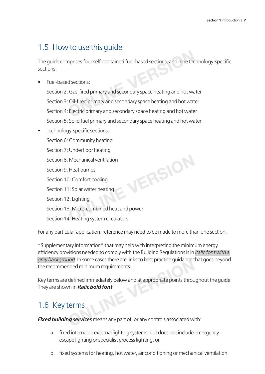### 1.5 How to use this guide

The guide comprises four self-contained fuel-based sections, and nine technology-specific sections:

• Fuel-based sections:

Section 2: Gas-fired primary and secondary space heating and hot water Section 3: Oil-fired primary and secondary space heating and hot water Section 4: Electric primary and secondary space heating and hot water Section 5: Solid fuel primary and secondary space heating and hot water mprises four self-contained fuel-based sections, and nine tec<br>d sections:<br>Cas-fired primary and secondary space heating and hot wate<br>Oil-fired primary and secondary space heating and hot wate<br>Electric primary and secondary

Technology-specific sections: Section 6: Community heating Section 7: Underfloor heating Section 8: Mechanical ventilation Section 9: Heat pumps Section 10: Comfort cooling Section 11: Solar water heating Section 12: Lighting Section 13: Micro-combined heat and power Section 14: Heating system circulators **ONLINE VERSION**

For any particular application, reference may need to be made to more than one section.

"Supplementary information" that may help with interpreting the minimum energy efficiency provisions needed to comply with the Building Regulations is in *italic font with a grey background*. In some cases there are links to best practice guidance that goes beyond the recommended minimum requirements.

Key terms are defined immediately below and at appropriate points throughout the quide. They are shown in *italic bold font*. Fig. in some cases there are links to best practice guidance to<br>nded minimum requirements.<br>defined immediately below and at appropriate points throu<br>on in *italic bold font*.<br>**EEPITINE SERIES** the ans any part of , or an

### 1.6 Key terms

*Fixed building services* means any part of, or any controls associated with:

- a. fixed internal or external lighting systems, but does not include emergency escape lighting or specialist process lighting; or
- b. fixed systems for heating, hot water, air conditioning or mechanical ventilation.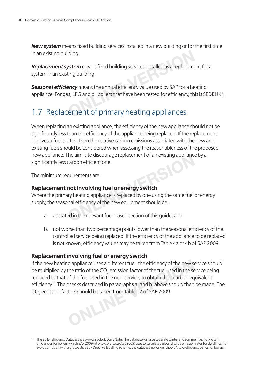**New system** means fixed building services installed in a new building or for the first time in an existing building.

**Replacement system** means fixed building services installed as a replacement for a system in an existing building.

**Seasonal efficiency** means the annual efficiency value used by SAP for a heating appliance. For gas, LPG and oil boilers that have been tested for efficiency, this is SEDBUK<sup>1</sup>. in an existing building.<br> **Replacement system** means fixed building services installed as a replaceme<br>
system in an existing building.<br> **Seasonal efficiency** means the annual efficiency value used by SAP for a he<br>
applianc

When replacing an existing appliance, the efficiency of the new appliance should not be significantly less than the efficiency of the appliance being replaced. If the replacement involves a fuel switch, then the relative carbon emissions associated with the new and existing fuels should be considered when assessing the reasonableness of the proposed new appliance. The aim is to discourage replacement of an existing appliance by a significantly less carbon efficient one.

The minimum requirements are:

#### **Replacement not involving fuel or energy switch**

Where the primary heating appliance is replaced by one using the same fuel or energy supply, the seasonal efficiency of the new equipment should be: The aim is to discourage replacement of an existing appliant<br>carbon efficient one.<br>quirements are:<br>**not involving fuel or energy switch**<br>try heating appliance is replaced by one using the same fuel<br>and efficiency of the ne

- a. as stated in the relevant fuel-based section of this guide; and
- b. not worse than two percentage points lower than the seasonal efficiency of the controlled service being replaced. If the efficiency of the appliance to be replaced is not known, efficiency values may be taken from Table 4a or 4b of SAP 2009.

#### **Replacement involving fuel or energy switch**

If the new heating appliance uses a different fuel, the efficiency of the new service should be multiplied by the ratio of the CO $_{\textrm{\tiny{2}}}$  emission factor of the fuel used in the service being replaced to that of the fuel used in the new service, to obtain the "carbon equivalent efficiency". The checks described in paragraphs a. and b. above should then be made. The  $\mathsf{CO}_2$  emission factors should be taken from Table 12 of SAP 2009. **ONLINE VERSION**

<sup>1</sup> The Boiler Efficiency Database is at www.sedbuk.com. Note: The database will give separate winter and summer (i.e. hot water) efficiencies for boilers, which SAP 2009 (at www.bre.co.uk/sap2009) uses to calculate carbon dioxide emission rates for dwellings. To avoid confusion with a prospective EuP Directive labelling scheme, the database no longer shows A to G efficiency bands for boilers.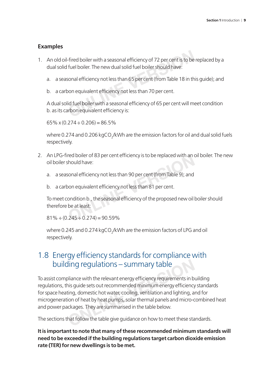#### **Examples**

- 1. An old oil-fired boiler with a seasonal efficiency of 72 per cent is to be replaced by a dual solid fuel boiler. The new dual solid fuel boiler should have: Fired boiler with a seasonal efficiency of 72 per cent is to be fuel boiler. The new dual solid fuel boiler should have:<br>sonal efficiency not less than 65 per cent (from Table 18 in th<br>bon equivalent efficiency not less th
	- a. a seasonal efficiency not less than 65 per cent (from Table 18 in this quide); and
	- b. a carbon equivalent efficiency not less than 70 per cent.

A dual solid fuel boiler with a seasonal efficiency of 65 per cent will meet condition b. as its carbon equivalent efficiency is:

65% x (0.274  $\div$  0.206) = 86.5%

where 0.274 and 0.206 kgCO<sub>2</sub>/kWh are the emission factors for oil and dual solid fuels respectively.

- 2. An LPG-fired boiler of 83 per cent efficiency is to be replaced with an oil boiler. The new oil boiler should have:
	- a. a seasonal efficiency not less than 90 per cent (from Table 9); and
	- b. a carbon equivalent efficiency not less than 81 per cent.

To meet condition b., the seasonal efficiency of the proposed new oil boiler should therefore be at least: red boller of 83 per cent efficiency is to be replaced with an original<br>
should have:<br>
sonal efficiency not less than 90 per cent (from Table 9); and<br>
bon equivalent efficiency not less than 81 per cent.<br>
ondition b., the

 $81\% \div (0.245 \div 0.274) = 90.59\%$ 

where 0.245 and 0.274 kgCO $_{\rm 2}$ /kWh are the emission factors of LPG and oil respectively.

#### 1.8 Energy efficiency standards for compliance with building regulations – summary table

To assist compliance with the relevant energy efficiency requirements in building regulations, this guide sets out recommended minimum energy efficiency standards for space heating, domestic hot water, cooling, ventilation and lighting, and for microgeneration of heat by heat pumps, solar thermal panels and micro-combined heat and power packages. They are summarised in the table below. Using regulations — summary table<br>Dilance with the relevant energy efficiency requirements in b<br>ais guide sets out recommended minimum energy efficiency<br>ting, domestic hot water, cooling, ventilation and lighting, a<br>ion of

The sections that follow the table give guidance on how to meet these standards.

**It is important to note that many of these recommended minimum standards will need to be exceeded if the building regulations target carbon dioxide emission rate (TER) for new dwellings is to be met.**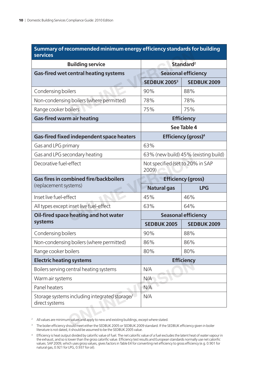#### **Summary of recommended minimum energy efficiency standards for building services**

| <b>services</b>                                                 |                                           |                                       |
|-----------------------------------------------------------------|-------------------------------------------|---------------------------------------|
| <b>Building service</b>                                         |                                           | Standard <sup>2</sup>                 |
| <b>Gas-fired wet central heating systems</b>                    |                                           | <b>Seasonal efficiency</b>            |
|                                                                 | <b>SEDBUK 20053</b>                       | <b>SEDBUK 2009</b>                    |
| Condensing boilers                                              | 90%                                       | 88%                                   |
| Non-condensing boilers (where permitted)                        | 78%                                       | 78%                                   |
| Range cooker boilers                                            | 75%                                       | 75%                                   |
| <b>Gas-fired warm air heating</b>                               |                                           | <b>Efficiency</b>                     |
|                                                                 |                                           | See Table 4                           |
| <b>Gas-fired fixed independent space heaters</b>                |                                           | <b>Efficiency (gross)<sup>4</sup></b> |
| Gas and LPG primary                                             | 63%                                       |                                       |
| Gas and LPG secondary heating                                   |                                           | 63% (new build) 45% (existing build)  |
| Decorative fuel-effect                                          | Not specified (set to 20% in SAP<br>2009) |                                       |
| <b>Gas fires in combined fire/backboilers</b>                   |                                           | <b>Efficiency (gross)</b>             |
| (replacement systems)                                           | <b>Natural gas</b>                        | <b>LPG</b>                            |
| Inset live fuel-effect                                          | 45%                                       | 46%                                   |
| All types except inset live fuel-effect                         | 63%                                       | 64%                                   |
| Oil-fired space heating and hot water                           |                                           | <b>Seasonal efficiency</b>            |
| systems                                                         | <b>SEDBUK 2005</b>                        | <b>SEDBUK 2009</b>                    |
| Condensing boilers                                              | 90%                                       | 88%                                   |
| Non-condensing boilers (where permitted)                        | 86%                                       | 86%                                   |
| Range cooker boilers                                            | 80%                                       | 80%                                   |
| <b>Electric heating systems</b>                                 |                                           | <b>Efficiency</b>                     |
| Boilers serving central heating systems                         | N/A                                       |                                       |
| Warm air systems                                                | N/A                                       |                                       |
| Panel heaters                                                   | N/A                                       |                                       |
| Storage systems including integrated storage/<br>direct systems | N/A                                       |                                       |

<sup>3</sup> The boiler efficiency should meet either the SEDBUK 2005 or SEDBUK 2009 standard. If the SEDBUK efficiency given in boiler literature is not dated, it should be assumed to be the SEDBUK 2005 value.

 $^4$  Efficiency is heat output divided by calorific value of fuel. The net calorific value of a fuel excludes the latent heat of water vapour in the exhaust, and so is lower than the gross calorific value. Efficiency test results and European standards normally use net calorific values. SAP 2009, which uses gross values, gives factors in Table E4 for converting net efficiency to gross efficiency (e.g. 0.901 for natural gas, 0.921 for LPG, 0.937 for oil).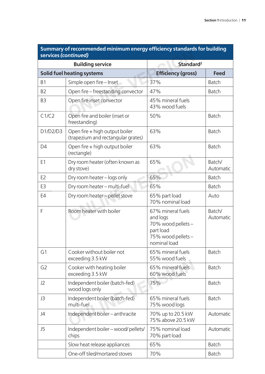| services (continued) |                                                                      |                                                                                                      |                     |
|----------------------|----------------------------------------------------------------------|------------------------------------------------------------------------------------------------------|---------------------|
|                      | <b>Building service</b>                                              | Standard <sup>2</sup>                                                                                |                     |
|                      | <b>Solid fuel heating systems</b>                                    | <b>Efficiency (gross)</b>                                                                            | <b>Feed</b>         |
| <b>B1</b>            | Simple open fire - Inset                                             | 37%                                                                                                  | <b>Batch</b>        |
| B <sub>2</sub>       | Open fire – freestanding convector                                   | 47%                                                                                                  | <b>Batch</b>        |
| B <sub>3</sub>       | Open fire inset convector                                            | 45% mineral fuels<br>43% wood fuels                                                                  |                     |
| C1/C2                | Open fire and boiler (inset or<br>freestanding)                      | 50%                                                                                                  | <b>Batch</b>        |
| D1/D2/D3             | Open fire + high output boiler<br>(trapezium and rectangular grates) | 63%                                                                                                  | <b>Batch</b>        |
| D <sub>4</sub>       | Open fire + high output boiler<br>(rectangle)                        | 63%                                                                                                  | <b>Batch</b>        |
| E <sub>1</sub>       | Dry room heater (often known as<br>dry stove)                        | 65%                                                                                                  | Batch/<br>Automatic |
| E <sub>2</sub>       | Dry room heater - logs only                                          | 65%                                                                                                  | <b>Batch</b>        |
| E3                   | Dry room heater - multi-fuel                                         | 65%                                                                                                  | <b>Batch</b>        |
| E4                   | Dry room heater - pellet stove                                       | 65% part load<br>70% nominal load                                                                    | Auto                |
| F                    | Room heater with boiler                                              | 67% mineral fuels<br>and logs<br>70% wood pellets-<br>part load<br>75% wood pellets-<br>nominal load | Batch/<br>Automatic |
| G1                   | Cooker without boiler not<br>exceeding 3.5 kW                        | 65% mineral fuels<br>55% wood fuels                                                                  | <b>Batch</b>        |
| G <sub>2</sub>       | Cooker with heating boiler<br>exceeding 3.5 kW                       | 65% mineral fuels<br>60% wood fuels                                                                  | <b>Batch</b>        |
| J2                   | Independent boiler (batch-fed)<br>wood logs only                     | 75%                                                                                                  | <b>Batch</b>        |
| J3                   | Independent boiler (batch-fed)<br>multi-fuel                         | 65% mineral fuels<br>75% wood logs                                                                   | <b>Batch</b>        |
| J4                   | Independent boiler - anthracite                                      | 70% up to 20.5 kW<br>75% above 20.5 kW                                                               | Automatic           |
| J5                   | Independent boiler - wood/pellets/<br>chips                          | 75% nominal load<br>70% part load                                                                    | Automatic           |
|                      | Slow heat release appliances                                         | 65%                                                                                                  | Batch               |
|                      | One-off tiled/mortared stoves                                        | 70%                                                                                                  | <b>Batch</b>        |

### **Summary of recommended minimum energy effi ciency standards for building**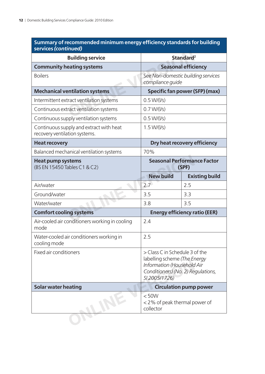| Summary of recommended minimum energy efficiency standards for building |  |
|-------------------------------------------------------------------------|--|
| services (continued)                                                    |  |

| <b>Building service</b>                                                  |                                                                                                                                                     | Standard <sup>2</sup>                       |
|--------------------------------------------------------------------------|-----------------------------------------------------------------------------------------------------------------------------------------------------|---------------------------------------------|
| <b>Community heating systems</b>                                         |                                                                                                                                                     | <b>Seasonal efficiency</b>                  |
| <b>Boilers</b>                                                           | compliance quide                                                                                                                                    | See Non-domestic building services          |
| <b>Mechanical ventilation systems</b>                                    |                                                                                                                                                     | Specific fan power (SFP) (max)              |
| Intermittent extract ventilation systems                                 | 0.5 W/(1/s)                                                                                                                                         |                                             |
| Continuous extract ventilation systems                                   | 0.7 W/(1/s)                                                                                                                                         |                                             |
| Continuous supply ventilation systems                                    | 0.5 W/(1/s)                                                                                                                                         |                                             |
| Continuous supply and extract with heat<br>recovery ventilation systems. | 1.5 W/(1/s)                                                                                                                                         |                                             |
| <b>Heat recovery</b>                                                     |                                                                                                                                                     | Dry heat recovery efficiency                |
| Balanced mechanical ventilation systems                                  | 70%                                                                                                                                                 |                                             |
| <b>Heat pump systems</b><br>(BS EN 15450 Tables C1 & C2)                 |                                                                                                                                                     | <b>Seasonal Performance Factor</b><br>(SPF) |
|                                                                          | <b>New build</b>                                                                                                                                    | <b>Existing build</b>                       |
| Air/water                                                                | 2.7                                                                                                                                                 | 2.5                                         |
| Ground/water                                                             | 3.5                                                                                                                                                 | 3.3                                         |
| Water/water                                                              | 3.8                                                                                                                                                 | 3.5                                         |
| <b>Comfort cooling systems</b>                                           |                                                                                                                                                     | <b>Energy efficiency ratio (EER)</b>        |
| Air-cooled air conditioners working in cooling<br>mode                   | 2.4                                                                                                                                                 |                                             |
| Water-cooled air conditioners working in<br>cooling mode                 | 2.5                                                                                                                                                 |                                             |
| Fixed air conditioners                                                   | > Class C in Schedule 3 of the<br>labelling scheme (The Energy<br>Information (Household Air<br>Conditioners) (No. 2) Regulations,<br>SI 2005/1726) |                                             |
| <b>Solar water heating</b>                                               |                                                                                                                                                     | <b>Circulation pump power</b>               |
|                                                                          | < 50W<br><2% of peak thermal power of<br>collector                                                                                                  |                                             |
|                                                                          |                                                                                                                                                     |                                             |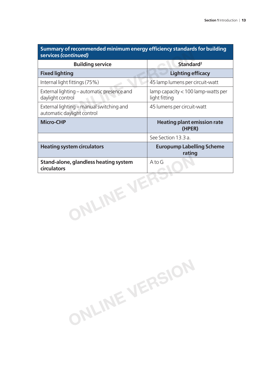| <br>services (continued)                                               | <b>SURVALLEY STATESHOP</b>                                      |
|------------------------------------------------------------------------|-----------------------------------------------------------------|
| <b>Building service</b>                                                | Standard <sup>2</sup>                                           |
| <b>Fixed lighting</b>                                                  | <b>Lighting efficacy</b>                                        |
| Internal light fittings (75%)                                          | 45 lamp lumens per circuit-watt                                 |
| External lighting – automatic presence and<br>daylight control         | $\lambda$ lamp capacity $< 100$ lamp-watts per<br>light fitting |
| External lighting – manual switching and<br>automatic daylight control | 45 lumens per circuit-watt                                      |
| <b>Micro-CHP</b>                                                       | <b>Heating plant emission rate</b><br>(HPER)                    |
|                                                                        | See Section 13.3 a.                                             |
| <b>Heating system circulators</b>                                      | <b>Europump Labelling Scheme</b><br>rating                      |
| Stand-alone, glandless heating system<br>circulators                   | A to G                                                          |
| JLINE VI                                                               |                                                                 |

**ONLINE VERSION**

**Summary of recommended minimum energy efficiency standards for building**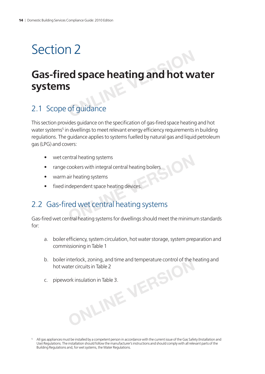### Section 2

# **Gas-fi red space heating and hot water systems Properties Asset Assets**<br> **Properties**<br> **Online**<br> **Only and hot w**<br> **Only and hot w**<br> **Only and hot w**<br> **Only and hot w**

### 2.1 Scope of guidance

This section provides guidance on the specification of gas-fired space heating and hot water systems<sup>5</sup> in dwellings to meet relevant energy efficiency requirements in building regulations. The guidance applies to systems fuelled by natural gas and liquid petroleum gas (LPG) and covers:

- wet central heating systems
- range cookers with integral central heating boilers
- warm air heating systems
- fixed independent space heating devices.

# 2.2 Gas-fired wet central heating systems Frame the acting systems<br>
Frame the acting systems<br>
Sair heating systems<br>
Independent space heating devices.<br>
The divert central heating systems<br>
The divertical heating systems<br>
The divertical heating systems<br>
Intral heati

Gas-fired wet central heating systems for dwellings should meet the minimum standards for:

- a. boiler efficiency, system circulation, hot water storage, system preparation and commissioning in Table 1
- b. boiler interlock, zoning, and time and temperature control of the heating and hot water circuits in Table 2 **ONLINE VERSION**
- c. pipework insulation in Table 3.

<sup>5</sup> All gas appliances must be installed by a competent person in accordance with the current issue of the Gas Safety (Installation and Use) Regulations. The installation should follow the manufacturer's instructions and should comply with all relevant parts of the Building Regulations and, for wet systems, the Water Regulations.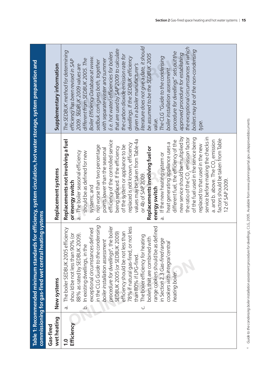|                          | commissioning for gas-fired wet central heating systems            | Table 1: Recommended minimum standards for efficiency, system circulation, hot water storage, system preparation and |                                                                       |
|--------------------------|--------------------------------------------------------------------|----------------------------------------------------------------------------------------------------------------------|-----------------------------------------------------------------------|
| wet heating<br>Gas-fired | New systems                                                        | Replacement systems                                                                                                  | Supplementary information                                             |
| <u>င</u>                 | The boiler SEDBUK 2005 efficiency<br>$\dot{\sigma}$                | Replacements not involving a fuel                                                                                    | The SEDBUK method for determining                                     |
| Efficiency               | should be not less than 90% (or                                    | or energy switch                                                                                                     | efficiency has been revised in SAP                                    |
|                          | 88% as rated by SEDBUK 2009).<br>$\overrightarrow{Q}$              | The boiler seasonal efficiency<br>should be as defined for new<br>$\overline{a}$ .                                   | 2009. SEDBUK 2009 values are                                          |
|                          | exceptional circumstances defined<br>In existing dwellings, in the | systems; and                                                                                                         | Boiler Efficiency Database at www.<br>different from SEDBUK 2005. The |
|                          | in the CLG Guide to the condensing                                 | not worse than two percentage<br>$\overline{\mathsf{C}}$                                                             | sedbuk.com gives both, together                                       |
|                          | boiler installation assessment                                     | points lower than the seasonal                                                                                       | with separate winter and summer                                       |
|                          | procedure for dwellings <sup>6</sup> , the boiler                  | efficiency of the controlled service                                                                                 | (i.e. hot water) efficiencies for boilers                             |
|                          | SEDBUK 2005 (or SEDBUK 2009)                                       | being replaced. If the efficiency                                                                                    | that are used by SAP 2009 to calculate                                |
|                          | efficiency should be not less than                                 | of the system or appliance to be                                                                                     | the carbon dioxide emission rate for                                  |
|                          | 78% if natural gas-fired, or not less                              | replaced is not known, efficiency                                                                                    | dwellings. If the SEDBUK efficiency                                   |
|                          | than 80% if LPG-fired.                                             | values may be taken from Table 4a                                                                                    | given in a boiler manufacturer's                                      |
|                          | The boiler efficiency for heating<br>ن                             | or 4b of SAP 2009.                                                                                                   | literature does not give a date, it should                            |
|                          | boilers that are combined with                                     | Replacements involving fuel or                                                                                       | be assumed to be the SEDBUK 2005                                      |
|                          | range cookers should be as defined                                 | energy switch                                                                                                        | value                                                                 |
|                          | in Section 2.3 Gas-fired range<br>cookers with integral central    | If the new heating system or<br>$\dot{\sigma}$                                                                       | The CLG "Guide to the condensing                                      |
|                          |                                                                    | heat generating appliance uses a                                                                                     | boiler installation assessment                                        |
|                          | heating boiler.                                                    | different fuel, the efficiency of the                                                                                | procedure for dwellings" sets out the                                 |
|                          |                                                                    | new service should be multiplied by                                                                                  | approved procedure for establishing                                   |
|                          |                                                                    | the ratio of the CO <sub>2</sub> emission factor                                                                     | the exceptional circumstances in which                                |
|                          |                                                                    | of the fuel used in the service being                                                                                | boilers may be of the non-condensing                                  |
|                          |                                                                    | replaced to that used in the new                                                                                     | type.                                                                 |
|                          |                                                                    | service before making the checks in                                                                                  |                                                                       |
|                          |                                                                    | factors should be taken from Table<br>a. and b. above. The $CO_2$ emission                                           |                                                                       |
|                          |                                                                    | 12 of SAP 2009.                                                                                                      |                                                                       |
|                          |                                                                    |                                                                                                                      |                                                                       |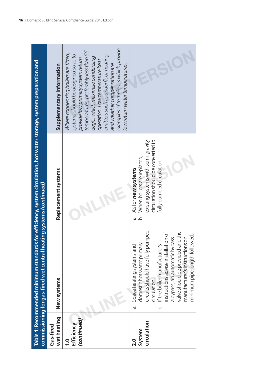|                                                | commissioning for gas-fired wet central heating systems (continued)                                                                                                                                                                                                                                                                        | Table 1: Recommended minimum standards for efficiency, system circulation, hot water storage, system preparation and                                                           |                                                                                                                                                                                                                                                                                                                                                                                  |
|------------------------------------------------|--------------------------------------------------------------------------------------------------------------------------------------------------------------------------------------------------------------------------------------------------------------------------------------------------------------------------------------------|--------------------------------------------------------------------------------------------------------------------------------------------------------------------------------|----------------------------------------------------------------------------------------------------------------------------------------------------------------------------------------------------------------------------------------------------------------------------------------------------------------------------------------------------------------------------------|
| wet heating<br>Gas-fired                       | New systems                                                                                                                                                                                                                                                                                                                                | Replacement systems                                                                                                                                                            | Supplementary information                                                                                                                                                                                                                                                                                                                                                        |
| (continued)<br>Efficiency<br>$\overline{1}$ .0 |                                                                                                                                                                                                                                                                                                                                            |                                                                                                                                                                                | examples of techniques which provide<br>temperatures, preferably less than 55<br>Where condensing boilers are fitted,<br>systems should be designed so as to<br>emitters such as underfloor heating<br>degC, which maximise condensing<br>provide low primary system return<br>operation. Low temperature heat<br>and weather compensation are<br>low return water temperatures. |
| circulation<br>System<br>$\overline{2}.0$      | circuits should have fully pumped<br>valve should be provided and the<br>instructions advise installation of<br>minimum pipe length followed.<br>manufacturer's instructions on<br>a bypass, an automatic bypass<br>Space heating systems and<br>domestic hot water primary<br>If the boiler manufacturer's<br>circulation.<br>.<br>ف<br>ā | circulation should be converted to<br>existing systems with semi-gravity<br>When boilers are replaced,<br>fully pumped circulation.<br>As for new systems.<br>.<br>a<br>.<br>ف |                                                                                                                                                                                                                                                                                                                                                                                  |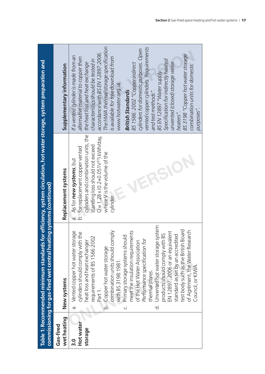|                                       | commissioning for gas-fired wet central heating systems (continued)                                                                                                                                                                                                                                                                                                                                                                                                                                                                                                                                                                                                    | Table 1: Recommended minimum standards for efficiency, system circulation, hot water storage, system preparation and                                                                                                                              |                                                                                                                                                                                                                                                                                                                                                                                                                                                                                                                                                                                                                                                                                    |
|---------------------------------------|------------------------------------------------------------------------------------------------------------------------------------------------------------------------------------------------------------------------------------------------------------------------------------------------------------------------------------------------------------------------------------------------------------------------------------------------------------------------------------------------------------------------------------------------------------------------------------------------------------------------------------------------------------------------|---------------------------------------------------------------------------------------------------------------------------------------------------------------------------------------------------------------------------------------------------|------------------------------------------------------------------------------------------------------------------------------------------------------------------------------------------------------------------------------------------------------------------------------------------------------------------------------------------------------------------------------------------------------------------------------------------------------------------------------------------------------------------------------------------------------------------------------------------------------------------------------------------------------------------------------------|
| wet heating<br>Gas-fired              | New systems                                                                                                                                                                                                                                                                                                                                                                                                                                                                                                                                                                                                                                                            | Replacement systems                                                                                                                                                                                                                               | Supplementary information                                                                                                                                                                                                                                                                                                                                                                                                                                                                                                                                                                                                                                                          |
| Hot water<br>storage<br>$\frac{0}{3}$ | Unvented hot water storage system<br>test body such as the British Board<br>of Agrément, the Water Research<br>combination units should comply<br>meet the insulation requirements<br>a. Vented copper hot water storage<br>EN 12897: 2006 or an equivalent<br>cylinders should comply with the<br>products should comply with BS<br>standard as set by an accredited<br>Primary storage systems should<br>requirements of BS 1566:2002<br>Performance specification for<br>heat loss and heat exchanger<br>of the Hot Water Association<br>b. Copper hot water storage<br>with BS 3198:1981.<br>Council, or KIWA<br>thermal stores.<br>Part 1.<br>$\vec{c}$<br>.<br>ن | cylinders and combination units, the<br>$Q = 1.28 \times (0.2 + 0.051V^{2/3})$ kWh/day,<br>standing loss should not exceed<br>b. for replacement copper vented<br>where V is the volume of the<br>a. As for <b>new systems</b> , but<br>cylinder. | The HWA thermal storage specification<br>vented copper cylinders. Requirements<br>cylinders for domestic purposes. Open<br>accordance with BS EN 12897:2006.<br>BS 3198 "Copper hot water storage<br>If a vented cylinder is made from an<br>alternative material to copper then<br>is available for free download from<br>Specification for indirectly heated<br>characteristics should be tested in<br>unvented (closed) storage water<br>the heat loss and heat exchange<br>BS 1566: 2002 "Copper indirect<br>combination units for domestic<br>BS EN 12897 "Water supply.<br>www.hotwater.org.uk.<br>and test methods".<br><b>British Standards</b><br>purposes".<br>heaters". |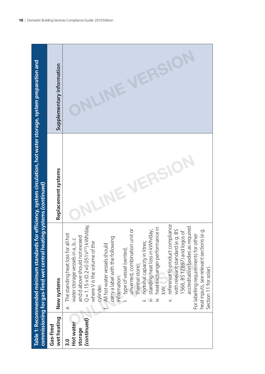|                                                 | commissioning for gas-fired wet central heating systems (continued)<br>Table 1: Recommended minimum standards                                                                                                                                                                                                                                                                                                                                                                                                                                                                                                                                                                                                                                                                       | for efficiency, system circulation, hot water storage, system preparation and |                           |
|-------------------------------------------------|-------------------------------------------------------------------------------------------------------------------------------------------------------------------------------------------------------------------------------------------------------------------------------------------------------------------------------------------------------------------------------------------------------------------------------------------------------------------------------------------------------------------------------------------------------------------------------------------------------------------------------------------------------------------------------------------------------------------------------------------------------------------------------------|-------------------------------------------------------------------------------|---------------------------|
| wet heating<br>Gas-fired                        | New systems                                                                                                                                                                                                                                                                                                                                                                                                                                                                                                                                                                                                                                                                                                                                                                         | Replacement systems                                                           | Supplementary information |
| (continued)<br>Hot water<br>storage<br><u>ი</u> | $Q = 1.15 \times (0.2 + 0.051V^{2/3})$ kWh/day,<br>reference to product compliance<br>accreditation bodies as required.<br>heat exchanger performance in<br>unit or<br>with relevant standard (e.g. BS<br>heat inputs, see relevant sections (e.g.<br>standing heat loss in kWh/day;<br>1566, BS 12897) and logos of<br>hot<br>For labelling requirements for other<br>and d above should not exceed<br>carry a label with the following<br>water storage vessels in a, b, c<br>e. The standing heat loss for all<br>where V is the volume of the<br>nominal capacity in litres,<br>unvented, combination i<br>f. All hot water vessels should<br>type of vessel (vented,<br>thermal store);<br>Section 11 for solar).<br>information:<br>cylinder.<br>$\gtrapprox$<br>$\leq$<br>.≥ |                                                                               |                           |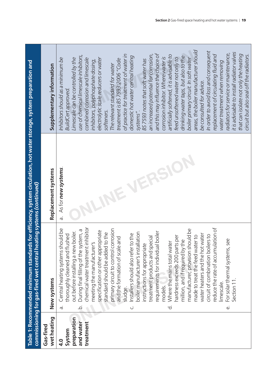|                         | commissioning for gas-fired wet central heating systems (continued) | Table 1: Recommended minimum standards for efficiency, system circulation, hot water storage, system preparation and |                                            |
|-------------------------|---------------------------------------------------------------------|----------------------------------------------------------------------------------------------------------------------|--------------------------------------------|
| wetheating<br>Gas-fired | New systems                                                         | Replacement systems                                                                                                  | Supplementary information                  |
|                         |                                                                     |                                                                                                                      |                                            |
| $\mathbf{q}$ .          | Central heating systems should be<br>$\dot{\sigma}$                 | As for new systems.<br>à.                                                                                            | Inhibitors should as a minimum be          |
| System                  | thoroughly cleaned and flushed                                      |                                                                                                                      | <b>BuildCert approved.</b>                 |
| preparation             | boiler.<br>out before installing a new                              |                                                                                                                      | Limescale can be controlled by the         |
| and water               | During final filling of the system, a<br>.<br>ف                     |                                                                                                                      | use of chemical limescale inhibitors,      |
| treatment               | chemical water treatment inhibitor                                  |                                                                                                                      | combined corrosion and limescale           |
|                         | meeting the manufacturer's                                          |                                                                                                                      | inhibitors, polyphosphate dosing,          |
|                         | specification or other appropriate                                  |                                                                                                                      | electrolytic scale reducers or water       |
|                         | standard should be added to the                                     |                                                                                                                      | softeners.                                 |
|                         | primary circuit to control corrosion                                |                                                                                                                      | The relevant standard for water            |
|                         | and the formation of scale and                                      |                                                                                                                      | treatment is BS 7593:2006 "Code            |
|                         | sludge.                                                             |                                                                                                                      | of practice for treatment of water in      |
|                         | Installers should also refer to the<br>ن                            |                                                                                                                      | domestic hot water central heating         |
|                         | boiler manufacturer's installation                                  |                                                                                                                      | systems".                                  |
|                         | nstructions for appropriate                                         |                                                                                                                      | BS 7593 notes that soft water has          |
|                         | treatment products and special                                      |                                                                                                                      | an increased potential for corrosion,      |
|                         | I boiler<br>requirements for individual                             |                                                                                                                      | and this may influence the choice of       |
|                         | models.                                                             |                                                                                                                      | corrosion inhibitor. Where water is        |
|                         | Where the mains total water<br>ಕ                                    |                                                                                                                      | artificially softened, it is advisable to  |
|                         | hardness exceeds 200 parts per                                      |                                                                                                                      | feed unsoftened water not only to          |
|                         | million, and if required by the                                     |                                                                                                                      | drinking water taps, but also to the       |
|                         | manufacturer, provision should be                                   |                                                                                                                      | boiler primary circuit. In soft water      |
|                         | made to treat the feed water to                                     |                                                                                                                      | areas, the boiler manufacturer should      |
|                         | water heaters and the hot water                                     |                                                                                                                      | be consulted for advice.                   |
|                         | circuit of combination boilers to                                   |                                                                                                                      | In order to avoid loss and consequent      |
|                         | reduce the rate of accumulation of                                  |                                                                                                                      | replacement of circulating fluid and       |
|                         | imescale                                                            |                                                                                                                      | water treatment when removing              |
|                         | For solar thermal systems, see<br>$\dot{\omega}$                    |                                                                                                                      | radiators for service or maintenance,      |
|                         | Section 11                                                          |                                                                                                                      | it is advisable to install radiator valves |
|                         |                                                                     |                                                                                                                      | that can isolate not only the heating      |
|                         |                                                                     |                                                                                                                      | circuit but also seal off the radiators.   |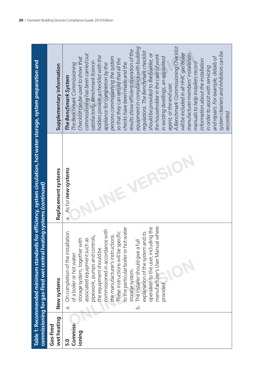|                                                                                                                 | Supplementary information |
|-----------------------------------------------------------------------------------------------------------------|---------------------------|
| ds for efficiency, system circulation, hot water storage, system preparation and<br>leating systems (continued) | Replacement system:       |
| missioning for gas-fired wet central h<br>le 1: Recommended minimum standar                                     | New systems               |
|                                                                                                                 | theating<br>-fired        |

|                          | Table 1: Recommended minimum standards for efficiency, system circulation, hot water storage, system preparation and<br>commissioning for gas-fired wet central heating systems (continued) |                                |                                                                          |
|--------------------------|---------------------------------------------------------------------------------------------------------------------------------------------------------------------------------------------|--------------------------------|--------------------------------------------------------------------------|
| wet heating<br>Gas-fired | New systems                                                                                                                                                                                 | Replacement systems            | Supplementary information                                                |
| 5.0                      | Illation<br>On completion of the instal<br>$\dot{\sigma}$                                                                                                                                   | As for new systems.<br>a.<br>O | The Benchmark System                                                     |
| Commiss-<br>ioning       | storage system, together with<br>of a boiler or hot water                                                                                                                                   |                                | Checklist can be used to show that<br>The Benchmark Commissioning        |
|                          | pipework, pumps and controls,<br>associated equipment such as                                                                                                                               |                                | commissioning has been carried out<br>satisfactorily. Benchmark licence- |
|                          | the equipment should be                                                                                                                                                                     |                                | holders provide a checklist with the                                     |
|                          | commissioned in accordance with                                                                                                                                                             |                                | appliance for completion by the                                          |
|                          | the manufacturer's instructions.                                                                                                                                                            |                                | persons commissioning the system                                         |
|                          | to the particular boiler or hot water<br>These instructions will be specific                                                                                                                |                                | so that they can record that all the<br>checks have been made and the    |
|                          | storage system.                                                                                                                                                                             |                                | results show efficient operation of the                                  |
|                          | The installer should give a full<br>.<br>ف                                                                                                                                                  |                                | equipment in compliance with building                                    |
|                          | explanation of the system and its                                                                                                                                                           |                                | regulations. The Benchmark checklist                                     |
|                          | ding the<br>operation to the user, inclu                                                                                                                                                    |                                | should be provided to the builder, or                                    |
|                          | manufacturer's User Manual where                                                                                                                                                            |                                | the householder in the case of work                                      |
|                          | provided                                                                                                                                                                                    |                                | in existing dwellings, an appointed                                      |
|                          |                                                                                                                                                                                             |                                | agent, or the end user.                                                  |
|                          |                                                                                                                                                                                             |                                | A Benchmark Commissioning Checklist                                      |
|                          |                                                                                                                                                                                             |                                | will be included in all HHIC gas boiler                                  |
|                          |                                                                                                                                                                                             |                                | manufacturer members' installation                                       |
|                          |                                                                                                                                                                                             |                                | manuals to help installers record                                        |
|                          |                                                                                                                                                                                             |                                | information about the installation                                       |
|                          |                                                                                                                                                                                             |                                | in order to assist with servicing                                        |
|                          |                                                                                                                                                                                             |                                | and repairs. For example, details of                                     |
|                          |                                                                                                                                                                                             |                                | system cleaners and inhibitors can be                                    |
|                          |                                                                                                                                                                                             |                                | recorded.                                                                |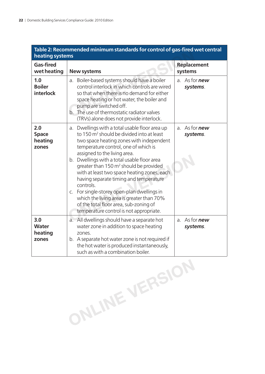| Table 2: Recommended minimum standards for control of gas-fired wet central<br>heating systems |                                                                                                                                                                                                                                                                                                                                                                                                                                                                                                                                                                                                                         |                                  |  |
|------------------------------------------------------------------------------------------------|-------------------------------------------------------------------------------------------------------------------------------------------------------------------------------------------------------------------------------------------------------------------------------------------------------------------------------------------------------------------------------------------------------------------------------------------------------------------------------------------------------------------------------------------------------------------------------------------------------------------------|----------------------------------|--|
| <b>Gas-fired</b><br>wet heating                                                                | <b>New systems</b>                                                                                                                                                                                                                                                                                                                                                                                                                                                                                                                                                                                                      | <b>Replacement</b><br>systems    |  |
| 1.0<br><b>Boiler</b><br>interlock                                                              | a. Boiler-based systems should have a boiler<br>control interlock in which controls are wired<br>so that when there is no demand for either<br>space heating or hot water, the boiler and<br>pump are switched off.<br>b. The use of thermostatic radiator valves<br>(TRVs) alone does not provide interlock.                                                                                                                                                                                                                                                                                                           | a. As for <b>new</b><br>systems. |  |
| 2.0<br><b>Space</b><br>heating<br>zones                                                        | a. Dwellings with a total usable floor area up<br>to 150 m <sup>2</sup> should be divided into at least<br>two space heating zones with independent<br>temperature control, one of which is<br>assigned to the living area.<br>b. Dwellings with a total usable floor area<br>greater than 150 m <sup>2</sup> should be provided<br>with at least two space heating zones, each<br>having separate timing and temperature<br>controls.<br>c. For single-storey open-plan dwellings in<br>which the living area is greater than 70%<br>of the total floor area, sub-zoning of<br>temperature control is not appropriate. | a. As for <b>new</b><br>systems. |  |
| 3.0<br><b>Water</b><br>heating<br>zones                                                        | a. All dwellings should have a separate hot<br>water zone in addition to space heating<br>zones.<br>b. A separate hot water zone is not required if<br>the hot water is produced instantaneously,<br>such as with a combination boiler.                                                                                                                                                                                                                                                                                                                                                                                 | a. As for <b>new</b><br>systems. |  |

**ONLINE VERSION**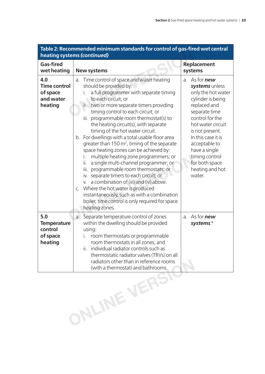| Table 2: Recommended minimum standards for control of gas-fired wet central<br>heating systems (continued) |                                                                                                                                                                                                                                                                                                                                                                                                                                                                                                                                                                                                                                                                                                                                                                                                                                                                                                                |                                                                                                                                                                                                                                                                                                        |  |
|------------------------------------------------------------------------------------------------------------|----------------------------------------------------------------------------------------------------------------------------------------------------------------------------------------------------------------------------------------------------------------------------------------------------------------------------------------------------------------------------------------------------------------------------------------------------------------------------------------------------------------------------------------------------------------------------------------------------------------------------------------------------------------------------------------------------------------------------------------------------------------------------------------------------------------------------------------------------------------------------------------------------------------|--------------------------------------------------------------------------------------------------------------------------------------------------------------------------------------------------------------------------------------------------------------------------------------------------------|--|
| <b>Gas-fired</b><br>wet heating                                                                            | <b>New systems</b>                                                                                                                                                                                                                                                                                                                                                                                                                                                                                                                                                                                                                                                                                                                                                                                                                                                                                             | <b>Replacement</b><br>systems                                                                                                                                                                                                                                                                          |  |
| 4.0<br><b>Time control</b><br>of space<br>and water<br>heating                                             | Time control of space and water heating<br>a.<br>should be provided by:<br>a full programmer with separate timing<br>to each circuit; or<br>two or more separate timers providing<br>ii.<br>timing control to each circuit; or<br>programmable room thermostat(s) to<br>iii.<br>the heating circuit(s), with separate<br>timing of the hot water circuit.<br>b. For dwellings with a total usable floor area<br>greater than 150 m <sup>2</sup> , timing of the separate<br>space heating zones can be achieved by:<br>multiple heating zone programmers; or<br>a single multi-channel programmer; or<br>ii.<br>programmable room thermostats; or<br>iii.<br>iv. separate timers to each circuit; or<br>a combination of (iii) and (iv) above.<br>V.<br>c. Where the hot water is produced<br>instantaneously, such as with a combination<br>boiler, time control is only required for space<br>heating zones. | a. As for <b>new</b><br>systems unless<br>only the hot water<br>cylinder is being<br>replaced and<br>separate time<br>control for the<br>hot water circuit<br>is not present.<br>In this case it is<br>acceptable to<br>have a single<br>timing control<br>for both space<br>heating and hot<br>water. |  |
| 5.0<br><b>Temperature</b><br>control<br>of space<br>heating                                                | Separate temperature control of zones<br>a.<br>within the dwelling should be provided<br>using:<br>room thermostats or programmable<br>room thermostats in all zones; and<br>individual radiator controls such as<br>Ш.<br>thermostatic radiator valves (TRVs) on all<br>radiators other than in reference rooms<br>(with a thermostat) and bathrooms.                                                                                                                                                                                                                                                                                                                                                                                                                                                                                                                                                         | As for <b>new</b><br>a.<br>systems.*                                                                                                                                                                                                                                                                   |  |
| ONLINE VERSI                                                                                               |                                                                                                                                                                                                                                                                                                                                                                                                                                                                                                                                                                                                                                                                                                                                                                                                                                                                                                                |                                                                                                                                                                                                                                                                                                        |  |

### **Table 2: Recommended minimum standards for control of gas-fi red wet central**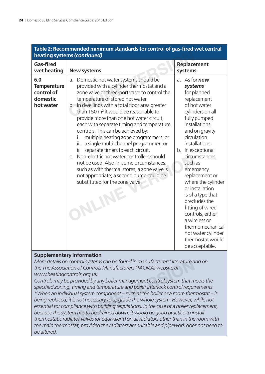| Table 2: Recommended minimum standards for control of gas-fired wet central<br>heating systems (continued) |                                                                                                                                                                                                                                                                                                                                                                                                                                                                                                                                                                                                                                                                                                                                                                                                                         |                                                                                                                                                                                                                                                                                                                                                                                                                                                                                                 |  |
|------------------------------------------------------------------------------------------------------------|-------------------------------------------------------------------------------------------------------------------------------------------------------------------------------------------------------------------------------------------------------------------------------------------------------------------------------------------------------------------------------------------------------------------------------------------------------------------------------------------------------------------------------------------------------------------------------------------------------------------------------------------------------------------------------------------------------------------------------------------------------------------------------------------------------------------------|-------------------------------------------------------------------------------------------------------------------------------------------------------------------------------------------------------------------------------------------------------------------------------------------------------------------------------------------------------------------------------------------------------------------------------------------------------------------------------------------------|--|
| <b>Gas-fired</b><br>wet heating                                                                            | <b>New systems</b>                                                                                                                                                                                                                                                                                                                                                                                                                                                                                                                                                                                                                                                                                                                                                                                                      | <b>Replacement</b><br>systems                                                                                                                                                                                                                                                                                                                                                                                                                                                                   |  |
| 6.0<br><b>Temperature</b><br>control of<br>domestic<br>hot water                                           | Domestic hot water systems should be<br>a.<br>provided with a cylinder thermostat and a<br>zone valve or three-port valve to control the<br>temperature of stored hot water.<br>b. In dwellings with a total floor area greater<br>than 150 m <sup>2</sup> it would be reasonable to<br>provide more than one hot water circuit,<br>each with separate timing and temperature<br>controls. This can be achieved by:<br>multiple heating zone programmers; or<br>İ.<br>ii.<br>a single multi-channel programmer; or<br>Ϊİ<br>separate timers to each circuit.<br>Non-electric hot water controllers should<br>$\mathcal{C}$ .<br>not be used. Also, in some circumstances,<br>such as with thermal stores, a zone valve is<br>not appropriate; a second pump could be<br>substituted for the zone valve.<br><b>NAINE</b> | a. As for <b>new</b><br>systems<br>for planned<br>replacement<br>of hot water<br>cylinders on all<br>fully pumped<br>installations,<br>and on gravity<br>circulation<br>installations.<br>b. In exceptional<br>circumstances,<br>such as<br>emergency<br>replacement or<br>where the cylinder<br>or installation<br>is of a type that<br>precludes the<br>fitting of wired<br>controls, either<br>a wireless or<br>thermomechanical<br>hot water cylinder<br>thermostat would<br>be acceptable. |  |

### **Table 2: Recommended minimum standards for control of gas-fi red wet central**

#### **Supplementary information**

*More details on control systems can be found in manufacturers' literature and on the The Association of Controls Manufacturers (TACMA) website at www.heatingcontrols.org.uk.*

*Controls may be provided by any boiler management control system that meets the*  specified zoning, timing and temperature and boiler interlock control requirements. *\*When an individual system component – such as the boiler or a room thermostat – is being replaced, it is not necessary to upgrade the whole system. However, while not essential for compliance with building regulations, in the case of a boiler replacement, because the system has to be drained down, it would be good practice to install thermostatic radiator valves (or equivalent) on all radiators other than in the room with the main thermostat, provided the radiators are suitable and pipework does not need to be altered.* I control systems can be found in manufacturers' literature a<br>tion of Controls Manufacturers (TACMA) website at<br>photols.org.uk.<br>e provided by any boiler management control system that m<br>g, timing and temperature and boiler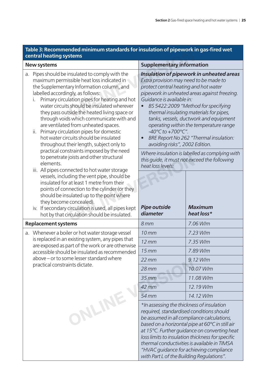#### Table 3: Recommended minimum standards for insulation of pipework in gas-fired wet **central heating systems**

| iable J. Recommended minimum standards for insulation or pipework in gas in ed wet<br>central heating systems                                                                                                                                                                                                                                                                                                                                                                                                                                                                                                                                                                                                                                                                                                                                                                                                                                   |                                                                                                                                                                                                                                                  |                                                                                                                                                                                                                                                                                                                                                                                                                              |  |
|-------------------------------------------------------------------------------------------------------------------------------------------------------------------------------------------------------------------------------------------------------------------------------------------------------------------------------------------------------------------------------------------------------------------------------------------------------------------------------------------------------------------------------------------------------------------------------------------------------------------------------------------------------------------------------------------------------------------------------------------------------------------------------------------------------------------------------------------------------------------------------------------------------------------------------------------------|--------------------------------------------------------------------------------------------------------------------------------------------------------------------------------------------------------------------------------------------------|------------------------------------------------------------------------------------------------------------------------------------------------------------------------------------------------------------------------------------------------------------------------------------------------------------------------------------------------------------------------------------------------------------------------------|--|
| <b>New systems</b>                                                                                                                                                                                                                                                                                                                                                                                                                                                                                                                                                                                                                                                                                                                                                                                                                                                                                                                              | <b>Supplementary information</b>                                                                                                                                                                                                                 |                                                                                                                                                                                                                                                                                                                                                                                                                              |  |
| Pipes should be insulated to comply with the<br>a.<br>maximum permissible heat loss indicated in<br>the Supplementary Information column, and<br>labelled accordingly, as follows:<br>Primary circulation pipes for heating and hot<br>L.<br>water circuits should be insulated wherever<br>they pass outside the heated living space or<br>through voids which communicate with and<br>are ventilated from unheated spaces.<br>ii.<br>Primary circulation pipes for domestic<br>hot water circuits should be insulated<br>throughout their length, subject only to<br>practical constraints imposed by the need<br>to penetrate joists and other structural<br>elements.<br>iii. All pipes connected to hot water storage<br>vessels, including the vent pipe, should be<br>insulated for at least 1 metre from their<br>points of connection to the cylinder (or they<br>should be insulated up to the point where<br>they become concealed). | Extra provision may need to be made to<br>protect central heating and hot water<br>Guidance is available in:<br>$-40^{\circ}$ C to $+700^{\circ}$ C".<br>$\bullet$<br>avoiding risks", 2002 Edition.<br>heat loss levels:<br><b>Pipe outside</b> | Insulation of pipework in unheated areas<br>pipework in unheated areas against freezing.<br>BS 5422:2009 "Method for specifying<br>thermal insulating materials for pipes,<br>tanks, vessels, ductwork and equipment<br>operating within the temperature range<br>BRE Report No 262 "Thermal insulation:<br>Where insulation is labelled as complying with<br>this guide, it must not exceed the following<br><b>Maximum</b> |  |
| iv. If secondary circulation is used, all pipes kept<br>hot by that circulation should be insulated.                                                                                                                                                                                                                                                                                                                                                                                                                                                                                                                                                                                                                                                                                                                                                                                                                                            | diameter                                                                                                                                                                                                                                         | heat loss*                                                                                                                                                                                                                                                                                                                                                                                                                   |  |
| <b>Replacement systems</b>                                                                                                                                                                                                                                                                                                                                                                                                                                                                                                                                                                                                                                                                                                                                                                                                                                                                                                                      | 8mm                                                                                                                                                                                                                                              | 7.06 W/m                                                                                                                                                                                                                                                                                                                                                                                                                     |  |
| a. Whenever a boiler or hot water storage vessel                                                                                                                                                                                                                                                                                                                                                                                                                                                                                                                                                                                                                                                                                                                                                                                                                                                                                                | 10 <sub>mm</sub>                                                                                                                                                                                                                                 | 7.23 W/m                                                                                                                                                                                                                                                                                                                                                                                                                     |  |
| is replaced in an existing system, any pipes that<br>are exposed as part of the work or are otherwise                                                                                                                                                                                                                                                                                                                                                                                                                                                                                                                                                                                                                                                                                                                                                                                                                                           | $12$ mm                                                                                                                                                                                                                                          | 7.35 W/m                                                                                                                                                                                                                                                                                                                                                                                                                     |  |
| accessible should be insulated as recommended                                                                                                                                                                                                                                                                                                                                                                                                                                                                                                                                                                                                                                                                                                                                                                                                                                                                                                   | 15 <sub>mm</sub>                                                                                                                                                                                                                                 | 7.89 W/m                                                                                                                                                                                                                                                                                                                                                                                                                     |  |
| above – or to some lesser standard where                                                                                                                                                                                                                                                                                                                                                                                                                                                                                                                                                                                                                                                                                                                                                                                                                                                                                                        | $22 \, \text{mm}$                                                                                                                                                                                                                                | 9.12 W/m                                                                                                                                                                                                                                                                                                                                                                                                                     |  |
| practical constraints dictate.                                                                                                                                                                                                                                                                                                                                                                                                                                                                                                                                                                                                                                                                                                                                                                                                                                                                                                                  | $28$ mm                                                                                                                                                                                                                                          | 10.07 W/m                                                                                                                                                                                                                                                                                                                                                                                                                    |  |
|                                                                                                                                                                                                                                                                                                                                                                                                                                                                                                                                                                                                                                                                                                                                                                                                                                                                                                                                                 | $35$ mm                                                                                                                                                                                                                                          | 11.08 W/m                                                                                                                                                                                                                                                                                                                                                                                                                    |  |
|                                                                                                                                                                                                                                                                                                                                                                                                                                                                                                                                                                                                                                                                                                                                                                                                                                                                                                                                                 | 42 mm                                                                                                                                                                                                                                            | 12.19 W/m                                                                                                                                                                                                                                                                                                                                                                                                                    |  |
|                                                                                                                                                                                                                                                                                                                                                                                                                                                                                                                                                                                                                                                                                                                                                                                                                                                                                                                                                 | 54 mm                                                                                                                                                                                                                                            | 14.12 W/m                                                                                                                                                                                                                                                                                                                                                                                                                    |  |
| ONLINE                                                                                                                                                                                                                                                                                                                                                                                                                                                                                                                                                                                                                                                                                                                                                                                                                                                                                                                                          | *In assessing the thickness of insulation<br>required, standardised conditions should<br>with Part L of the Building Regulations".                                                                                                               | be assumed in all compliance calculations,<br>based on a horizontal pipe at 60°C in still air<br>at 15°C. Further guidance on converting heat<br>loss limits to insulation thickness for specific<br>thermal conductivities is available in TIMSA<br>"HVAC guidance for achieving compliance                                                                                                                                 |  |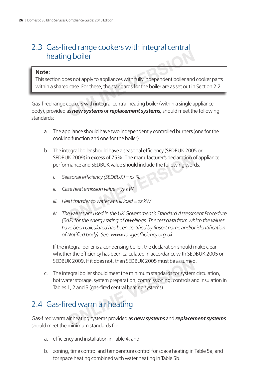### 2.3 Gas-fired range cookers with integral central heating boiler

#### **Note:**

This section does not apply to appliances with fully independent boiler and cooker parts within a shared case. For these, the standards for the boiler are as set out in Section 2.2.

Gas-fired range cookers with integral central heating boiler (within a single appliance body), provided as *new systems* or *replacement systems,* should meet the following standards: **ONLIGE 1988**<br> **ONLIGE 1989**<br> **EXECUTE:**<br> **ONLIGE 1989**<br> **ONLIGE 1989**<br> **ONLIGE 1989**<br> **ONLIGE 1989**<br> **ONLIGE 1989**<br> **ONLIGE 1989**<br> **ONLIGE 1989**<br> **ONLIGE 1989**<br> **ONLIGE 1989**<br> **ONLIGE 1989**<br> **ONLIGE 1989**<br> **ONLIGE 1989**<br>

- a. The appliance should have two independently controlled burners (one for the cooking function and one for the boiler).
- b. The integral boiler should have a seasonal efficiency (SEDBUK 2005 or SEDBUK 2009) in excess of 75%. The manufacturer's declaration of appliance performance and SEDBUK value should include the following words: IK 2009) in excess of 75%. The manufacturer's declaration c<br>mance and SEDBUK value should include the following work<br>asonal efficiency (SEDBUK) = xx %<br>se heat emission value = yy kW<br>at transfer to water at full load = zz k
	- *i.* Seasonal efficiency (SEDBUK) = xx %
	- *ii. Case heat emission value = yy kW*
	- *iii. Heat transfer to water at full load = zz kW*
	- *iv. The values are used in the UK Government's Standard Assessment Procedure (SAP) for the energy rating of dwellings. The test data from which the values*  have been calculated has been certified by *finsert name and/or identification of Notifi ed body}. See: www.rangeeffi ciency.org.uk.*

If the integral boiler is a condensing boiler, the declaration should make clear whether the efficiency has been calculated in accordance with SEDBUK 2005 or SEDBUK 2009. If it does not, then SEDBUK 2005 must be assumed.

c. The integral boiler should meet the minimum standards for system circulation, hot water storage, system preparation, commissioning, controls and insulation in Tables 1, 2 and 3 (gas-fired central heating systems). IK 2009. If it does not, then SEDBUK 2005 must be assumed<br>regral boiler should meet the minimum standards for system<br>tter storage, system preparation, commissioning, controls at<br>1, 2 and 3 (gas-fired central heating system

### 2.4 Gas-fired warm air heating

Gas-fi red warm air heating systems provided as *new systems* and *replacement systems* should meet the minimum standards for:

- a. efficiency and installation in Table 4; and
- b. zoning, time control and temperature control for space heating in Table 5a, and for space heating combined with water heating in Table 5b.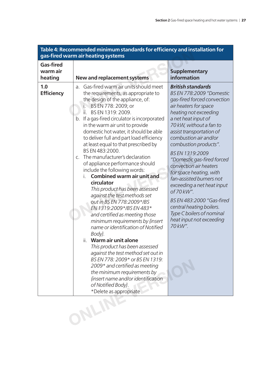|                                         | Table 4: Recommended minimum standards for efficiency and installation for<br>gas-fired warm air heating systems                                                                                                                                                                                                                                                                                                                                                                                                                                                                                                                                                                                                                                                                                                                                                                                                                                                                                                                                                                                                                              |                                                                                                                                                                                                                                                                                                                                                                                                                                                                                                                                                                                         |
|-----------------------------------------|-----------------------------------------------------------------------------------------------------------------------------------------------------------------------------------------------------------------------------------------------------------------------------------------------------------------------------------------------------------------------------------------------------------------------------------------------------------------------------------------------------------------------------------------------------------------------------------------------------------------------------------------------------------------------------------------------------------------------------------------------------------------------------------------------------------------------------------------------------------------------------------------------------------------------------------------------------------------------------------------------------------------------------------------------------------------------------------------------------------------------------------------------|-----------------------------------------------------------------------------------------------------------------------------------------------------------------------------------------------------------------------------------------------------------------------------------------------------------------------------------------------------------------------------------------------------------------------------------------------------------------------------------------------------------------------------------------------------------------------------------------|
| <b>Gas-fired</b><br>warm air<br>heating | New and replacement systems                                                                                                                                                                                                                                                                                                                                                                                                                                                                                                                                                                                                                                                                                                                                                                                                                                                                                                                                                                                                                                                                                                                   | <b>Supplementary</b><br>information                                                                                                                                                                                                                                                                                                                                                                                                                                                                                                                                                     |
| 1.0<br><b>Efficiency</b>                | Gas-fired warm air units should meet<br>a.<br>the requirements, as appropriate to<br>the design of the appliance, of:<br>BS EN 778: 2009; or<br>Ī.<br>ii.<br>BS EN 1319: 2009.<br>If a gas-fired circulator is incorporated<br>b.<br>in the warm air unit to provide<br>domestic hot water, it should be able<br>to deliver full and part load efficiency<br>at least equal to that prescribed by<br>BS EN 483:2000.<br>The manufacturer's declaration<br>$C_{1}$<br>of appliance performance should<br>include the following words:<br><b>Combined warm air unit and</b><br>L.<br>circulator<br>This product has been assessed<br>against the test methods set<br>out in BS EN 778:2009*/BS<br>EN 1319:2009*/BS EN 483*<br>and certified as meeting those<br>minimum requirements by {insert<br>name or identification of Notified<br>Body}.<br>Warm air unit alone<br>ii.<br>This product has been assessed<br>against the test method set out in<br>BS EN 778: 2009* or BS EN 1319:<br>2009* and certified as meeting<br>the minimum requirements by<br>finsert name and/or identification<br>of Notified Body}.<br>*Delete as appropriate | <b>British standards</b><br><b>BS EN 778:2009 "Domestic</b><br>gas-fired forced convection<br>air heaters for space<br>heating not exceeding<br>a net heat input of<br>70 kW, without a fan to<br>assist transportation of<br>combustion air and/or<br>combustion products".<br>BS EN 1319:2009<br>"Domestic gas-fired forced<br>convection air heaters<br>for space heating, with<br>fan-assisted burners not<br>exceeding a net heat input<br>of 70 kW".<br>BS EN 483:2000 "Gas-fired<br>central heating boilers.<br>Type C boilers of nominal<br>heat input not exceeding<br>70 kW". |
|                                         | NLIT                                                                                                                                                                                                                                                                                                                                                                                                                                                                                                                                                                                                                                                                                                                                                                                                                                                                                                                                                                                                                                                                                                                                          |                                                                                                                                                                                                                                                                                                                                                                                                                                                                                                                                                                                         |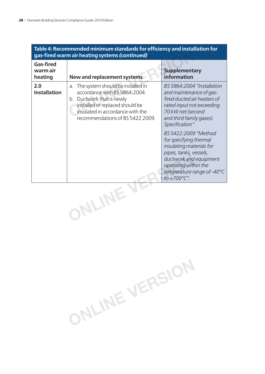| Table 4: Recommended minimum standards for efficiency and installation for<br>gas-fired warm air heating systems (continued) |                                                                                                                                                                                                                  |                                                                                                                                                                                                                                                                                                                                                                                              |  |
|------------------------------------------------------------------------------------------------------------------------------|------------------------------------------------------------------------------------------------------------------------------------------------------------------------------------------------------------------|----------------------------------------------------------------------------------------------------------------------------------------------------------------------------------------------------------------------------------------------------------------------------------------------------------------------------------------------------------------------------------------------|--|
| <b>Gas-fired</b><br>warm air<br>heating                                                                                      | New and replacement systems                                                                                                                                                                                      | <b>Supplementary</b><br>information                                                                                                                                                                                                                                                                                                                                                          |  |
| 2.0<br><b>Installation</b>                                                                                                   | The system should be installed in<br>a.<br>accordance with BS 5864:2004.<br>b. Ductwork that is newly<br>installed or replaced should be<br>insulated in accordance with the<br>recommendations of BS 5422:2009. | BS 5864:2004 "Installation<br>and maintenance of gas-<br>fired ducted air heaters of<br>rated input not exceeding<br>70 kW net (second<br>and third family gases).<br>Specification".<br>BS 5422:2009 "Method<br>for specifying thermal<br>insulating materials for<br>pipes, tanks, vessels,<br>ductwork and equipment<br>operating within the<br>temperature range of -40°C<br>to +700°C". |  |
|                                                                                                                              | NLINE                                                                                                                                                                                                            |                                                                                                                                                                                                                                                                                                                                                                                              |  |

**ONLINE VERSION**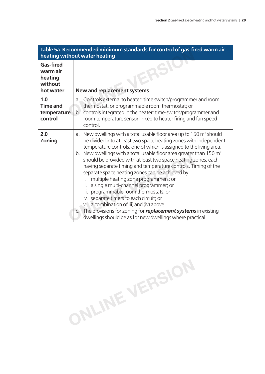|                                                                 | Table 5a: Recommended minimum standards for control of gas-fired warm air<br>heating without water heating                                                                                                                                                                                                                                                                                                                                                                                                                                                                                                                                                                                                                                                                                                                                                                              |
|-----------------------------------------------------------------|-----------------------------------------------------------------------------------------------------------------------------------------------------------------------------------------------------------------------------------------------------------------------------------------------------------------------------------------------------------------------------------------------------------------------------------------------------------------------------------------------------------------------------------------------------------------------------------------------------------------------------------------------------------------------------------------------------------------------------------------------------------------------------------------------------------------------------------------------------------------------------------------|
| <b>Gas-fired</b><br>warm air<br>heating<br>without<br>hot water | <b>New and replacement systems</b>                                                                                                                                                                                                                                                                                                                                                                                                                                                                                                                                                                                                                                                                                                                                                                                                                                                      |
| 1.0<br><b>Time and</b><br>temperature<br>control                | a. Controls external to heater: time switch/programmer and room<br>thermostat, or programmable room thermostat; or<br>b. controls integrated in the heater: time-switch/programmer and<br>room temperature sensor linked to heater firing and fan speed<br>control.                                                                                                                                                                                                                                                                                                                                                                                                                                                                                                                                                                                                                     |
| 2.0<br>Zoning                                                   | New dwellings with a total usable floor area up to 150 $m2$ should<br>а.<br>be divided into at least two space heating zones with independent<br>temperature controls, one of which is assigned to the living area.<br>b. New dwellings with a total usable floor area greater than $150 \text{ m}^2$<br>should be provided with at least two space heating zones, each<br>having separate timing and temperature controls. Timing of the<br>separate space heating zones can be achieved by:<br>multiple heating zone programmers; or<br>İ.<br>a single multi-channel programmer; or<br>ii.<br>iii.<br>programmable room thermostats; or<br>separate timers to each circuit; or<br>İV.<br>a combination of iii) and (iv) above.<br>$V_{\cdot}$<br>c. The provisions for zoning for <b>replacement systems</b> in existing<br>dwellings should be as for new dwellings where practical. |

**ONLINE VERSION**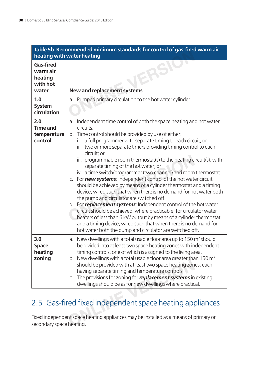|                                                              | Table 5b: Recommended minimum standards for control of gas-fired warm air<br>heating with water heating                                                                                                                                                                                                                                                                                                                                                                                                                                                                                                                                                                                                                                                                                                                                                                                                                                                                                                                                                                                            |
|--------------------------------------------------------------|----------------------------------------------------------------------------------------------------------------------------------------------------------------------------------------------------------------------------------------------------------------------------------------------------------------------------------------------------------------------------------------------------------------------------------------------------------------------------------------------------------------------------------------------------------------------------------------------------------------------------------------------------------------------------------------------------------------------------------------------------------------------------------------------------------------------------------------------------------------------------------------------------------------------------------------------------------------------------------------------------------------------------------------------------------------------------------------------------|
| <b>Gas-fired</b><br>warm air<br>heating<br>with hot<br>water | <b>New and replacement systems</b>                                                                                                                                                                                                                                                                                                                                                                                                                                                                                                                                                                                                                                                                                                                                                                                                                                                                                                                                                                                                                                                                 |
| 1.0<br><b>System</b><br>circulation                          | a. Pumped primary circulation to the hot water cylinder.                                                                                                                                                                                                                                                                                                                                                                                                                                                                                                                                                                                                                                                                                                                                                                                                                                                                                                                                                                                                                                           |
| 2.0<br><b>Time and</b><br>temperature<br>control             | a. Independent time control of both the space heating and hot water<br>circuits.<br>b. Time control should be provided by use of either:<br>a full programmer with separate timing to each circuit; or<br>i.<br>two or more separate timers providing timing control to each<br>ii.<br>circuit; or<br>iii. programmable room thermostat(s) to the heating circuit(s), with<br>separate timing of the hot water; or<br>iv. a time switch/programmer (two channel) and room thermostat.<br>c. For new systems: Independent control of the hot water circuit<br>should be achieved by means of a cylinder thermostat and a timing<br>device, wired such that when there is no demand for hot water both<br>the pump and circulator are switched off.<br>d. For replacement systems: Independent control of the hot water<br>circuit should be achieved, where practicable, for circulator water<br>heaters of less than 6 kW output by means of a cylinder thermostat<br>and a timing device, wired such that when there is no demand for<br>hot water both the pump and circulator are switched off. |
| 3.0<br><b>Space</b><br>heating<br>zoning                     | a. New dwellings with a total usable floor area up to 150 m <sup>2</sup> should<br>be divided into at least two space heating zones with independent<br>timing controls, one of which is assigned to the living area.<br>b. New dwellings with a total usable floor area greater than $150 \text{ m}^2$<br>should be provided with at least two space heating zones, each<br>having separate timing and temperature controls.<br>c. The provisions for zoning for <b>replacement systems</b> in existing<br>dwellings should be as for new dwellings where practical.                                                                                                                                                                                                                                                                                                                                                                                                                                                                                                                              |
| secondary space heating.                                     | 2.5 Gas-fired fixed independent space heating appliances<br>Fixed independent space heating appliances may be installed as a means of primary or                                                                                                                                                                                                                                                                                                                                                                                                                                                                                                                                                                                                                                                                                                                                                                                                                                                                                                                                                   |

### 2.5 Gas-fired fixed independent space heating appliances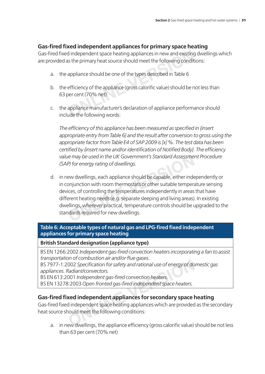#### **Gas-fi red fi xed independent appliances for primary space heating**

Gas-fired fixed independent space heating appliances in new and existing dwellings which are provided as the primary heat source should meet the following conditions:

- a. the appliance should be one of the types described in Table 6
- b. the efficiency of the appliance (gross calorific value) should be not less than 63 per cent (70% net) d independent space heating appliances in new and existing<br>as the primary heat source should meet the following condit<br>appliance should be one of the types described in Table 6<br>efficiency of the appliance (gross calorific
- c. the appliance manufacturer's declaration of appliance performance should include the following words:

The efficiency of this appliance has been measured as specified in *{insert appropriate entry from Table 6} and the result after conversion to gross using the appropriate factor from Table E4 of SAP 2009 is [x] %. The test data has been*  certified by *{insert name and/or identification of Notified Body}. The efficiency value may be used in the UK Government's Standard Assessment Procedure (SAP) for energy rating of dwellings.*

d. in new dwellings, each appliance should be capable, either independently or in conjunction with room thermostats or other suitable temperature sensing devices, of controlling the temperatures independently in areas that have different heating needs (e.g. separate sleeping and living areas). In existing dwellings, wherever practical, temperature controls should be upgraded to the standards required for new dwellings. re may be used in the UK Government's Standard Assessme.<br>P) for energy rating of dwellings.<br>ew dwellings, each appliance should be capable, either inde<br>onjunction with room thermostats or other suitable tempera<br>ices, of co

#### Table 6: Acceptable types of natural gas and LPG-fired fixed independent **appliances for primary space heating**

**British Standard designation (appliance type)**

BS EN 1266:2002 *Independent gas-fi red convection heaters incorporating a fan to assist transportation of combustion air and/or fl ue gases.*

BS 7977-1:2002 *Specification for safety and rational use of energy of domestic gas appliances. Radiant/convectors.*

BS EN 613:2001 *Independent gas-fi red convection heaters.*

BS EN 13278:2003 *Open fronted gas-fi red independent space heaters.*

#### **Gas-fi red fi xed independent appliances for secondary space heating**

Gas-fired fixed independent space heating appliances which are provided as the secondary heat source should meet the following conditions: First compassion an analog mac gases.<br>
002 Specification for safety and rational use of energy of do<br>
Radiant/convectors.<br>
001 Independent gas-fired convection heaters.<br>
3:2003 Open fronted gas-fired independent space heat

a. in new dwellings, the appliance efficiency (gross calorific value) should be not less than 63 per cent (70% net)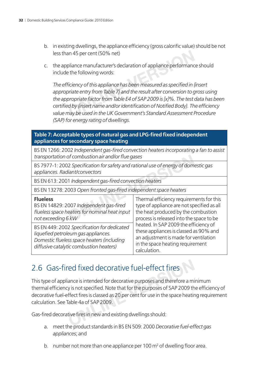- b. in existing dwellings, the appliance efficiency (gross calorific value) should be not less than 45 per cent (50% net)
- c. the appliance manufacturer's declaration of appliance performance should include the following words:

The efficiency of this appliance has been measured as specified in *{insert appropriate entry from Table 7} and the result after conversion to gross using the appropriate factor from Table E4 of SAP 2009 is [x]%. The test data has been*  certified by *{insert name and/or identification of Notified Body}*. The efficiency *value may be used in the UK Government's Standard Assessment Procedure (SAP) for energy rating of dwellings.* **Solution 45 per cent (50% net)**<br>
Soliance manufacturer's declaration of appliance performance<br>
are the following words:<br>
Ficiency of this appliance has been measured as specified in {<br>
priate entry from Table 7} and the r

#### Table 7: Acceptable types of natural gas and LPG-fired fixed independent **appliances for secondary space heating**

BS EN 1266: 2002 *Independent gas-fi red convection heaters incorporating a fan to assist transportation of combustion air and/or fl ue gases*

| transportation of combustion air and/or flue gases                                                                                                                          |                                                                                                                                                                              |  |  |
|-----------------------------------------------------------------------------------------------------------------------------------------------------------------------------|------------------------------------------------------------------------------------------------------------------------------------------------------------------------------|--|--|
| BS 7977-1: 2002 Specification for safety and rational use of energy of domestic gas<br>appliances. Radiant/convectors                                                       |                                                                                                                                                                              |  |  |
| BS EN 613: 2001 Independent gas-fired convection heaters                                                                                                                    |                                                                                                                                                                              |  |  |
| BS EN 13278: 2003 Open fronted gas-fired independent space heaters                                                                                                          |                                                                                                                                                                              |  |  |
| <b>Flueless</b><br>BS EN 14829: 2007 Independent gas-fired<br>flueless space heaters for nominal heat input<br>not exceeding 6 kW                                           | Thermal efficiency requirements for this<br>type of appliance are not specified as all<br>the heat produced by the combustion<br>process is released into the space to be    |  |  |
| BS EN 449: 2002 Specification for dedicated<br>liquefied petroleum gas appliances.<br>Domestic flueless space heaters (including<br>diffusive catalytic combustion heaters) | heated. In SAP 2009 the efficiency of<br>these appliances is classed as 90% and<br>an adjustment is made for ventilation<br>in the space heating requirement<br>calculation. |  |  |

### 2.6 Gas-fired fixed decorative fuel-effect fires

This type of appliance is intended for decorative purposes and therefore a minimum thermal efficiency is not specified. Note that for the purposes of SAP 2009 the efficiency of decorative fuel-effect fires is classed as 20 per cent for use in the space heating requirement calculation. See Table 4a of SAP 2009. The product standards in BS EN 509:2000 Decorative fuel-of<br>the product intended for decorative purposes and therefore a min<br>is is not specified. Note that for the purposes of SAP 2009 the<br>ffect fires is classed as 20 per c

Gas-fired decorative fires in new and existing dwellings should:

- a. meet the product standards in BS EN 509: 2000 *Decorative fuel-effect gas appliances*; and
- b. number not more than one appliance per 100  $m<sup>2</sup>$  of dwelling floor area.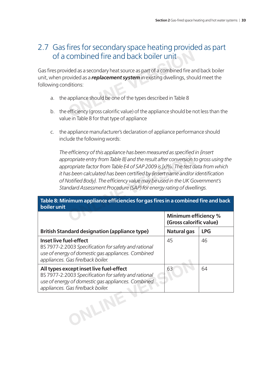#### 2.7 Gas fires for secondary space heating provided as part of a combined fire and back boiler unit

Gas fires provided as a secondary heat source as part of a combined fire and back boiler unit, when provided as a *replacement system* in existing dwellings, should meet the following conditions: **Combined fire and back boiler unit**<br>
ded as a secondary heat source as part of a combined fire an<br>
ovided as a *replacement system* in existing dwellings, should<br>
ditions:<br>
appliance should be one of the types described

- a. the appliance should be one of the types described in Table 8
- b. the efficiency (gross calorific value) of the appliance should be not less than the value in Table 8 for that type of appliance
- c. the appliance manufacturer's declaration of appliance performance should include the following words:

The efficiency of this appliance has been measured as specified in {insert *appropriate entry from Table 8} and the result after conversion to gross using the appropriate factor from Table E4 of SAP 2009 is [x]%. The test data from which it has been calculated has been certified by {insert name and/or identification* of Notified Body}. The efficiency value may be used in the UK Government's *Standard Assessment Procedure (SAP) for energy rating of dwellings.* ropriate entry from Table 8} and the result after conversion to<br>priate factor from Table E4 of SAP 2009 is [x]%. The test a<br>as been calculated has been certified by {insert name and/or<br>lotified Body}. The efficiency value

#### Table 8: Minimum appliance efficiencies for gas fires in a combined fire and back **boiler unit**

|                                                                                                                                                                                            | <b>Minimum efficiency %</b><br>(Gross calorific value) |            |
|--------------------------------------------------------------------------------------------------------------------------------------------------------------------------------------------|--------------------------------------------------------|------------|
| <b>British Standard designation (appliance type)</b>                                                                                                                                       | Natural gas                                            | <b>LPG</b> |
| Inset live fuel-effect<br>BS 7977-2:2003 Specification for safety and rational<br>use of energy of domestic gas appliances. Combined<br>appliances. Gas fire/back boiler.                  | 45                                                     | 46         |
| All types except inset live fuel-effect<br>BS 7977-2:2003 Specification for safety and rational<br>use of energy of domestic gas appliances. Combined<br>appliances. Gas fire/back boiler. | 63                                                     | 64         |
|                                                                                                                                                                                            |                                                        |            |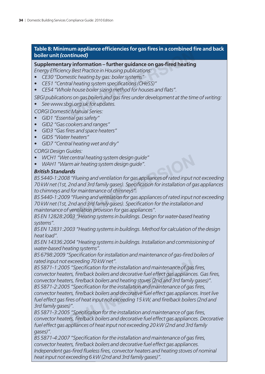# Table 8: Minimum appliance efficiencies for gas fires in a combined fire and back **boiler unit** *(continued)* **Community of the contribution of the control of the article of the article of the contributed)<br>
<b>Contribution of the control of the control of the control of the arting**<br>
cestic heating by gas: boiler systems"<br>
ral heatin

#### **Supplementary information – further guidance on gas-fired heating**

*Energy Efficiency Best Practice in Housing publications:* 

- *CE30 "Domestic heating by gas: boiler systems"*
- CE51 "Central heating system specifications (CHeSS)"
- CE54 "Whole house boiler sizing method for houses and flats".

*SBGI publications on gas boilers and gas fi res under development at the time of writing:*

*• See www.sbgi.org.uk for updates.*

*CORGI Domestic Manual Series:*

- *GID1 "Essential gas safety"*
- *GID2 "Gas cookers and ranges"*
- *GID3 "Gas fi res and space heaters"*
- *GID5 "Water heaters"*
- *GID7 "Central heating wet and dry"*

*CORGI Design Guides:*

- *WCH1 "Wet central heating system design guide"*
- *WAH1 "Warm air heating system design guide".*

#### *British Standards*

*BS 5440-1:2008 "Flueing and ventilation for gas appliances of rated input not exceeding 70 kW net (1st, 2nd and 3rd family gases). Specifi cation for installation of gas appliances to chimneys and for maintenance of chimneys".*

*BS 5440-1:2009 "Flueing and ventilation for gas appliances of rated input not exceeding 70 kW net (1st, 2nd and 3rd family gases). Specifi cation for the installation and maintenance of ventilation provision for gas appliances".* **ONLINE VERSION**

*BS EN 12828:2003 "Heating systems in buildings. Design for water-based heating systems".*

*BS EN 12831:2003 "Heating systems in buildings. Method for calculation of the design heat load".*

*BS EN 14336:2004 "Heating systems in buildings. Installation and commissioning of water-based heating systems".*

*BS 6798:2009 "Specifi cation for installation and maintenance of gas-fi red boilers of rated input not exceeding 70 kW net".*

BS 5871-1:2005 "Specification for the installation and maintenance of gas fires, *convector heaters, fi re/back boilers and decorative fuel effect gas appliances. Gas fi res, convector heaters, fi re/back boilers and heating stoves (2nd and 3rd family gases)".* BS 5871-2:2005 "Specification for the installation and maintenance of gas fires, *convector heaters, fi re/back boilers and decorative fuel effect gas appliances. Inset live*  fuel effect gas fires of heat input not exceeding 15 kW, and fire/back boilers (2nd and *3rd family gases)".* exceeding 70 kW net".<br>5 "Specification for the installation and maintenance of gas<br>ers, fire/back boilers and decorative fuel effect gas appliance<br>ers, fire/back boilers and heating stoves (2nd and 3rd family<br>5 "Specificat

BS 5871-3:2005 "Specification for the installation and maintenance of gas fires, *convector heaters, fi re/back boilers and decorative fuel effect gas appliances. Decorative fuel effect gas appliances of heat input not exceeding 20 kW (2nd and 3rd family gases)".*

BS 5871-4:2007 "Specification for the installation and maintenance of gas fires, *convector heaters, fi re/back boilers and decorative fuel effect gas appliances.*  Independent gas-fired flueless fires, convector heaters and heating stoves of nominal *heat input not exceeding 6 kW (2nd and 3rd family gases)".*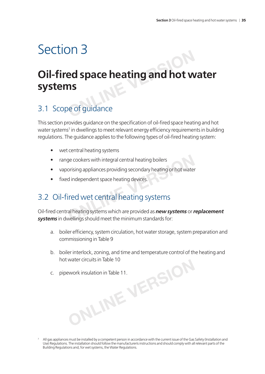### Section 3

# **Oil-fi red space heating and hot water systems ONLINE**<br> **ONLINE**<br> **ONLINE**<br> **ONLINEE**<br> **ONLINEE**<br> **ONLINEE**<br> **ONLINEE**<br> **ONLINEE**<br> **ONLINEE**<br> **ONLINEE**<br> **ONLINEE**

### 3.1 Scope of guidance

This section provides guidance on the specification of oil-fired space heating and hot water systems<sup>7</sup> in dwellings to meet relevant energy efficiency requirements in building regulations. The guidance applies to the following types of oil-fired heating system:

- wet central heating systems
- range cookers with integral central heating boilers
- vaporising appliances providing secondary heating or hot water
- fixed independent space heating devices.

### 3.2 Oil-fired wet central heating systems

Oil-fi red central heating systems which are provided as *new systems* or *replacement systems* in dwellings should meet the minimum standards for: Frame and the minimum standards for:<br>
Secondary appliances providing secondary heating or hot water<br> **ONLINE A SECONDE A PROPERTY SECONDED A SECONDED SECONDED A SECONDED A SECONDED A SUPPOSE All heating systems which are p** 

- a. boiler efficiency, system circulation, hot water storage, system preparation and commissioning in Table 9
- b. boiler interlock, zoning, and time and temperature control of the heating and Properties in Table 10
- c. pipework insulation in Table 11.

<sup>7</sup> All gas appliances must be installed by a competent person in accordance with the current issue of the Gas Safety (Installation and Use) Regulations. The installation should follow the manufacturerís instructions and should comply with all relevant parts of the Building Regulations and, for wet systems, the Water Regulations.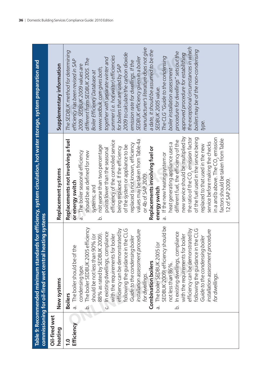|                            | commissioning for oil-fired wet central heating systems                                                                                                                                                                                                                                                                                                                                                                                                                                                                                                                                                                                                                                                                                                                                                                               | Table 9: Recommended minimum standards for efficiency, system circulation, hot water storage, system preparation and                                                                                                                                                                                                                                                                                                                                                                                                                                                                                                                                                                                                                                                                                                                                                                                                                                                    |                                                                                                                                                                                                                                                                                                                                                                                                                                                                                                                                                                                                                                                                                                                                                                                                              |
|----------------------------|---------------------------------------------------------------------------------------------------------------------------------------------------------------------------------------------------------------------------------------------------------------------------------------------------------------------------------------------------------------------------------------------------------------------------------------------------------------------------------------------------------------------------------------------------------------------------------------------------------------------------------------------------------------------------------------------------------------------------------------------------------------------------------------------------------------------------------------|-------------------------------------------------------------------------------------------------------------------------------------------------------------------------------------------------------------------------------------------------------------------------------------------------------------------------------------------------------------------------------------------------------------------------------------------------------------------------------------------------------------------------------------------------------------------------------------------------------------------------------------------------------------------------------------------------------------------------------------------------------------------------------------------------------------------------------------------------------------------------------------------------------------------------------------------------------------------------|--------------------------------------------------------------------------------------------------------------------------------------------------------------------------------------------------------------------------------------------------------------------------------------------------------------------------------------------------------------------------------------------------------------------------------------------------------------------------------------------------------------------------------------------------------------------------------------------------------------------------------------------------------------------------------------------------------------------------------------------------------------------------------------------------------------|
| Oil-fired wet<br>heating   | New systems                                                                                                                                                                                                                                                                                                                                                                                                                                                                                                                                                                                                                                                                                                                                                                                                                           | Replacement systems                                                                                                                                                                                                                                                                                                                                                                                                                                                                                                                                                                                                                                                                                                                                                                                                                                                                                                                                                     | Supplementary information                                                                                                                                                                                                                                                                                                                                                                                                                                                                                                                                                                                                                                                                                                                                                                                    |
| Efficiency<br>$\mathbf{S}$ | SEDBUK 2009) efficiency should be<br>The boiler SEDBUK 2005 efficiency<br>efficiency can be demonstrated by<br>efficiency can be demonstrated by<br>following the guidance in the CLG<br>following the guidance in the CLG<br>installation assessment procedure<br>installation assessment procedure<br>In existing dwellings, compliance<br>c. In existing dwellings, compliance<br>88% as rated by SEDBUK 2009).<br>with the requirements for boiler<br>should be not less than 90% (or<br>with the requirements for boiler<br>Guide to the condensing boiler<br>Guide to the condensing boiler<br>The boiler SEDBUK 2005 (or<br>The boiler should be of the<br><b>Combination boilers</b><br>not less than 86%.<br>condensing type.<br>for dwellings<br>for dwellings<br><b>Boilers</b><br>à.<br>.<br>ف<br>ā<br>$\overline{\circ}$ | new service should be multiplied by<br>the ratio of the CO <sub>2</sub> emission factor<br>in a and b above. The $\mathsf{CO}_2$ emission<br>of the fuel used in the service being<br>factors should be taken from Table<br>values may be taken from Table 4a<br>Replacements not involving a fuel<br>efficiency of the controlled service<br>different fuel, the efficiency of the<br>service before making the checks<br>heat generating appliance uses a<br>replaced is not known, efficiency<br>replaced to that used in the new<br>of the system or appliance to be<br>not worse than two percentage<br>being replaced. If the efficiency<br>Replacements involving fuel or<br>points lower than the seasonal<br>The boiler seasonal efficiency<br>should be as defined for new<br>If the new heating system or<br>or 4b of SAP 2009<br>12 of SAP 2009.<br>or energy switch<br>systems; and<br>energy switch<br>$\dot{\sigma}$<br>$\vec{\sigma}$<br>$\overline{Q}$ | the exceptional circumstances in which<br>manufacturer's literature does not give<br>boilers may be of the non-condensing<br>a date, it should be assumed to be the<br>The SEDBUK method for determining<br>procedure for dwellings" sets out the<br>2009 to calculate the carbon dioxide<br>approved procedure for establishing<br>summer (i.e. hot water) efficiencies<br>The CLG "Guide to the condensing<br>SEDBUK efficiency given in a boiler<br>together with separate winter and<br>different from SEDBUK 2005. The<br>efficiency has been revised in SAP<br>emission rate for dwellings. If the<br>2009. SEDBUK 2009 values are<br>for boilers that are used by SAP<br>www.sedbuk.com gives both,<br>boiler installation assessment<br>Boiler Efficiency Database at<br>SEDBUK 2005 value.<br>type. |
|                            |                                                                                                                                                                                                                                                                                                                                                                                                                                                                                                                                                                                                                                                                                                                                                                                                                                       |                                                                                                                                                                                                                                                                                                                                                                                                                                                                                                                                                                                                                                                                                                                                                                                                                                                                                                                                                                         |                                                                                                                                                                                                                                                                                                                                                                                                                                                                                                                                                                                                                                                                                                                                                                                                              |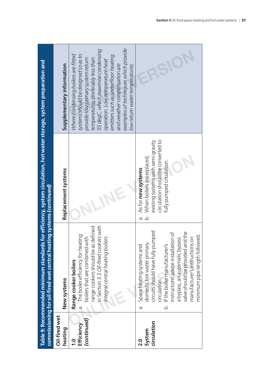|                                                | commissioning for oil-fired wet central heating systems (continued)                                                                                                                                                                                                                                                                        | Table 9: Recommended minimum standards for efficiency, system circulation, hot water storage, system preparation and                                                           |                                                                                                                                                                                                                                                                                                                                                                                |
|------------------------------------------------|--------------------------------------------------------------------------------------------------------------------------------------------------------------------------------------------------------------------------------------------------------------------------------------------------------------------------------------------|--------------------------------------------------------------------------------------------------------------------------------------------------------------------------------|--------------------------------------------------------------------------------------------------------------------------------------------------------------------------------------------------------------------------------------------------------------------------------------------------------------------------------------------------------------------------------|
| Oil-fired wet<br>heating                       | New systems                                                                                                                                                                                                                                                                                                                                | Replacement systems                                                                                                                                                            | Supplementary information                                                                                                                                                                                                                                                                                                                                                      |
| (continued)<br>Efficiency<br>$\overline{1}$ .0 | in Section 3.3 Oil-fired cookers with<br>range cookers should be as defined<br>The boiler efficiency for heating<br>boilers that are combined with<br>integral central heating boilers.<br>Range cooker boilers<br>ā.                                                                                                                      |                                                                                                                                                                                | examples of techniques which provide<br>55 degC, which maximise condensing<br>systems should be designed so as to<br>Where condensing boilers are fitted<br>emitters such as underfloor heating<br>provide low primary system return<br>temperatures, preferably less than<br>operation. Low temperature heat<br>and weather compensation are<br>low retum water temperatures. |
| circulation<br>System<br>$\frac{0}{2}$         | circuits should have fully pumped<br>valve should be provided and the<br>nstructions advise installation of<br>minimum pipe length followed.<br>manufacturer's instructions on<br>a bypass, an automatic bypass<br>Space heating systems and<br>domestic hot water primary<br>If the boiler manufacturer's<br>circulation.<br>.<br>ف<br>ā. | circulation should be converted to<br>existing systems with semi-gravity<br>When boilers are replaced,<br>fully pumped circulation.<br>As for new systems.<br>.<br>O<br>.<br>ف |                                                                                                                                                                                                                                                                                                                                                                                |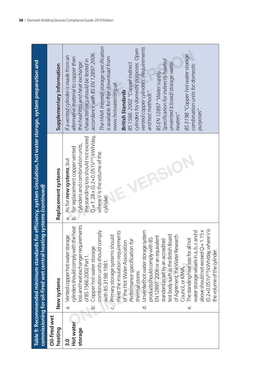|                                                                                                                                                                                             | Supplementary information | The HWA thermal storage specification<br>vented copper cylinders. Requirements<br>cylinders for domestic purposes. Open<br>accordance with BS EN 12897:2006.<br>BS 3198 "Copper hot water storage<br>If a vented cylinder is made from an<br>alternative material to copper then<br>is available for free download from<br>Specification for indirectly heated<br>characteristics should be tested in<br>unvented (closed) storage water<br>the heat loss and heat exchange<br>BS 1566: 2002 "Copper indirect<br>combination units for domestic<br>BS EN 12897 "Water supply.<br>www.hotwater.org.uk.<br>and test methods".<br><b>British Standards</b><br>purposes".<br>heaters".                                                                                                                                                                                                                          |
|---------------------------------------------------------------------------------------------------------------------------------------------------------------------------------------------|---------------------------|-------------------------------------------------------------------------------------------------------------------------------------------------------------------------------------------------------------------------------------------------------------------------------------------------------------------------------------------------------------------------------------------------------------------------------------------------------------------------------------------------------------------------------------------------------------------------------------------------------------------------------------------------------------------------------------------------------------------------------------------------------------------------------------------------------------------------------------------------------------------------------------------------------------|
|                                                                                                                                                                                             | Replacement systems       | $Q = 1.28 \times (0.2 + 0.051V^{2/3})$ kWh/day,<br>the standing loss should not exceed<br>cylinders and combination units,<br>b. for replacement copper vented<br>where V is the volume of the<br>As for new systems, but<br>cylinder.<br>ā.                                                                                                                                                                                                                                                                                                                                                                                                                                                                                                                                                                                                                                                                |
| Table 9: Recommended minimum standards for efficiency, system circulation, hot water storage, system preparation and<br>commissioning for oil-fired wet central heating systems (continued) | New systems               | loss and heat exchanger requirements<br>cylinders should comply with the heat<br>(0.2+0.051V <sup>2/3</sup> ) kVVh/day, where V is<br>above should not exceed $Q = 1.15x$<br>Unvented hot water storage system<br>combination units should comply<br>water storage vessels in a, b, c and d<br>meet the insulation requirements<br>Primary storage systems should<br>test body such as the British Board<br>of Agrément, the Water Research<br>Vented copper hot water storage<br>EN 12897: 2006 or an equivalent<br>products should comply with BS<br>The standing heat loss for all hot<br>standard as set by an accredited<br>for<br>of the Hot Water Association<br>Performance specification<br>Copper hot water storage<br>the volume of the cylinder.<br>of BS 1566:2002 Part 1.<br>with BS 3198:1981.<br>Council, or KIWA.<br>thermal stores.<br>$\overline{Q}$<br>ά,<br>$\overrightarrow{c}$<br>نه |
|                                                                                                                                                                                             | Oil-fired wet<br>heating  | Hot water<br>storage<br>$\frac{0}{3}$                                                                                                                                                                                                                                                                                                                                                                                                                                                                                                                                                                                                                                                                                                                                                                                                                                                                       |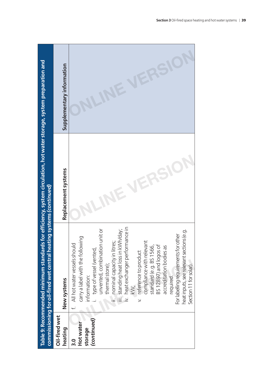|                                                 | commissioning for oil-fired wet central heating systems (continued)                                                                                                                                                                                                                                                                                                                                                                                                                                                                                                        | Table 9: Recommended minimum standards for efficiency, system circulation, hot water storage, system preparation and |                           |
|-------------------------------------------------|----------------------------------------------------------------------------------------------------------------------------------------------------------------------------------------------------------------------------------------------------------------------------------------------------------------------------------------------------------------------------------------------------------------------------------------------------------------------------------------------------------------------------------------------------------------------------|----------------------------------------------------------------------------------------------------------------------|---------------------------|
| Oil-fired wet<br>heating                        | New systems                                                                                                                                                                                                                                                                                                                                                                                                                                                                                                                                                                | Replacement systems                                                                                                  | Supplementary information |
| (continued)<br>Hot water<br>storage<br><u>ი</u> | heat exchanger performance in<br>unvented, combination unit or<br>standing heat loss in kWh/day;<br>heat inputs, see relevant sections (e.g.<br>For labelling requirements for other<br>carry a label with the following<br>nominal capacity in litres;<br>f. All hot water vessels should<br>compliance with relevan<br>standard (e.g. BS 1566,<br>BS 12897) and logos of<br>accreditation bodies as<br>type of vessel (vented,<br>v. reference to product<br>:hermal store);<br>Section 11 for solar).<br>required.<br>information:<br>$\ddot{\lessgtr}$<br>يد<br>=<br>E |                                                                                                                      |                           |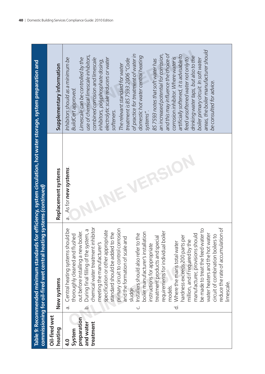|                                                                 | commissioning for oil-fired wet central hea                                                                                                                                                                                                                                                                                                                                                                                                                                                                                                                                                                                                                                                                                                                                                                                                                                                      | Table 9: Recommended minimum standards for efficiency, system circulation, hot water storage, system preparation and<br>ting systems (continued) |                                                                                                                                                                                                                                                                                                                                                                                                                                                                                                                                                                                                                                                                                                                                                                                                                                                      |
|-----------------------------------------------------------------|--------------------------------------------------------------------------------------------------------------------------------------------------------------------------------------------------------------------------------------------------------------------------------------------------------------------------------------------------------------------------------------------------------------------------------------------------------------------------------------------------------------------------------------------------------------------------------------------------------------------------------------------------------------------------------------------------------------------------------------------------------------------------------------------------------------------------------------------------------------------------------------------------|--------------------------------------------------------------------------------------------------------------------------------------------------|------------------------------------------------------------------------------------------------------------------------------------------------------------------------------------------------------------------------------------------------------------------------------------------------------------------------------------------------------------------------------------------------------------------------------------------------------------------------------------------------------------------------------------------------------------------------------------------------------------------------------------------------------------------------------------------------------------------------------------------------------------------------------------------------------------------------------------------------------|
| Oil-fired wet<br>heating                                        | New systems                                                                                                                                                                                                                                                                                                                                                                                                                                                                                                                                                                                                                                                                                                                                                                                                                                                                                      | Replacement systems                                                                                                                              | Supplementary information                                                                                                                                                                                                                                                                                                                                                                                                                                                                                                                                                                                                                                                                                                                                                                                                                            |
| preparation<br>and water<br>treatment<br>System<br>$\mathbf{a}$ | chemical water treatment inhibitor<br>Central heating systems should be<br>be made to treat the feed water to<br>primary circuit to control corrosion<br>During final filling of the system, a<br>specification or other appropriate<br>out before installing a new boiler.<br>boiler<br>lation<br>standard should be added to the<br>water heaters and the hot water<br>Installers should also refer to the<br>manufacturer, provisions should<br>thoroughly cleaned and flushed<br>circuit of combination boilers to<br>nardness exceeds 200 parts per<br>treatment products and special<br>and the formation of scale and<br>million, and if required by the<br>Where the mains total water<br>meeting the manufacturer's<br>nstructions for appropriate<br>boiler manufacturer's install<br>requirements for individual<br>nodels.<br>sludge.<br>$\overline{c}$<br>a.<br>$\overline{Q}$<br>ن | As for new systems.<br>a.<br>O                                                                                                                   | areas, the boiler manufacturer should<br>and this may influence the choice of<br>of practice for treatment of water in<br>an increased potential for corrosion,<br>artificially softened, it is advisable to<br>use of chemical limescale inhibitors,<br>domestic hot water central heating<br>drinking water taps, but also to the<br>feed unsoftened water not only to<br>corrosion inhibitor. Where water is<br>electrolytic scale reducers or water<br>Limescale can be controlled by the<br>Inhibitors should as a minimum be<br>combined corrosion and limescale<br>treatment is BS 7593:2006 "Code<br>boiler primary circuit. In soft water<br>BS 7593 notes that soft water has<br>inhibitors, polyphosphate dosing,<br>The relevant standard for water<br>be consulted for advice.<br><b>BuildCert approved.</b><br>softeners.<br>systems". |

reduce the rate of accumulation of reduce the rate of accumulation of<br>limescale.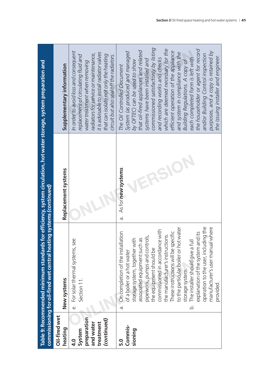|                                                                                 | commissioning for oil-fired wet central hea'                                                                                                                                                                                                                                                                                                                                                                                                                                                                                                                        | Table 9: Recommended minimum standards for efficiency, system circulation, hot water storage, system preparation and<br>ting systems (continued) |                                                                                                                                                                                                                                                                                                                                                                                                                                                                                                                                                                                                              |
|---------------------------------------------------------------------------------|---------------------------------------------------------------------------------------------------------------------------------------------------------------------------------------------------------------------------------------------------------------------------------------------------------------------------------------------------------------------------------------------------------------------------------------------------------------------------------------------------------------------------------------------------------------------|--------------------------------------------------------------------------------------------------------------------------------------------------|--------------------------------------------------------------------------------------------------------------------------------------------------------------------------------------------------------------------------------------------------------------------------------------------------------------------------------------------------------------------------------------------------------------------------------------------------------------------------------------------------------------------------------------------------------------------------------------------------------------|
| Oil-fired wet<br>heating                                                        | New systems                                                                                                                                                                                                                                                                                                                                                                                                                                                                                                                                                         | Replacement systems                                                                                                                              | Supplementary information                                                                                                                                                                                                                                                                                                                                                                                                                                                                                                                                                                                    |
| preparation<br>(continued)<br>and water<br>treatment<br>System<br>$\frac{1}{4}$ | e. For solar thermal systems, see<br>Section 11.                                                                                                                                                                                                                                                                                                                                                                                                                                                                                                                    |                                                                                                                                                  | In order to avoid loss and consequent<br>it is advisable to install radiator valves<br>radiators for service or maintenance,<br>that can isolate not only the heating<br>replacement of circulating fluid and<br>circuit but also seal off the radiators.<br>water treatment when removing                                                                                                                                                                                                                                                                                                                   |
| Commis-<br>sioning<br>5.0                                                       | to the particular boiler or hot water<br>operation to the user, including the<br>manufacturer's user manual where<br>commissioned in accordance with<br>explanation of the system and its<br>lation<br>These instructions will be specific<br>the manufacturer's instructions.<br>pipework, pumps and controls,<br>storage system, together with<br>associated equipment such as<br>The installer should give a full<br>On completion of the install<br>the equipment should be<br>of a boiler or a hot water<br>storage system.<br>provided.<br>.<br>ف<br>$\sigma$ | a. As for new systems.                                                                                                                           | commissioned satisfactorily by listing<br>which are deemed necessary for the<br>the householder or agent for record<br>that oil-fired appliances and related<br>efficient operation of the appliance<br>purposes, and a copy is retained by<br>System (as produced and managed<br>and system in compliance with the<br>and/or Building Control inspection<br>each completed form is left with<br>the issuing installer and engineer.<br>and recording works and checks<br>Building Regulations. A copy of<br>systems have been installed and<br>by OFTEC) can be used to show<br>The Oil Controlled Document |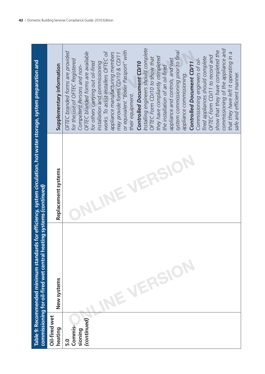| Supplementary information | Installing engineers should complete<br>commissioning of the appliance and<br>show that they have completed the<br>or equivalent "Boiler Passport" with<br>system commissioning prior to final<br>OFTEC branded forms are provided<br>OFTEC branded forms are available<br>that they have left it operating in a<br>works. To assist installers OFTEC oil<br>appliance manufacturing members<br>may provide forms CD/10 & CD/11<br>OFTEC Form CD/11 to record and<br>they have compliantly completed<br>fired appliances should complete<br>OFTEC Form CD/10 to show that<br>appliance and controls, and wet<br>Commissioning engineers of oil-<br>for the use of OFTEC Registered<br>Controlled Document CD/11<br>for others carrying out oil-fired<br>Controlled Document CD/10<br>installation and commissioning<br>Competent Persons and non-<br>the installation of an oil-fired<br>safe and efficient manner.<br>appliance commissioning.<br>their equipment. |
|---------------------------|---------------------------------------------------------------------------------------------------------------------------------------------------------------------------------------------------------------------------------------------------------------------------------------------------------------------------------------------------------------------------------------------------------------------------------------------------------------------------------------------------------------------------------------------------------------------------------------------------------------------------------------------------------------------------------------------------------------------------------------------------------------------------------------------------------------------------------------------------------------------------------------------------------------------------------------------------------------------|
| Replacement systems       |                                                                                                                                                                                                                                                                                                                                                                                                                                                                                                                                                                                                                                                                                                                                                                                                                                                                                                                                                                     |
| New systems               | NE VERSIO<br>(continued)<br>Commis-<br>sioning                                                                                                                                                                                                                                                                                                                                                                                                                                                                                                                                                                                                                                                                                                                                                                                                                                                                                                                      |
|                           | Oil-fired wet<br>heating                                                                                                                                                                                                                                                                                                                                                                                                                                                                                                                                                                                                                                                                                                                                                                                                                                                                                                                                            |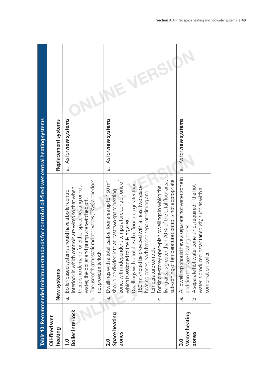|                                               | Table 10: Recommended minimum standards for control of oil-fired wet central heating systems                                                                                                                                                                                                                                                                                                                                                                                                                                                                                                                                            |                                         |
|-----------------------------------------------|-----------------------------------------------------------------------------------------------------------------------------------------------------------------------------------------------------------------------------------------------------------------------------------------------------------------------------------------------------------------------------------------------------------------------------------------------------------------------------------------------------------------------------------------------------------------------------------------------------------------------------------------|-----------------------------------------|
| Oil-fired wet<br>heating                      | New systems                                                                                                                                                                                                                                                                                                                                                                                                                                                                                                                                                                                                                             | Replacement systems                     |
| <b>Boiler interlock</b><br>$\overline{1}$ . O | The use of thermostatic radiator valves (TRVs) alone does<br>there is no demand for either space heating or hot<br>interlock in which controls are wired so that when<br>Boiler-based systems should have a boiler control<br>water, the boiler and pump are switched off.<br>not provide interlock.<br>.<br>ف<br>ā.                                                                                                                                                                                                                                                                                                                    | As for new systems<br>à.                |
| Space heating<br>zones<br>$\frac{0}{2}$       | sub-zoning of temperature control is not appropriate.<br>living area is greater than 70% of the total floor area,<br>zones with independent temperature control, one of<br>Dwellings with a total usable floor area up to 150 m <sup>2</sup><br>should be divided into at least two space heating<br>Dwellings with a total usable floor area greater than<br>For single-storey open-plan dwellings in which the<br>150 m <sup>2</sup> should be provided with at least two space<br>heating zones, each having separate timing and<br>which is assigned to the living area.<br>temperature controls.<br>$\overline{Q}$<br>.<br>ن<br>ā. | As for new systems.<br>ā.               |
| Water heating<br>zones<br><u>ດ</u>            | All dwellings should have a separate hot water zone in<br>A separate hot water zone is not required if the hot<br>water is produced instantaneously, such as with a<br>addition to space heating zones.<br>combination boiler.<br>ā.<br>.<br>ف                                                                                                                                                                                                                                                                                                                                                                                          | As for new systems.<br>$\overline{a}$ . |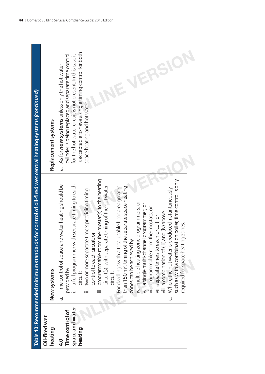| for the hot water circuit is not present. In this case it<br>cylinder is being replaced and separate time control<br>As for <b>new systems</b> unless only the hot water<br>space heating and hot water.<br>Replacement systems<br>ā.<br>a. Time control of space and water heating should be<br>i. a full programmer with separate timing to each<br>te timers providing timing<br>control to each circuit; or<br>two or more separat<br>provided by:<br>New systems<br>circuit;<br>space and water<br>Time control of<br>Oil-fired wet<br>heating<br>heating<br>$\frac{0}{4}$ | Table 10: Recommended minimum standards for control of oil-fired wet central heating systems (continued)               |                                                        |
|---------------------------------------------------------------------------------------------------------------------------------------------------------------------------------------------------------------------------------------------------------------------------------------------------------------------------------------------------------------------------------------------------------------------------------------------------------------------------------------------------------------------------------------------------------------------------------|------------------------------------------------------------------------------------------------------------------------|--------------------------------------------------------|
|                                                                                                                                                                                                                                                                                                                                                                                                                                                                                                                                                                                 |                                                                                                                        |                                                        |
| such as with a combination boiler, time control is only<br>than 150 m <sup>2</sup> , timing of the separate space heating<br>b. For dwellings with a total usable floor area greater<br>Where the hot water is produced instantaneously,<br>iv. multiple heating zone programmers; or<br>v. a single multi-channel programmer; or<br>vi. programmable room thermostats; or<br>vii. separate timers to each circuit; or<br>viii. a combination of (iii) and (iv) above.<br>required for space heating zones.<br>zones can be achieved by:<br>circuit.<br>.<br>ن                  | programmable room thermostat(s) to the heating<br>circuit(s), with separate timing of the hot water<br>$\frac{1}{100}$ | is acceptable to have a single timing control for both |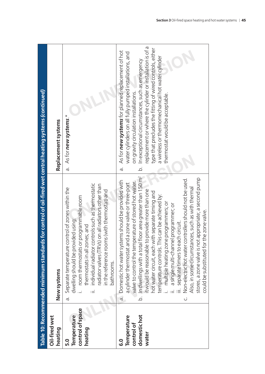|                                                                       | Table 10: Recommended minimum standards for control of oil-fired wet central heating systems (continued)                                                                                                                                                                                                                                                                                                                                                                                                                                                                                                                                                                                                                                                               |                                                                                                                                                                                                                                                                                                                                                                                                                                                  |
|-----------------------------------------------------------------------|------------------------------------------------------------------------------------------------------------------------------------------------------------------------------------------------------------------------------------------------------------------------------------------------------------------------------------------------------------------------------------------------------------------------------------------------------------------------------------------------------------------------------------------------------------------------------------------------------------------------------------------------------------------------------------------------------------------------------------------------------------------------|--------------------------------------------------------------------------------------------------------------------------------------------------------------------------------------------------------------------------------------------------------------------------------------------------------------------------------------------------------------------------------------------------------------------------------------------------|
| Oil-fired wet<br>heating                                              | New systems                                                                                                                                                                                                                                                                                                                                                                                                                                                                                                                                                                                                                                                                                                                                                            | Replacement systems                                                                                                                                                                                                                                                                                                                                                                                                                              |
| control of space<br>Temperature<br>heating<br>5.0                     | individual radiator controls such as thermostatic<br>adiator valves (TRVs) on all radiators other than<br>Separate temperature control of zones within the<br>in the reference rooms (with thermostat) and<br>room thermostats or programmable room<br>dwelling should be provided using:<br>hermostats in all zones; and<br>bathrooms.<br>à.                                                                                                                                                                                                                                                                                                                                                                                                                          | As for new systems.*<br>à.                                                                                                                                                                                                                                                                                                                                                                                                                       |
| domestichot<br>Temperature<br>control of<br>water<br>$\overline{6}.0$ | floor area greater than 150 m <sup>2</sup><br>stores, a zone valve is not appropriate; a second pump<br>Non-electric hot water controllers should not be used.<br>a. Domestic hot water systems should be provided with<br>valve to control the temperature of stored hot water.<br>a cylinder thermostat and a zone valve or three-port<br>Also, in some circumstances, such as with thermal<br>to provide more than one<br>hot water circuit, each with separate timing and<br>temperature controls. This can be achieved by:<br>multiple heating zone programmers; or<br>a single multi-channel programmer; or<br>could be substituted for the zone valve.<br>separate timers to each circuit.<br>b. In dwellings with a total<br>t would be reasonable t<br>.<br>ن | replacement or where the cylinder or installation is of a<br>type that precludes the fitting of wired controls, either<br>As for <b>new systems</b> for planned replacement of hot<br>water cylinders on all fully pumped installations, and<br>a wireless or thermomechanical hot water cylinder<br>In exceptional circumstances, such as emergency<br>on gravity circulation installations.<br>thermostat would be acceptable.<br>.<br>ف<br>ā. |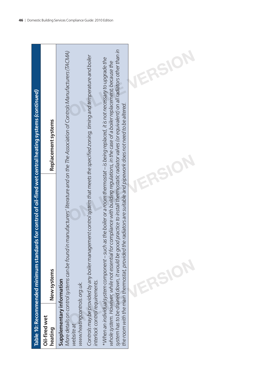|                                                                                                          | Replacement systems                     |                                                                                                                                                                                                                                                                                                                                                                                                                                                                                                                                                                                                                                                                                                                                                                                                                                                                                                                                                      |  |
|----------------------------------------------------------------------------------------------------------|-----------------------------------------|------------------------------------------------------------------------------------------------------------------------------------------------------------------------------------------------------------------------------------------------------------------------------------------------------------------------------------------------------------------------------------------------------------------------------------------------------------------------------------------------------------------------------------------------------------------------------------------------------------------------------------------------------------------------------------------------------------------------------------------------------------------------------------------------------------------------------------------------------------------------------------------------------------------------------------------------------|--|
| Table 10: Recommended minimum standards for control of oil-fired wet central heating systems (continued) | New systems<br>Oil-fired wet<br>heating | system has to be drained down, it would be good practice to install thermostatic radiator valves (or equivalent) on all radiators other than in<br>More details on control systems can be found in manufacturers' literature and on the The Association of Controls Manufacturers (TACMA)<br>Controls may be provided by any boiler management control system that meets the specified zoning, timing and temperature and boiler<br>*When an individual system component – such as the boiler or a room thermostat – is being replaced, it is not necessary to upgrade the<br>whole system. However, while not essential for compliance with building regulations, in the case of a boiler replacement, because the<br>the room with the main thermostat, provided the radiators are suitable and pipework does not need to be altered.<br>Supplementary information<br>interlock control requirements.<br>www.heatingcontrols.org.uk.<br>website at |  |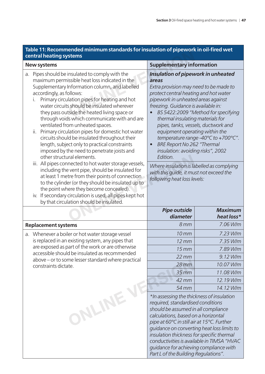| Table 11: Recommended minimum standards for insulation of pipework in oil-fired wet |  |
|-------------------------------------------------------------------------------------|--|
| <b>central heating systems</b>                                                      |  |

|    | iable TimeCommented infilmition standards for insulation or pipework in oir-nieu wet<br>central heating systems                                                                                                                                                                                                                                                                                                                                                                                                                                                                                                                                                  |                                                                                                                                                                                                                                                                                                                                                                                                                                                                                                                                                                                                                     |                                            |  |
|----|------------------------------------------------------------------------------------------------------------------------------------------------------------------------------------------------------------------------------------------------------------------------------------------------------------------------------------------------------------------------------------------------------------------------------------------------------------------------------------------------------------------------------------------------------------------------------------------------------------------------------------------------------------------|---------------------------------------------------------------------------------------------------------------------------------------------------------------------------------------------------------------------------------------------------------------------------------------------------------------------------------------------------------------------------------------------------------------------------------------------------------------------------------------------------------------------------------------------------------------------------------------------------------------------|--------------------------------------------|--|
|    | <b>New systems</b>                                                                                                                                                                                                                                                                                                                                                                                                                                                                                                                                                                                                                                               | <b>Supplementary information</b>                                                                                                                                                                                                                                                                                                                                                                                                                                                                                                                                                                                    |                                            |  |
| a. | Pipes should be insulated to comply with the<br>maximum permissible heat loss indicated in the<br>Supplementary Information column, and labelled<br>accordingly, as follows:<br>Primary circulation pipes for heating and hot<br>I.<br>water circuits should be insulated wherever<br>they pass outside the heated living space or<br>through voids which communicate with and are<br>ventilated from unheated spaces.<br>Primary circulation pipes for domestic hot water<br>ii.<br>circuits should be insulated throughout their<br>length, subject only to practical constraints<br>imposed by the need to penetrate joists and<br>other structural elements. | Insulation of pipework in unheated<br>areas<br>Extra provision may need to be made to<br>protect central heating and hot water<br>pipework in unheated areas against<br>freezing. Guidance is available in:<br>BS 5422:2009 "Method for specifying<br>thermal insulating materials for<br>pipes, tanks, vessels, ductwork and<br>equipment operating within the<br>temperature range -40°C to +700°C".<br><b>BRE Report No 262 "Thermal</b><br>insulation: avoiding risks", 2002<br>Edition.<br>Where insulation is labelled as complying<br>with this quide, it must not exceed the<br>following heat loss levels: |                                            |  |
|    | iii. All pipes connected to hot water storage vessels,<br>including the vent pipe, should be insulated for<br>at least 1 metre from their points of connection<br>to the cylinder (or they should be insulated up to<br>the point where they become concealed).<br>iv. If secondary circulation is used, all pipes kept hot<br>by that circulation should be insulated.                                                                                                                                                                                                                                                                                          |                                                                                                                                                                                                                                                                                                                                                                                                                                                                                                                                                                                                                     |                                            |  |
|    |                                                                                                                                                                                                                                                                                                                                                                                                                                                                                                                                                                                                                                                                  | <b>Pipe outside</b><br>diameter                                                                                                                                                                                                                                                                                                                                                                                                                                                                                                                                                                                     | <b>Maximum</b><br>heat loss*               |  |
|    | <b>Replacement systems</b>                                                                                                                                                                                                                                                                                                                                                                                                                                                                                                                                                                                                                                       | 8mm                                                                                                                                                                                                                                                                                                                                                                                                                                                                                                                                                                                                                 | 7.06 W/m                                   |  |
| a. | Whenever a boiler or hot water storage vessel                                                                                                                                                                                                                                                                                                                                                                                                                                                                                                                                                                                                                    | 10 <sub>mm</sub>                                                                                                                                                                                                                                                                                                                                                                                                                                                                                                                                                                                                    | 7.23 W/m                                   |  |
|    | is replaced in an existing system, any pipes that                                                                                                                                                                                                                                                                                                                                                                                                                                                                                                                                                                                                                | $12 \, \text{mm}$                                                                                                                                                                                                                                                                                                                                                                                                                                                                                                                                                                                                   | 7.35 W/m                                   |  |
|    | are exposed as part of the work or are otherwise<br>accessible should be insulated as recommended                                                                                                                                                                                                                                                                                                                                                                                                                                                                                                                                                                | $15$ mm                                                                                                                                                                                                                                                                                                                                                                                                                                                                                                                                                                                                             | 7.89 W/m                                   |  |
|    | above – or to some lesser standard where practical                                                                                                                                                                                                                                                                                                                                                                                                                                                                                                                                                                                                               | $22 \, \text{mm}$                                                                                                                                                                                                                                                                                                                                                                                                                                                                                                                                                                                                   | 9.12 W/m                                   |  |
|    | constraints dictate.                                                                                                                                                                                                                                                                                                                                                                                                                                                                                                                                                                                                                                             | $28$ mm                                                                                                                                                                                                                                                                                                                                                                                                                                                                                                                                                                                                             | 10.07 W/m                                  |  |
|    |                                                                                                                                                                                                                                                                                                                                                                                                                                                                                                                                                                                                                                                                  | $35$ mm                                                                                                                                                                                                                                                                                                                                                                                                                                                                                                                                                                                                             | 11.08 W/m                                  |  |
|    |                                                                                                                                                                                                                                                                                                                                                                                                                                                                                                                                                                                                                                                                  | 42 mm                                                                                                                                                                                                                                                                                                                                                                                                                                                                                                                                                                                                               | 12.19 W/m                                  |  |
|    |                                                                                                                                                                                                                                                                                                                                                                                                                                                                                                                                                                                                                                                                  | 54 mm                                                                                                                                                                                                                                                                                                                                                                                                                                                                                                                                                                                                               | 14.12 W/m                                  |  |
|    | ONLINE                                                                                                                                                                                                                                                                                                                                                                                                                                                                                                                                                                                                                                                           | *In assessing the thickness of insulation<br>required, standardised conditions<br>should be assumed in all compliance<br>calculations, based on a horizontal<br>pipe at 60°C in still air at 15°C. Further<br>guidance on converting heat loss limits to<br>insulation thickness for specific thermal<br>guidance for achieving compliance with<br>Part L of the Building Regulations".                                                                                                                                                                                                                             | conductivities is available in TIMSA "HVAC |  |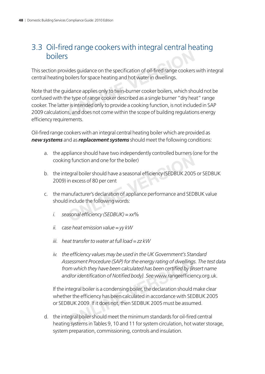### 3.3 Oil-fired range cookers with integral central heating boilers

This section provides guidance on the specification of oil-fired range cookers with integral central heating boilers for space heating and hot water in dwellings.

Note that the guidance applies only to twin-burner cooker boilers, which should not be confused with the type of range cooker described as a single burner "dry heat" range cooker. The latter is intended only to provide a cooking function, is not included in SAP 2009 calculations, and does not come within the scope of building regulations energy efficiency requirements. Ides guidance on the specification of oil-fired range cookers<br>
oilers for space heating and hot water in dwellings.<br>
Idance applies only to twin-burner cooker boilers, which sho<br>
In the type of range cooker described as a

Oil-fired range cookers with an integral central heating boiler which are provided as *new systems* and as *replacement systems* should meet the following conditions:

- a. the appliance should have two independently controlled burners (one for the cooking function and one for the boiler)
- b. the integral boiler should have a seasonal efficiency (SEDBUK 2005 or SEDBUK 2009) in excess of 80 per cent
- c. the manufacturer's declaration of appliance performance and SEDBUK value should include the following words: Individual and one for the boiler)<br>egral boiler should have a seasonal efficiency (SEDBUK 2005<br>in excess of 80 per cent<br>mufacturer's declaration of appliance performance and SED<br>include the following words:<br>asonal efficien
	- *i.* seasonal efficiency (SEDBUK) = xx%
	- *ii. case heat emission value = yy kW*
	- *iii. heat transfer to water at full load = zz kW*
	- iv. the efficiency values may be used in the UK Government's Standard *Assessment Procedure (SAP) for the energy rating of dwellings. The test data*  from which they have been calculated has been certified by *{insert name* and/or identification of Notified body}. See www.rangeefficiency.org.uk.

If the integral boiler is a condensing boiler, the declaration should make clear whether the efficiency has been calculated in accordance with SEDBUK 2005 or SEDBUK 2009. If it does not, then SEDBUK 2005 must be assumed. sessment Procedure (SAP) for the energy rating of dwellings<br>om which they have been calculated has been certified by {in<br>d/or identification of Notified body}. See www.rangeefficier<br>ntegral boiler is a condensing boiler, t

d. the integral boiler should meet the minimum standards for oil-fired central heating systems in Tables 9, 10 and 11 for system circulation, hot water storage, system preparation, commissioning, controls and insulation.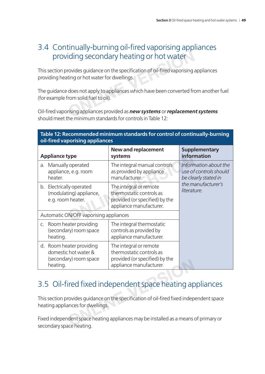### 3.4 Continually-burning oil-fired vaporising appliances providing secondary heating or hot water

This section provides guidance on the specification of oil-fired vaporising appliances providing heating or hot water for dwellings. **ONLINE SECONDARY heating or hot water**<br>
rovides guidance on the specification of oil-fired vaporising a<br>
ting or hot water for dwellings.<br>
does not apply to appliances which have been converted from solid fuel to oil).<br>
F

The guidance does not apply to appliances which have been converted from another fuel (for example from solid fuel to oil).

Oil-fi red vaporising appliances provided as *new systems* or *replacement systems* should meet the minimum standards for controls in Table 12:

|                                        | Table 12: Recommended minimum standards for control of continually-burning<br>oil-fired vaporising appliances |                                                                                                                 |                                                                         |  |  |
|----------------------------------------|---------------------------------------------------------------------------------------------------------------|-----------------------------------------------------------------------------------------------------------------|-------------------------------------------------------------------------|--|--|
|                                        | <b>Appliance type</b>                                                                                         | <b>New and replacement</b><br>systems                                                                           | <b>Supplementary</b><br>information                                     |  |  |
| a.                                     | Manually operated<br>appliance, e.g. room<br>heater.                                                          | The integral manual controls<br>as provided by appliance<br>manufacturer.                                       | Information about the<br>use of controls should<br>be clearly stated in |  |  |
|                                        | b. Electrically operated<br>(modulating) appliance,<br>e.g. room heater.                                      | The integral or remote<br>thermostatic controls as<br>provided (or specified) by the<br>appliance manufacturer. | the manufacturer's<br>literature.                                       |  |  |
| Automatic ON/OFF vaporising appliances |                                                                                                               |                                                                                                                 |                                                                         |  |  |
|                                        | c. Room heater providing<br>(secondary) room space<br>heating.                                                | The integral thermostatic<br>controls as provided by<br>appliance manufacturer.                                 |                                                                         |  |  |
|                                        | d. Room heater providing<br>domestic hot water &<br>(secondary) room space<br>heating.                        | The integral or remote<br>thermostatic controls as<br>provided (or specified) by the<br>appliance manufacturer. |                                                                         |  |  |

### 3.5 Oil-fired fixed independent space heating appliances

This section provides guidance on the specification of oil-fired fixed independent space heating appliances for dwellings. Fracturer.<br>
Suppliance manufacturer.<br>
Fred fixed independent space heating approvides guidance on the specification of oil-fired fixed indep<br>
Fracture space heating appliances may be installed as a means of<br>
Representing a

Fixed independent space heating appliances may be installed as a means of primary or secondary space heating.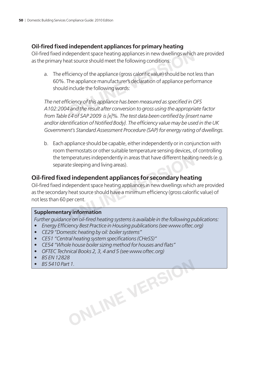### **Oil-fi red fi xed independent appliances for primary heating**

Oil-fired fixed independent space heating appliances in new dwellings which are provided as the primary heat source should meet the following conditions:

a. The efficiency of the appliance (gross calorific value) should be not less than 60%. The appliance manufacturer's declaration of appliance performance should include the following words: dependent space heating appliances in new dwellings which<br>the state source should meet the following conditions:<br>iciency of the appliance (gross calorific value) should be not<br>The appliance manufacturer's declaration of ap

The net efficiency of this appliance has been measured as specified in OFS *A102:2004 and the result after conversion to gross using the appropriate factor*  from Table E4 of SAP 2009 is [x]%. The test data been certified by *finsert name* and/or identification of Notified Body}. The efficiency value may be used in the UK *Government's Standard Assessment Procedure (SAP) for energy rating of dwellings.*

b. Each appliance should be capable, either independently or in conjunction with room thermostats or other suitable temperature sensing devices, of controlling the temperatures independently in areas that have different heating needs (e.g. separate sleeping and living areas).

### **Oil-fi red fi xed independent appliances for secondary heating**

Oil-fired fixed independent space heating appliances in new dwellings which are provided as the secondary heat source should have a minimum efficiency (gross calorific value) of not less than 60 per cent. mperatures independently in areas that have different heating<br>te sleeping and living areas).<br>**d independent appliances for secondary heati**<br>dependent space heating appliances in new dwellings which<br>heat source should have

#### **Supplementary information**

*Further guidance on oil-fi red heating systems is available in the following publications:*

- *Energy Efficiency Best Practice in Housing publications (see www.oftec.org)*
- *CE29 "Domestic heating by oil: boiler systems"*
- CE51 "Central heating system specifications (CHeSS)"
- CE54 "Whole house boiler sizing method for houses and flats"
- *OFTEC Technical Books 2, 3, 4 and 5 (see www.oftec.org)*
- *BS EN 12828*
- *BS 5410 Part 1.* ONLINE VERSIO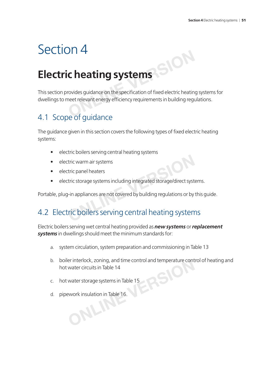# Section 4

# **Electric heating systems**

This section provides guidance on the specification of fixed electric heating systems for dwellings to meet relevant energy efficiency requirements in building regulations. **C heating systems**<br>
rovides guidance on the specification of fixed electric heatin<br>
neet relevant energy efficiency requirements in building regu

### 4.1 Scope of guidance

The guidance given in this section covers the following types of fixed electric heating systems:

- electric boilers serving central heating systems
- electric warm air systems
- electric panel heaters
- electric storage systems including integrated storage/direct systems.

Portable, plug-in appliances are not covered by building regulations or by this guide.

# 4.2 Electric boilers serving central heating systems Firic warm air systems<br>
tric panel heaters<br>
tric storage systems including integrated storage/direct syst<br> **Position**: The appliances are not covered by building regulations or by<br>
Tric boilers serving central heating syst

Electric boilers serving wet central heating provided as *new systems* or *replacement systems* in dwellings should meet the minimum standards for:

- a. system circulation, system preparation and commissioning in Table 13
- b. boiler interlock, zoning, and time control and temperature control of heating and<br>hot water circuits in Table 14<br>c. hot water storage systems in Table 15 hot water circuits in Table 14
- c. hot water storage systems in Table 15
- d. pipework insulation in Table 16. **ONLINER**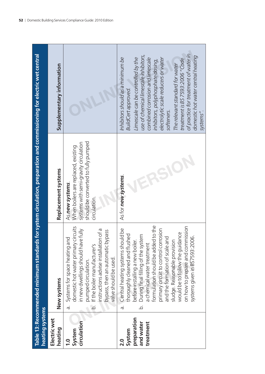| heating systems                                                 |                                                                                                                                                                                                                                                                                                                                                                                                                                                | Table 13: Recommended minimum standards for system circulation, preparation and commissioning for electric wet central                                 |                                                                                                                                                                                                                                                                                                                                                                                                                                                 |
|-----------------------------------------------------------------|------------------------------------------------------------------------------------------------------------------------------------------------------------------------------------------------------------------------------------------------------------------------------------------------------------------------------------------------------------------------------------------------------------------------------------------------|--------------------------------------------------------------------------------------------------------------------------------------------------------|-------------------------------------------------------------------------------------------------------------------------------------------------------------------------------------------------------------------------------------------------------------------------------------------------------------------------------------------------------------------------------------------------------------------------------------------------|
| Electric wet<br>heating                                         | New systems                                                                                                                                                                                                                                                                                                                                                                                                                                    | Replacement systems                                                                                                                                    | Supplementary information                                                                                                                                                                                                                                                                                                                                                                                                                       |
| circulation<br>System<br>1.0                                    | domestic hot water primary circuits<br>nstructions advise installation of a<br>ve fully<br>bypass, then an automatic bypass<br>Systems for space heating and<br>in new dwellings should hav<br>f the boiler manufacturer's<br>valve should be used.<br>pumped circulation.<br>ā.<br>.<br>ف                                                                                                                                                     | should be converted to fully pumped<br>systems with semi-gravity circulation<br>When boilers are replaced, existing<br>As new systems.<br>circulation. |                                                                                                                                                                                                                                                                                                                                                                                                                                                 |
| preparation<br>and water<br>treatment<br>System<br>$\mathbf{S}$ | formulation should be added to the<br>on how to prepare and commission<br>a. Central heating systems should be<br>primary circuit to control corrosion<br>would be to follow the guidance<br>horoughly cleaned and flushed<br>During final filling of the system<br>systems given in BS7593:2006.<br>and the formation of scale and<br>before installing a new boiler.<br>sludge. Reasonable provision<br>a chemical water treatment<br>.<br>ف | As for new systems.                                                                                                                                    | of practice for treatment of water in<br>use of chemical limescale inhibitors,<br>domestic hot water central heating<br>Limescale can be controlled by the<br>electrolytic scale reducers or water<br>Inhibitors should as a minimum be<br>combined corrosion and limescale<br>treatment is BS 7593:2006 "Code<br>inhibitors, polyphosphate dosing,<br>The relevant standard for water<br><b>BuildCert approved.</b><br>sotteners.<br>systems". |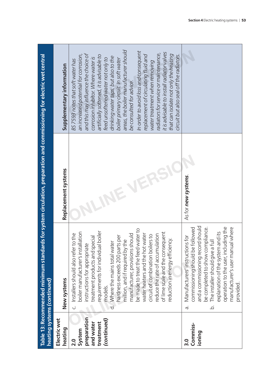|                        | Table 13: Recommended minimum standards for system circulation, preparation and commissioning for electric wet central<br>heating systems (continued) |                     |                                                                                   |
|------------------------|-------------------------------------------------------------------------------------------------------------------------------------------------------|---------------------|-----------------------------------------------------------------------------------|
| Electric wet           |                                                                                                                                                       |                     |                                                                                   |
| heating                | New systems                                                                                                                                           | Replacement systems | Supplementary information                                                         |
| System<br>2.0          | Iation<br>Installers should also refer to the<br>boiler manufacturer's install<br>ن                                                                   |                     | an increased potential for corrosion,<br>BS 7593 notes that soft water has        |
| preparation            | instructions for appropriate                                                                                                                          |                     | and this may influence the choice of                                              |
| and water<br>treatment | boiler<br>treatment products and special<br>requirements for individual                                                                               |                     | artificially softened, it is advisable to<br>corrosion inhibitor. Where water is  |
| (continued)            | models.                                                                                                                                               |                     | feed unsoftened water not only to                                                 |
|                        | d. Where the mains total water                                                                                                                        |                     | drinking water taps, but also to the                                              |
|                        | hardness exceeds 200 parts per<br>million, and if required by the                                                                                     |                     | areas, the boiler manufacturer should<br>boiler primary circuit. In soft water    |
|                        | manufacturer, provisions should                                                                                                                       |                     | be consulted for advice.                                                          |
|                        | be made to treat the feed water to                                                                                                                    |                     | In order to avoid loss and consequent                                             |
|                        | water heaters and the hot water                                                                                                                       |                     | replacement of circulating fluid and                                              |
|                        | circuit of combination boilers to                                                                                                                     |                     | water treatment when removing                                                     |
|                        | reduce the rate of accumulation                                                                                                                       |                     | radiators for service or maintenance,                                             |
|                        | of lime scale and the consequent                                                                                                                      |                     | it is advisable to install radiator valves                                        |
|                        | reduction in energy efficiency.                                                                                                                       |                     | that can isolate not only the heating<br>circuit but also seal off the radiators. |
|                        |                                                                                                                                                       |                     |                                                                                   |
| Commiss-<br>3.0        | commissioning should be followed<br>Manufacturers' instructions for<br>ā.                                                                             | As for new systems. |                                                                                   |
| ioning                 | and a commissioning record should                                                                                                                     |                     |                                                                                   |
|                        | be completed to show compliance.                                                                                                                      |                     |                                                                                   |
|                        | The installer should give a full<br>$\overline{Q}$                                                                                                    |                     |                                                                                   |
|                        | explanation of the system and its                                                                                                                     |                     |                                                                                   |
|                        | operation to the user, including the                                                                                                                  |                     |                                                                                   |
|                        | manufacturer's user manual where                                                                                                                      |                     |                                                                                   |
|                        | provided.                                                                                                                                             |                     |                                                                                   |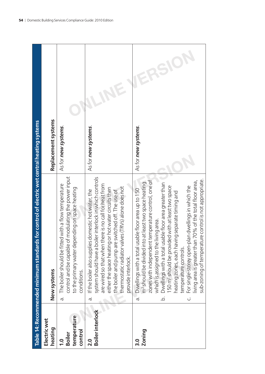|                                                          | Table 14: Recommended minimum standards for control of electric wet central heating systems                                                                                                                                                                                                                                                                                                                                                                                                                                                                                                                                            |                     |
|----------------------------------------------------------|----------------------------------------------------------------------------------------------------------------------------------------------------------------------------------------------------------------------------------------------------------------------------------------------------------------------------------------------------------------------------------------------------------------------------------------------------------------------------------------------------------------------------------------------------------------------------------------------------------------------------------------|---------------------|
| Electric wet<br>heating                                  | New systems                                                                                                                                                                                                                                                                                                                                                                                                                                                                                                                                                                                                                            | Replacement systems |
| temperature<br>control<br><b>Boiler</b><br>$\frac{0}{1}$ | control and be capable of modulating the power input<br>The boiler should be fitted with a flow temperature<br>to the primary water depending on space heating<br>conditions.<br>$\dot{\sigma}$                                                                                                                                                                                                                                                                                                                                                                                                                                        | As for new systems. |
| <b>Boiler interlock</b><br>2.0                           | system should have a boiler interlock in which controls<br>are wired so that when there is no call for heat from<br>thermostatic radiator valves (TRVs) alone does not<br>either the space heating or hot water circuits then<br>If the boiler also supplies domestic hot water, the<br>the boiler and pump are switched off. The use of<br>provide interlock.<br>$\overline{\sigma}$                                                                                                                                                                                                                                                  | As for new systems. |
| Zoning<br>3.0                                            | sub-zoning of temperature control is not appropriate.<br>zones with independent temperature control, one of<br>living area is greater than 70% of the total floor area,<br>m <sup>2</sup> should be divided into at least two space heating<br>Dwellings with a total usable floor area greater than<br>150 m <sup>2</sup> should be provided with at least two space<br>For single-storey open-plan dwellings in which the<br>Dwellings with a total usable floor area up to 150<br>heating zones, each having separate timing and<br>which is assigned to the living area.<br>temperature controls.<br>.<br>ف<br>ن<br>$\vec{\sigma}$ | As for new systems. |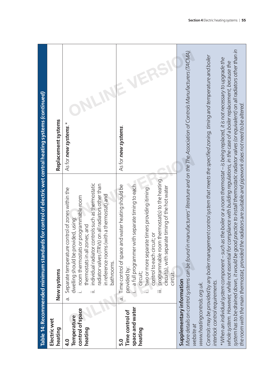|                                                                                                           | Table 14: Recommended minimum standards for control of electric wet central heating systems (continued)                                                                                                                                                                                                                                                                                                                                                                                                                                                                                                                                                                                                                                                                                                                                |                      |
|-----------------------------------------------------------------------------------------------------------|----------------------------------------------------------------------------------------------------------------------------------------------------------------------------------------------------------------------------------------------------------------------------------------------------------------------------------------------------------------------------------------------------------------------------------------------------------------------------------------------------------------------------------------------------------------------------------------------------------------------------------------------------------------------------------------------------------------------------------------------------------------------------------------------------------------------------------------|----------------------|
| Electric wet<br>heating                                                                                   | New systems                                                                                                                                                                                                                                                                                                                                                                                                                                                                                                                                                                                                                                                                                                                                                                                                                            | Replacement systems  |
| control of space<br>Temperature<br>heating<br>4.0                                                         | individual radiator controls such as thermostatic<br>radiator valves (TRVs) on all radiators other than<br>Separate temperature control of zones within the<br>in reference rooms (with a thermostat) and<br>room thermostats or programmable room<br>dwelling should be provided, using:<br>thermostats in all zones; and<br>bathrooms.<br>÷<br>$\dot{\sigma}$                                                                                                                                                                                                                                                                                                                                                                                                                                                                        | As for new systems.* |
| space and water<br>Time control of<br>heating<br>5.0                                                      | programmable room thermostat(s) to the heating<br>a full programmer with separate timing to each<br>Time control of space and water heating should be<br>circuit(s), with separate timing of the hot water<br>two or more separate timers providing itiming<br>control to each circuit; or<br>provided by:<br>circuit;<br>circuit.<br>.<br>≔<br>a.                                                                                                                                                                                                                                                                                                                                                                                                                                                                                     | As for new systems.  |
| Supplementary information<br>interlock control requirements.<br>www.heatingcontrols.org.uk.<br>website at | system has to be drained down, it would be good practice to install thermostatic radiator valves (or equivalent) on all radiators other than in<br>More details on control systems can be found in manufacturers' literature and on the The Association of Controls Manufacturers (TACMA)<br>Controls may be provided by any boiler management control system that meets the specified zoning, timing and temperature and boiler<br>*When an individual system component – such as the boiler or a room thermostat – is being replaced, it is not necessary to upgrade the<br>whole system. However, while not essential for compliance with building regulations, in the case of a boiler replacement, because the<br>the room with the main thermostat, provided the radiators are suitable and pipework does not need to be altered |                      |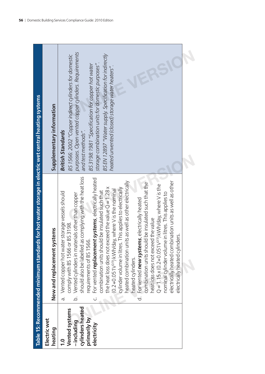|                                                                                                  | Table 15: Recommended minimum standards for hot water storage in electric wet central heating systems                                                                                                                                                                                                                                                                                                                                                                                                                                                                                                                                                                                                                                                                                                                                                                                                                                                                                                     |                                                                                                                                                                                                                                                                                                                                                                                       |
|--------------------------------------------------------------------------------------------------|-----------------------------------------------------------------------------------------------------------------------------------------------------------------------------------------------------------------------------------------------------------------------------------------------------------------------------------------------------------------------------------------------------------------------------------------------------------------------------------------------------------------------------------------------------------------------------------------------------------------------------------------------------------------------------------------------------------------------------------------------------------------------------------------------------------------------------------------------------------------------------------------------------------------------------------------------------------------------------------------------------------|---------------------------------------------------------------------------------------------------------------------------------------------------------------------------------------------------------------------------------------------------------------------------------------------------------------------------------------------------------------------------------------|
| Electric wet<br>heating                                                                          | New and replacement systems                                                                                                                                                                                                                                                                                                                                                                                                                                                                                                                                                                                                                                                                                                                                                                                                                                                                                                                                                                               | Supplementary information                                                                                                                                                                                                                                                                                                                                                             |
| cylinders heated<br>Vented systems<br>primarily by<br>-including<br>electricity<br>$\frac{0}{1}$ | should also be labelled as complying with the heat loss<br>c. For vented replacement systems, electrically heated<br>heated combination units as well as other electrically<br>electrically heated combination units as well as other<br>combination units should be insulated such that the<br>$Q = 1.15 \times (0.2 + 0.051V^{2/3})$ kWh/day, where V is the<br>the heat loss does not exceed the value $Q = 1.28x$<br>cylinder volume in litres. This applies to electrically<br>(0.2+0.051V <sup>223</sup> ) kWh/day, where V is the nominal<br>combination units should be insulated such that<br>Vented copper hot water storage vessels should<br>nominal cylinder volume in litres. This applies to<br>b. Vented cylinders in materials other than copper<br>For vented <b>new systems</b> , electrically heated<br>heat loss does not exceed the value<br>comply with BS 1566 or BS 3198.<br>electrically heated cylinders.<br>requirements of BS 1566.<br>heated cylinders.<br>.<br>க<br>.<br>ರ | purposes. Open vented copper cylinders. Requirements<br>BS EN 12897 "Water supply. Specification for indirectly<br>BS 1566: 2002 "Copper indirect cylinders for domestic<br>BS3198:1981 "Specification for copper hot water<br>storage combination units for domestic purposes"<br>heated unvented (closed) storage water heaters".<br>and test methods".<br><b>British Standards</b> |
|                                                                                                  |                                                                                                                                                                                                                                                                                                                                                                                                                                                                                                                                                                                                                                                                                                                                                                                                                                                                                                                                                                                                           |                                                                                                                                                                                                                                                                                                                                                                                       |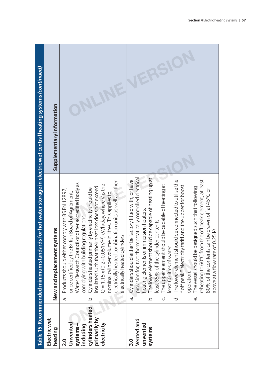|                                                                                                                   | Supplementary information      |                                                                                                                                                                                                                                                                                                                                                                                                                                                                                                                                                              |                                                                                                                                                                                                                                                                                                                                                                                                                                                                                                                                                                                                                                                                                                                                    |
|-------------------------------------------------------------------------------------------------------------------|--------------------------------|--------------------------------------------------------------------------------------------------------------------------------------------------------------------------------------------------------------------------------------------------------------------------------------------------------------------------------------------------------------------------------------------------------------------------------------------------------------------------------------------------------------------------------------------------------------|------------------------------------------------------------------------------------------------------------------------------------------------------------------------------------------------------------------------------------------------------------------------------------------------------------------------------------------------------------------------------------------------------------------------------------------------------------------------------------------------------------------------------------------------------------------------------------------------------------------------------------------------------------------------------------------------------------------------------------|
| Table 15: Recommended minimum standards for hot water storage in electric wet central heating systems (continued) | New and replacement systems    | electrically heated combination units as well as other<br>Water Research Council or other accredited body as<br>$Q = 1.15 \times (0.2 + 0.051V^{2/3})$ kWh/day, where V is the<br>insulated such that their heat loss does not exceed<br>Cylinders heated primarily by electricity should be<br>Products should either comply with BS EN 12897,<br>or be certified by the British Board of Agrément,<br>nominal cylinder volume in litres. This applies to<br>complying with building regulations.<br>electrically heated cylinders.<br>à.<br>$\overline{Q}$ | provision for, two thermostatically controlled electrical<br>The lower element should be capable of heating up at<br>east 85% of the cylinder contents.<br>Cylinders should either be factory fitted with, or have<br>reheating to 60°C from the off peak element, at least<br>The lower element should be connected to utilise the<br>The upper element should be capable of heating at<br>off peak" electricity tariff and the upper for boost<br>The vessel should be designed such that following<br>80% of the contents can be drawn off at 45°C or<br>heating elements or immersion heaters.<br>above at a flow rate of 0.25 l/s.<br>east 60 litres of water.<br>operation.<br>$\overline{\sigma}$<br>.<br>ف<br>ಕ<br>نه<br>ن |
|                                                                                                                   | <b>Electric wet</b><br>heating | cylinders heated<br>primarily by<br>Unvented<br>including<br>electricity<br>systems-<br>$\frac{0}{2}$                                                                                                                                                                                                                                                                                                                                                                                                                                                        | Vented and<br>unvented<br>systems<br><u>ი</u>                                                                                                                                                                                                                                                                                                                                                                                                                                                                                                                                                                                                                                                                                      |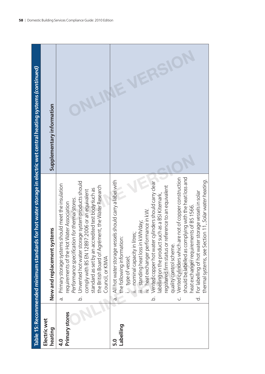|                                | Table 15: Recommended minimum standards for hot water storage in electric wet central heating systems (continued)                                                                                                                                                                                                                                                                                     |                           |
|--------------------------------|-------------------------------------------------------------------------------------------------------------------------------------------------------------------------------------------------------------------------------------------------------------------------------------------------------------------------------------------------------------------------------------------------------|---------------------------|
| Electric wet<br>heating        | New and replacement systems                                                                                                                                                                                                                                                                                                                                                                           | Supplementary information |
| Primary stores<br>$\mathbf{q}$ | Unvented hot water storage system products should<br>Primary storage systems should meet the insulation<br>the British Board of Agrément, the Water Research<br>standard as set by an accredited test body such as<br>comply with BS EN 12897:2006 or an equivalent<br>Performance specification for thermal stores.<br>requirements of the Hot Water Association<br>Council, or KIWA<br>.<br>ف<br>ā. |                           |
| Labelling<br>5.0               | All hot water storage vessels should carry a label with<br>the following information:<br>. type of vessel;<br>$\overline{d}$ .                                                                                                                                                                                                                                                                        |                           |
|                                | Vented copper hot water cylinders should carry clear<br>registered firm status or reference to an equivalent<br>abelling on the product such as a BSI Kitemark,<br>iv. heat exchanger performance in kW.<br>iii. standing heat loss in kWh/day;<br>litres;<br>nominal capacity in<br>.<br>ف                                                                                                           |                           |
|                                | Vented cylinders which are not of copper construction<br>should be labelled as complying with the heat loss and<br>thermal systems, see Section 11, Solar water heating.<br>For labelling of hot water storage vessels in solar<br>heat exchanger requirements of BS 1566.<br>quality control scheme.<br>$\overline{a}$<br>ن                                                                          |                           |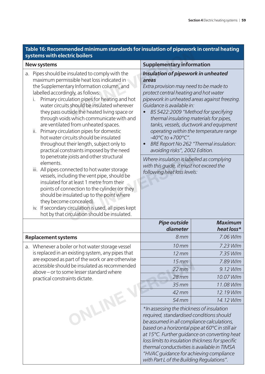# **Table 16: Recommended minimum standards for insulation of pipework in central heating**

|    | ani standards for msalation or pipework in tenti<br>systems with electric boilers                                                                                                                                                                                                                                                                                                                                                                                                                                                                                                                                                                      |                                                                                                                                                                                                                                                                                                                                       |                                                                                                                                                                                                                   |  |  |
|----|--------------------------------------------------------------------------------------------------------------------------------------------------------------------------------------------------------------------------------------------------------------------------------------------------------------------------------------------------------------------------------------------------------------------------------------------------------------------------------------------------------------------------------------------------------------------------------------------------------------------------------------------------------|---------------------------------------------------------------------------------------------------------------------------------------------------------------------------------------------------------------------------------------------------------------------------------------------------------------------------------------|-------------------------------------------------------------------------------------------------------------------------------------------------------------------------------------------------------------------|--|--|
|    | <b>New systems</b>                                                                                                                                                                                                                                                                                                                                                                                                                                                                                                                                                                                                                                     | <b>Supplementary information</b>                                                                                                                                                                                                                                                                                                      |                                                                                                                                                                                                                   |  |  |
| a. | Pipes should be insulated to comply with the<br>maximum permissible heat loss indicated in<br>the Supplementary Information column, and<br>labelled accordingly, as follows:<br>Primary circulation pipes for heating and hot<br>i.<br>water circuits should be insulated wherever<br>they pass outside the heated living space or<br>through voids which communicate with and<br>are ventilated from unheated spaces.<br>Primary circulation pipes for domestic<br>ii.<br>hot water circuits should be insulated<br>throughout their length, subject only to<br>practical constraints imposed by the need<br>to penetrate joists and other structural | Insulation of pipework in unheated<br>areas<br>Extra provision may need to be made to<br>protect central heating and hot water<br>Guidance is available in:<br>thermal insulating materials for pipes,<br>$-40^{\circ}$ C to $+700^{\circ}$ C".<br>avoiding risks", 2002 Edition.                                                     | pipework in unheated areas against freezing.<br>BS 5422:2009 "Method for specifying<br>tanks, vessels, ductwork and equipment<br>operating within the temperature range<br>BRE Report No 262 "Thermal insulation: |  |  |
|    | elements.<br>iii. All pipes connected to hot water storage<br>vessels, including the vent pipe, should be<br>insulated for at least 1 metre from their<br>points of connection to the cylinder (or they<br>should be insulated up to the point where<br>they become concealed).<br>iv. If secondary circulation is used, all pipes kept<br>hot by that circulation should be insulated.                                                                                                                                                                                                                                                                | Where insulation is labelled as complying<br>with this guide, it must not exceed the<br>following heat loss levels:<br><b>Pipe outside</b>                                                                                                                                                                                            |                                                                                                                                                                                                                   |  |  |
|    |                                                                                                                                                                                                                                                                                                                                                                                                                                                                                                                                                                                                                                                        | diameter                                                                                                                                                                                                                                                                                                                              | <b>Maximum</b><br>heat loss*                                                                                                                                                                                      |  |  |
|    | <b>Replacement systems</b>                                                                                                                                                                                                                                                                                                                                                                                                                                                                                                                                                                                                                             | 8 <sub>mm</sub>                                                                                                                                                                                                                                                                                                                       | 7.06 W/m                                                                                                                                                                                                          |  |  |
|    | a. Whenever a boiler or hot water storage vessel                                                                                                                                                                                                                                                                                                                                                                                                                                                                                                                                                                                                       | $10$ mm                                                                                                                                                                                                                                                                                                                               | 7.23 W/m                                                                                                                                                                                                          |  |  |
|    | is replaced in an existing system, any pipes that                                                                                                                                                                                                                                                                                                                                                                                                                                                                                                                                                                                                      | $12 \, \text{mm}$                                                                                                                                                                                                                                                                                                                     | 7.35 W/m                                                                                                                                                                                                          |  |  |
|    | are exposed as part of the work or are otherwise                                                                                                                                                                                                                                                                                                                                                                                                                                                                                                                                                                                                       | $15$ mm                                                                                                                                                                                                                                                                                                                               | 7.89 W/m                                                                                                                                                                                                          |  |  |
|    | accessible should be insulated as recommended<br>above - or to some lesser standard where                                                                                                                                                                                                                                                                                                                                                                                                                                                                                                                                                              | $22$ mm                                                                                                                                                                                                                                                                                                                               | 9.12 W/m                                                                                                                                                                                                          |  |  |
|    | practical constraints dictate.                                                                                                                                                                                                                                                                                                                                                                                                                                                                                                                                                                                                                         | $28$ mm                                                                                                                                                                                                                                                                                                                               | 10.07 W/m                                                                                                                                                                                                         |  |  |
|    |                                                                                                                                                                                                                                                                                                                                                                                                                                                                                                                                                                                                                                                        | $35$ mm                                                                                                                                                                                                                                                                                                                               | 11.08 W/m                                                                                                                                                                                                         |  |  |
|    |                                                                                                                                                                                                                                                                                                                                                                                                                                                                                                                                                                                                                                                        | 42 mm                                                                                                                                                                                                                                                                                                                                 | 12.19 W/m                                                                                                                                                                                                         |  |  |
|    |                                                                                                                                                                                                                                                                                                                                                                                                                                                                                                                                                                                                                                                        | 54 mm                                                                                                                                                                                                                                                                                                                                 | 14.12 W/m                                                                                                                                                                                                         |  |  |
|    | ONLINE                                                                                                                                                                                                                                                                                                                                                                                                                                                                                                                                                                                                                                                 | *In assessing the thickness of insulation<br>required, standardised conditions should<br>be assumed in all compliance calculations,<br>based on a horizontal pipe at 60°C in still air<br>loss limits to insulation thickness for specific<br>thermal conductivities is available in TIMSA<br>"HVAC guidance for achieving compliance | at 15°C. Further quidance on converting heat                                                                                                                                                                      |  |  |

*with Part L of the Building Regulations".*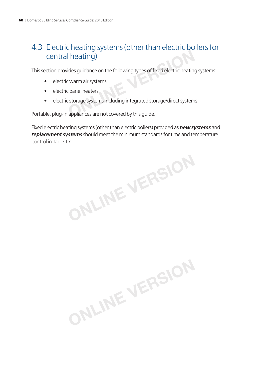# 4.3 Electric heating systems (other than electric boilers for central heating) I heating)<br>
ides guidance on the following types of fixed electric heating<br>
Discussions the following types of fixed electric heating<br>
Discussions the following integrated storage/direct system<br>
appliances are not covered

This section provides guidance on the following types of fixed electric heating systems:

- electric warm air systems
- electric panel heaters
- electric storage systems including integrated storage/direct systems.

Portable, plug-in appliances are not covered by this guide.

Fixed electric heating systems (other than electric boilers) provided as *new systems* and *replacement systems* should meet the minimum standards for time and temperature control in Table 17.

**ONLINE VERSION**

**ONLINE VERSION**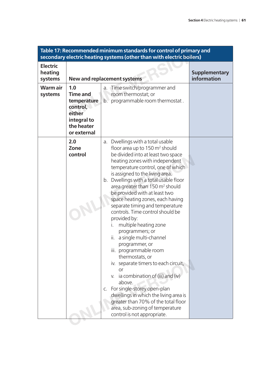| <b>Electric</b><br>heating<br><b>Supplementary</b><br>information<br><b>New and replacement systems</b><br>systems<br>Warm air<br>a. Time switch/programmer and<br>1.0<br>Time and<br>room thermostat; or<br>systems<br>programmable room thermostat.<br>temperature<br>$b^{\circ}$<br>control,<br>either<br>integral to<br>the heater<br>or external<br>2.0<br>Dwellings with a total usable<br>a.<br>floor area up to 150 m <sup>2</sup> should<br>Zone<br>be divided into at least two space<br>control<br>heating zones with independent<br>temperature control, one of which<br>is assigned to the living area.<br>b. Dwellings with a total usable floor<br>area greater than 150 m <sup>2</sup> should<br>be provided with at least two<br>space heating zones, each having<br>separate timing and temperature<br>controls. Time control should be<br>provided by:<br>multiple heating zone<br>programmers; or<br>a single multi-channel<br>ii.<br>programmer, or<br>iii. programmable room<br>thermostats, or<br>iv. separate timers to each circuit,<br><b>or</b><br>v. ia combination of (iii) and (iv)<br>above.<br>c. For single-storey open-plan<br>dwellings in which the living area is<br>greater than 70% of the total floor<br>area, sub-zoning of temperature |  | Table 17: Recommended minimum standards for control of primary and<br>secondary electric heating systems (other than with electric boilers) |  |
|----------------------------------------------------------------------------------------------------------------------------------------------------------------------------------------------------------------------------------------------------------------------------------------------------------------------------------------------------------------------------------------------------------------------------------------------------------------------------------------------------------------------------------------------------------------------------------------------------------------------------------------------------------------------------------------------------------------------------------------------------------------------------------------------------------------------------------------------------------------------------------------------------------------------------------------------------------------------------------------------------------------------------------------------------------------------------------------------------------------------------------------------------------------------------------------------------------------------------------------------------------------------------------|--|---------------------------------------------------------------------------------------------------------------------------------------------|--|
|                                                                                                                                                                                                                                                                                                                                                                                                                                                                                                                                                                                                                                                                                                                                                                                                                                                                                                                                                                                                                                                                                                                                                                                                                                                                                  |  |                                                                                                                                             |  |
|                                                                                                                                                                                                                                                                                                                                                                                                                                                                                                                                                                                                                                                                                                                                                                                                                                                                                                                                                                                                                                                                                                                                                                                                                                                                                  |  |                                                                                                                                             |  |
|                                                                                                                                                                                                                                                                                                                                                                                                                                                                                                                                                                                                                                                                                                                                                                                                                                                                                                                                                                                                                                                                                                                                                                                                                                                                                  |  | control is not appropriate.                                                                                                                 |  |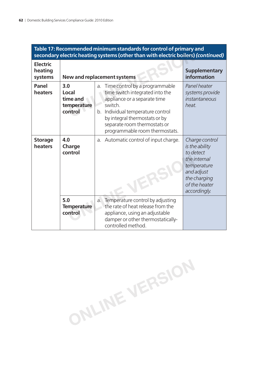|                                       |                                                    | Table 17: Recommended minimum standards for control of primary and<br>secondary electric heating systems (other than with electric boilers) (continued)                                                                                                    |                                                                                                                                             |
|---------------------------------------|----------------------------------------------------|------------------------------------------------------------------------------------------------------------------------------------------------------------------------------------------------------------------------------------------------------------|---------------------------------------------------------------------------------------------------------------------------------------------|
| <b>Electric</b><br>heating<br>systems |                                                    | <b>New and replacement systems</b>                                                                                                                                                                                                                         | <b>Supplementary</b><br>information                                                                                                         |
| Panel<br>heaters                      | 3.0<br>Local<br>time and<br>temperature<br>control | Time control by a programmable<br>a.<br>time switch integrated into the<br>appliance or a separate time<br>switch.<br>b. Individual temperature control<br>by integral thermostats or by<br>separate room thermostats or<br>programmable room thermostats. | Panel heater<br>systems provide<br>instantaneous<br>heat.                                                                                   |
| <b>Storage</b><br>heaters             | 4.0<br>Charge<br>control                           | Automatic control of input charge.<br>a.                                                                                                                                                                                                                   | Charge control<br>is the ability<br>to detect<br>the internal<br>temperature<br>and adjust<br>the charging<br>of the heater<br>accordingly. |
|                                       | 5.0<br><b>Temperature</b><br>control               | Temperature control by adjusting<br>a.<br>the rate of heat release from the<br>appliance, using an adjustable<br>damper or other thermostatically-<br>controlled method.                                                                                   |                                                                                                                                             |

# **Table 17: Recommended minimum standards for control of primary and**

**ONLINE VERSION**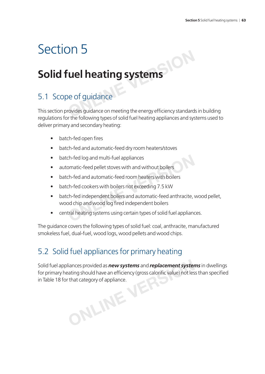# Section 5

# **Solid fuel heating systems**

### 5.1 Scope of guidance

This section provides guidance on meeting the energy efficiency standards in building regulations for the following types of solid fuel heating appliances and systems used to deliver primary and secondary heating: **CONTRACT SET ASSEMS**<br> **ONLINE**<br> **ONLINE**<br> **ONLINE SURVER AND MODEL SURVER SURVER SURVER AND THE SURVER AND RECEIVED ASSEMBLY STANDARD TO THE SURVER OF PROPERTY** 

- batch-fed open fires
- batch-fed and automatic-feed dry room heaters/stoves
- batch-fed log and multi-fuel appliances
- automatic-feed pellet stoves with and without boilers
- batch-fed and automatic-feed room heaters with boilers
- batch-fed cookers with boilers not exceeding 7.5 kW
- batch-fed independent boilers and automatic-feed anthracite, wood pellet, wood chip and wood log fired independent boilers ch-fed log and multi-fuel appliances<br>
somatic-feed pellet stoves with and without boilers<br>
ch-fed and automatic-feed room heaters with boilers<br>
ch-fed cookers with boilers not exceeding 7.5 kW<br>
ch-fed independent boilers a
- central heating systems using certain types of solid fuel appliances.

The guidance covers the following types of solid fuel: coal, anthracite, manufactured smokeless fuel, dual-fuel, wood logs, wood pellets and wood chips.

## 5.2 Solid fuel appliances for primary heating

Solid fuel appliances provided as *new systems* and *replacement systems* in dwellings for primary heating should have an efficiency (gross calorific value) not less than specified in Table 18 for that category of appliance. **ONLINE VERSION**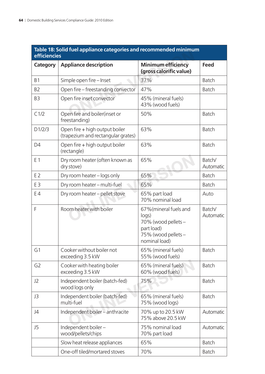| efficiencies   | Table 18: Solid fuel appliance categories and recommended minimum    |                                                                                                              |                     |
|----------------|----------------------------------------------------------------------|--------------------------------------------------------------------------------------------------------------|---------------------|
| Category       | <b>Appliance description</b>                                         | <b>Minimum efficiency</b><br>(gross calorific value)                                                         | <b>Feed</b>         |
| B <sub>1</sub> | Simple open fire - Inset                                             | 37%                                                                                                          | <b>Batch</b>        |
| B <sub>2</sub> | Open fire – freestanding convector                                   | 47%                                                                                                          | <b>Batch</b>        |
| B <sub>3</sub> | Open fire inset convector                                            | 45% (mineral fuels)<br>43% (wood fuels)                                                                      |                     |
| C1/2           | Open fire and boiler(inset or<br>freestanding)                       | 50%                                                                                                          | <b>Batch</b>        |
| D1/2/3         | Open fire + high output boiler<br>(trapezium and rectangular grates) | 63%                                                                                                          | <b>Batch</b>        |
| D <sub>4</sub> | Open fire + high output boiler<br>(rectangle)                        | 63%                                                                                                          | <b>Batch</b>        |
| E 1            | Dry room heater (often known as<br>dry stove)                        | 65%                                                                                                          | Batch/<br>Automatic |
| E <sub>2</sub> | Dry room heater - logs only                                          | 65%                                                                                                          | <b>Batch</b>        |
| E3             | Dry room heater - multi-fuel                                         | 65%                                                                                                          | <b>Batch</b>        |
| E <sub>4</sub> | Dry room heater - pellet stove                                       | 65% part load<br>70% nominal load                                                                            | Auto                |
| F              | Room heater with boiler                                              | 67% (mineral fuels and<br>logs)<br>70% (wood pellets -<br>part load)<br>75% (wood pellets -<br>nominal load) | Batch/<br>Automatic |
| G1             | Cooker without boiler not<br>exceeding 3.5 kW                        | 65% (mineral fuels)<br>55% (wood fuels)                                                                      | <b>Batch</b>        |
| G <sub>2</sub> | Cooker with heating boiler<br>exceeding 3.5 kW                       | 65% (mineral fuels)<br>60% (wood fuels)                                                                      | <b>Batch</b>        |
| J2             | Independent boiler (batch-fed)<br>wood logs only                     | 75%                                                                                                          | <b>Batch</b>        |
| J3             | Independent boiler (batch-fed)<br>multi-fuel                         | 65% (mineral fuels)<br>75% (wood logs)                                                                       | <b>Batch</b>        |
| J4             | Independent boiler - anthracite                                      | 70% up to 20.5 kW<br>75% above 20.5 kW                                                                       | Automatic           |
| J5             | Independent boiler-<br>wood/pellets/chips                            | 75% nominal load<br>70% part load                                                                            | Automatic           |
|                | Slow heat release appliances                                         | 65%                                                                                                          | <b>Batch</b>        |
|                | One-off tiled/mortared stoves                                        | 70%                                                                                                          | <b>Batch</b>        |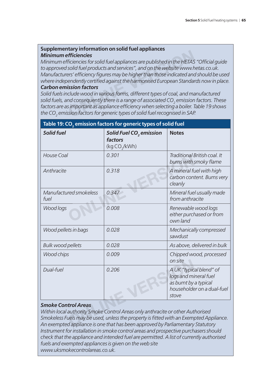### **Supplementary information on solid fuel appliances** *Minimum effi ciencies*

*Minimum efficiencies for solid fuel appliances are published in the HETAS "Official quide to approved solid fuel products and services", and on the website www.hetas.co.uk. Manufacturers' efficiency figures may be higher than those indicated and should be used* where independently certified against the harmonised European Standards now in place. *Carbon emission factors* **Conservery intermeteral conservery entity of fricinencies**<br> *Selid fuel products and services", and on the website www.htms' efficiency figures may be higher than those indicated and endently certified against the harmon* 

*Solid fuels include wood in various forms, different types of coal, and manufactured solid fuels, and consequently there is a range of associated CO<sub>2</sub> emission factors. These* factors are as important as appliance efficiency when selecting a boiler. Table 19 shows *the CO2 emission factors for generic types of solid fuel recognised in SAP.*

|                                | Table 19: CO <sub>2</sub> emission factors for generic types of solid fuel                                                                                                                                                                                 |                                                                                                                  |
|--------------------------------|------------------------------------------------------------------------------------------------------------------------------------------------------------------------------------------------------------------------------------------------------------|------------------------------------------------------------------------------------------------------------------|
| <b>Solid fuel</b>              | Solid Fuel CO <sub>2</sub> emission<br>factors<br>(kg CO <sub>2</sub> /kWh)                                                                                                                                                                                | <b>Notes</b>                                                                                                     |
| <b>House Coal</b>              | 0.301                                                                                                                                                                                                                                                      | Traditional British coal. It<br>burns with smoky flame                                                           |
| Anthracite                     | 0.318                                                                                                                                                                                                                                                      | A mineral fuel with high<br>carbon content. Burns very<br>cleanly                                                |
| Manufactured smokeless<br>fuel | 0.347                                                                                                                                                                                                                                                      | Mineral fuel usually made<br>from anthracite                                                                     |
| Wood logs                      | 0.008                                                                                                                                                                                                                                                      | Renewable wood logs<br>either purchased or from<br>own land                                                      |
| Wood pellets in bags           | 0.028                                                                                                                                                                                                                                                      | Mechanically compressed<br>sawdust                                                                               |
| <b>Bulk wood pellets</b>       | 0.028                                                                                                                                                                                                                                                      | As above, delivered in bulk                                                                                      |
| <b>Wood chips</b>              | 0.009                                                                                                                                                                                                                                                      | Chipped wood, processed<br>on site                                                                               |
| Dual-fuel                      | 0.206                                                                                                                                                                                                                                                      | A UK "typical blend" of<br>logs and mineral fuel<br>as burnt by a typical<br>householder on a dual-fuel<br>stove |
| <b>Smoke Control Areas</b>     | Within local authority Smoke Control Areas only anthracite or other Authorised<br>Smokeless Fuels may be used, unless the property is fitted with an Exempted Appliance.<br>An exempted appliance is one that has been approved by Parliamentary Statutory |                                                                                                                  |

#### *Smoke Control Areas*

*Within local authority Smoke Control Areas only anthracite or other Authorised Smokeless Fuels may be used, unless the property is fi tted with an Exempted Appliance. An exempted appliance is one that has been approved by Parliamentary Statutory Instrument for installation in smoke control areas and prospective purchasers should check that the appliance and intended fuel are permitted. A list of currently authorised fuels and exempted appliances is given on the web site www.uksmokecontrolareas.co.uk.*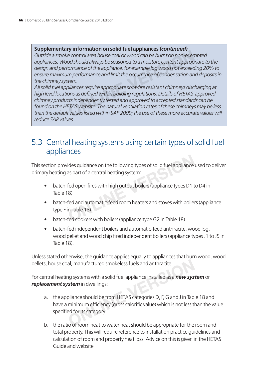### **Supplementary information on solid fuel appliances** *(continued)*

*Outside a smoke control area house coal or wood can be burnt on non-exempted appliances. Wood should always be seasoned to a moisture content appropriate to the design and performance of the appliance, for example log wood not exceeding 20% to ensure maximum performance and limit the occurrence of condensation and deposits in the chimney system.*

*All solid fuel appliances require appropriate soot-fi re resistant chimneys discharging at*  high level locations as defined within building regulations. Details of HETAS-approved *chimney products independently tested and approved to accepted standards can be found on the HETAS website. The natural ventilation rates of these chimneys may be less than the default values listed within SAP 2009; the use of these more accurate values will reduce SAP values.* **CONTIGUARY CONSIDENT CONSIDENT CONSIDENT CONSIDER**<br>
CONTROL area house coal or wood can be burnt on non-exem<br>
dod should always be seasoned to a moisture content approp<br>
formance of the appliance, for example log wood not

### 5.3 Central heating systems using certain types of solid fuel appliances

This section provides guidance on the following types of solid fuel appliance used to deliver primary heating as part of a central heating system:

- batch-fed open fires with high output boilers (appliance types D1 to D4 in Table 18)
- batch-fed and automatic-feed room heaters and stoves with boilers (appliance type F in Table 18) ides guidance on the following types of solid fuel appliance<br>as part of a central heating system:<br>fed open fires with high output boilers (appliance types D1 t<br>8)<br>fed and automatic-feed room heaters and stoves with boiler<br>
- batch-fed cookers with boilers (appliance type G2 in Table 18)
- batch-fed independent boilers and automatic-feed anthracite, wood log, wood pellet and wood chip fired independent boilers (appliance types J1 to J5 in Table 18).

Unless stated otherwise, the guidance applies equally to appliances that burn wood, wood pellets, house coal, manufactured smokeless fuels and anthracite.

For central heating systems with a solid fuel appliance installed as a *new system* or *replacement system* in dwellings:

- a. the appliance should be from HETAS categories D, F, G and J in Table 18 and have a minimum efficiency (gross calorific value) which is not less than the value specified for its category al, manufactured smokeless fuels and anthracite.<br>
In a systems with a solid fuel appliance installed as a **new system** in dwellings:<br>
pliance should be from HETAS categories D, F, G and J in Tab<br>
minimum efficiency (gross
- b. the ratio of room heat to water heat should be appropriate for the room and total property. This will require reference to installation practice guidelines and calculation of room and property heat loss. Advice on this is given in the HETAS Guide and website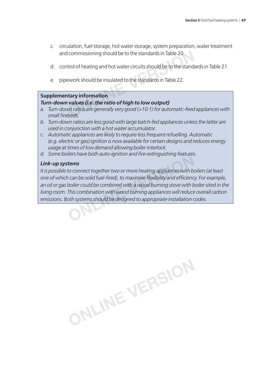- c. circulation, fuel storage, hot water storage, system preparation, water treatment and commissioning should be to the standards in Table 20
- d. control of heating and hot water circuits should be to the standards in Table 21
- e. pipework should be insulated to the standards in Table 22.

#### **Supplementary information**

### *Turn-down values (i.e. the ratio of high to low output)*

- *a. Turn-down ratios are generally very good (>10:1) for automatic-feed appliances with*  small firebeds. commissioning should be to the standards in Table 20<br>trol of heating and hot water circuits should be to the standa<br>ework should be insulated to the standards in Table 22.<br>**tary information**<br>**values (i.e. the ratio of high**
- *b. Turn-down ratios are less good with large batch-fed appliances unless the latter are used in conjunction with a hot water accumulator.*
- *c. Automatic appliances are likely to require less frequent refuelling. Automatic (e.g. electric or gas) ignition is now available for certain designs and reduces energy usage at times of low demand allowing boiler interlock.*
- *d. Some boilers have both auto-ignition and fi re-extinguishing features.*

### *Link-up systems*

*It is possible to connect together two or more heating appliances with boilers (at least one of which can be solid fuel-fi red), to maximise fl exibility and effi ciency. For example, an oil or gas boiler could be combined with a wood burning stove with boiler sited in the living room. This combination with wood burning appliances will reduce overall carbon emissions. Both systems should be designed to appropriate installation codes.* **EXAMPLE STANE DOLTTAND - TYTUDE THE EXAMPLE STANE DOLTTAND - THE EXAMPLE STANE STANE STAND TO CONNECT A CAN DE<br>
<b>CAN DEAT CONDUCT:** CAN DEAT ONLY THE SOLUTION OF SOLUTION OF SOLUTION OF THIS COMBINATION with wood burning

**ONLINE VERSION**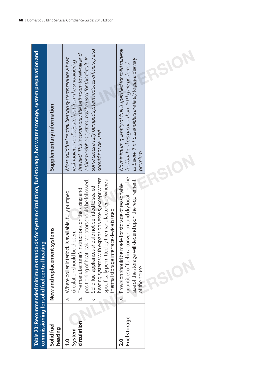|                                        | Table 20: Recommended minimum standards for system circulation, fuel storage, hot water storage, system preparation and<br>commissioning for solid fuel central heating                                                                                                                                                                                                                                                                              |                                                                                                                                                                                                                                                                                                                      |
|----------------------------------------|------------------------------------------------------------------------------------------------------------------------------------------------------------------------------------------------------------------------------------------------------------------------------------------------------------------------------------------------------------------------------------------------------------------------------------------------------|----------------------------------------------------------------------------------------------------------------------------------------------------------------------------------------------------------------------------------------------------------------------------------------------------------------------|
| Solid fuel<br>heating                  | New and replacement systems                                                                                                                                                                                                                                                                                                                                                                                                                          | Supplementary information                                                                                                                                                                                                                                                                                            |
| circulation<br>System<br>$\frac{0}{1}$ | heating systems with expansion vessels, except where<br>specifically permitted by the manufacturer or where a<br>positioning of heat leak radiators should be followed.<br>Solid fuel appliances should not be fitted to sealed<br>The manufacturer's instructions on the sizing and<br>Where boiler interlock is available, fully pumped<br>thermal storage interface device is used.<br>circulation should be chosen.<br>ā.<br>$\overline{Q}$<br>ن | some cases a fully pumped system reduces efficiency and<br>fire bed. This is commonly the bathroom towel-rail and<br>a thermosiphon system may be used for this circuit. In<br>Most solid fuel central heating systems require a heat<br>leak radiator to dissipate heat from the smouldering<br>should not be used. |
| Fuel storage<br>$\overline{2.0}$       | quantities of fuel in a convenient and dry location. The<br>depend upon the requirement<br>a. Provision should be made for storage of reasonable<br>size of the storage will<br>of the house.                                                                                                                                                                                                                                                        | No minimum quantity of fuel is specified for solid mineral<br>as below this householders are likely to pay a delivery<br>fuel but bunkers greater than 250 kg are preferred<br>premium.                                                                                                                              |
|                                        |                                                                                                                                                                                                                                                                                                                                                                                                                                                      |                                                                                                                                                                                                                                                                                                                      |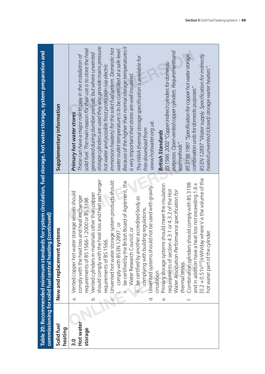|                                                                                                                                                                                     | Supplementary information                            | storage cylinders are used they also provide mains pressure<br>Because of the higher than normal storage temperatures it<br>immersion heaters) for the solid fuel system. Domestic hot<br>solid fuel. The main reason for their use is to store the heat<br>water outlet temperature is to be controlled at a safe level.<br>purposes. Open vented copper cylinders. Requirements and<br>generated during slumber periods, but where unvented<br>BS3198:1981 "Specification for copper hot water storage<br>BS EN 12897 "Water supply. Specification for indirectly<br>These can have a major role to play in the installation of<br>The HWA thermal storage specification is available for<br>BS 1566: 2002 "Copper indirect cylinders for domestic<br>hot water and possible frost protection (via electric<br>heated unvented (closed) storage water heaters'<br>is very important that stores are well insulated<br>combination units for domestic purposes".<br>Primary hot water stores<br>www.hotwater.org.uk.<br>tree download trom<br><b>British Standards</b><br>test methods".                                                                 |
|-------------------------------------------------------------------------------------------------------------------------------------------------------------------------------------|------------------------------------------------------|-----------------------------------------------------------------------------------------------------------------------------------------------------------------------------------------------------------------------------------------------------------------------------------------------------------------------------------------------------------------------------------------------------------------------------------------------------------------------------------------------------------------------------------------------------------------------------------------------------------------------------------------------------------------------------------------------------------------------------------------------------------------------------------------------------------------------------------------------------------------------------------------------------------------------------------------------------------------------------------------------------------------------------------------------------------------------------------------------------------------------------------------------------------|
| Table 20: Recommended minimum standards for system circulation, fuel storage, hot water storage, system preparation and<br>commissioning for solid fuel central heating (continued) | New and replacement systems<br>Solid fuel<br>heating | [0.2 + 0.51V <sup>223</sup> ] kWh/day where V is the volume of the<br>Unvented hot water storage system products should:<br>should comply with the heat loss and heat exchanger<br>be certified by the British Board of Agrément, the<br>should comply with BS 3198<br>heat loss not exceeding 1.6 x<br>Primary storage systems should meet the insulation<br>Unvented systems should not be used with gravity<br>requirements of section 4.3.1 or 4.3.2 of the Hot<br>Water Association Performance specification for<br>Vented copper hot water storage vessels should<br>Vented cylinders in materials other than copper<br>comply with the heat loss and heat exchanger<br>iii. be certified by another accredited body as<br>requirements of BS 1566-1:2000 or BS 3198<br>complying with building regulations<br>comply with BS EN 12897; or<br>Water Research Council; or<br>hot water part of the cylinder.<br>requirements of BS 1566<br>Combination cylinders<br>and in addition have a<br>thermal stores.<br>circulation.<br>ن<br>$\overline{c}$<br>$\overline{Q}$<br>$\dot{\sigma}$<br>$\dot{\omega}$<br>Hot water<br>storage<br>$\frac{0}{3}$ |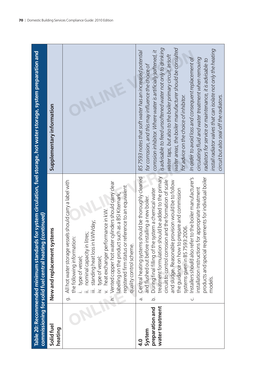|                                                               | Table 20: Recommended minimum standards for system circulation, fuel storage, hot water storage, system preparation and<br>commissioning for solid fuel central heating (continued)                                                                                                                                                                                                                                                                                                                                                                                                                                                                                        |                                                                                                                                                                                                                                                                                                                                                                                                                                                                                                                                                                                                                                                                                                            |
|---------------------------------------------------------------|----------------------------------------------------------------------------------------------------------------------------------------------------------------------------------------------------------------------------------------------------------------------------------------------------------------------------------------------------------------------------------------------------------------------------------------------------------------------------------------------------------------------------------------------------------------------------------------------------------------------------------------------------------------------------|------------------------------------------------------------------------------------------------------------------------------------------------------------------------------------------------------------------------------------------------------------------------------------------------------------------------------------------------------------------------------------------------------------------------------------------------------------------------------------------------------------------------------------------------------------------------------------------------------------------------------------------------------------------------------------------------------------|
| Solid fuel<br>heating                                         | stems<br>New and replacement sy                                                                                                                                                                                                                                                                                                                                                                                                                                                                                                                                                                                                                                            | Supplementary information                                                                                                                                                                                                                                                                                                                                                                                                                                                                                                                                                                                                                                                                                  |
|                                                               | All hot water storage vessels should carry a label with<br>h. Vented copper hot water cylinders should carry clear<br>registered firm status or reference to an equivalent<br>labelling on the product such as a BSI Kitemark,<br>heat exchanger performance in kW.<br>standing heat loss in kWh/day;<br>nominal capacity in litres;<br>the following information:<br>quality control scheme.<br>type of vessel;<br>type of vessel;<br>တ်                                                                                                                                                                                                                                  |                                                                                                                                                                                                                                                                                                                                                                                                                                                                                                                                                                                                                                                                                                            |
| water treatment<br>preparation and<br>System<br>$\frac{0}{4}$ | treatment formulation should be added to the primary<br>Central heating systems should be thoroughly cleaned<br>Installers should also refer to the boiler manufacturer's<br>products and special requirements for individual boiler<br>circuit to control corrosion and the formation of scale<br>and sludge. Reasonable provision would be to follow<br>installation instructions for appropriate treatment<br>During final filling of the system a chemical water<br>the guidance on how to prepare and commission<br>installing a new boiler.<br>3:2006.<br>systems given in BS 759<br>and flushed out before<br>models.<br>$\overline{Q}$<br>$\dot{\sigma}$<br>.<br>ن | water areas, the boiler manufacturer should be consulted<br>is advisable to feed unsoftened water not only to drinking<br>install radiator valves that can isolate not only the heating<br>corrosion inhibitor. Where water is artificially softened, it<br>BS7593 notes that soft water has an increased potential<br>water taps, but also to the boiler primary circuit. In soft<br>In order to avoid loss and consequent replacement of<br>circulating fluid and water treatment when removing<br>radiators for service or maintenance, it is advisable to<br>for corrosion, and this may influence the choice of<br>for advice on the choice of inhibitor.<br>circuit but also seal off the radiators. |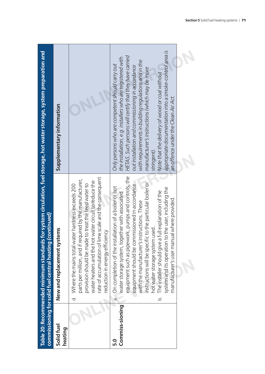|                        | Table 20: Recommended minimum standards for system circulation, fuel storage, hot water storage, system preparation and<br>commissioning for solid fuel central heating (continued)                                                                                                                                                                                                                                                                                                                                                            |                                                                                                                                                                                                                                                                                                                                                                                                                                                                                                         |
|------------------------|------------------------------------------------------------------------------------------------------------------------------------------------------------------------------------------------------------------------------------------------------------------------------------------------------------------------------------------------------------------------------------------------------------------------------------------------------------------------------------------------------------------------------------------------|---------------------------------------------------------------------------------------------------------------------------------------------------------------------------------------------------------------------------------------------------------------------------------------------------------------------------------------------------------------------------------------------------------------------------------------------------------------------------------------------------------|
| Solid fuel<br>heating  | New and replacement systems                                                                                                                                                                                                                                                                                                                                                                                                                                                                                                                    | Supplementary information                                                                                                                                                                                                                                                                                                                                                                                                                                                                               |
|                        | rate of accumulation of lime scale and the consequent<br>parts per million, and if required by the manufacturer,<br>water heaters and the hot water circuit to reduce the<br>provision should be made to treat the feed water to<br>d. Where the mains total water hardness exceeds 200<br>reduction in energy efficiency                                                                                                                                                                                                                      |                                                                                                                                                                                                                                                                                                                                                                                                                                                                                                         |
| Commiss-sioning<br>5.0 | equipment such as pipework, pumps and controls, the<br>equipment should be commissioned in accordance<br>instructions will be specific to the particular boiler or<br>a. On completion of the installation of a boiler or hot<br>system and its operation to the user, including the<br>The installer should give a full explanation of the<br>water storage system, together with associated<br>manufacturer's user manual where provided.<br>with the manufacturer's instructions. These<br>hot water storage system used.<br>$\overline{Q}$ | appropriate documentation into a smoke-control area is<br>HETAS. Such persons will certify that they have carried<br>the installation, e.g. installers who are registered with<br>with requirements in building regulations and in the<br>Only persons who are competent should carry out<br>out installation and commissioning in accordance<br>manufacturer's instructions (which may be more<br>Note that the delivery of wood or coal without<br>an offence under the Clean Air Act.<br>stringent). |
|                        |                                                                                                                                                                                                                                                                                                                                                                                                                                                                                                                                                |                                                                                                                                                                                                                                                                                                                                                                                                                                                                                                         |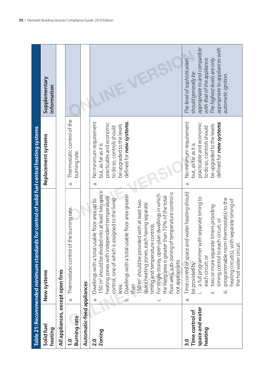|                                                      | Table 21: Recommended minimum standards for control of solid fuel central heating systems                                                                                                                                                                                                                                                                                                                                                                                                                                                                                                                                                        |                                                                                                                                                                                    |                                                                                                                                                                                                            |
|------------------------------------------------------|--------------------------------------------------------------------------------------------------------------------------------------------------------------------------------------------------------------------------------------------------------------------------------------------------------------------------------------------------------------------------------------------------------------------------------------------------------------------------------------------------------------------------------------------------------------------------------------------------------------------------------------------------|------------------------------------------------------------------------------------------------------------------------------------------------------------------------------------|------------------------------------------------------------------------------------------------------------------------------------------------------------------------------------------------------------|
| Solid fuel<br>heating                                | New systems                                                                                                                                                                                                                                                                                                                                                                                                                                                                                                                                                                                                                                      | Replacement systems                                                                                                                                                                | Supplementary<br>information                                                                                                                                                                               |
| All appliances, except open fires                    |                                                                                                                                                                                                                                                                                                                                                                                                                                                                                                                                                                                                                                                  |                                                                                                                                                                                    |                                                                                                                                                                                                            |
| <b>Burning rate</b><br>$\overline{1}$ .0             | the burning rate.<br>Thermostatic control of<br>à.                                                                                                                                                                                                                                                                                                                                                                                                                                                                                                                                                                                               | Thermostatic control of the<br>burning rate.<br>$\vec{\sigma}$                                                                                                                     |                                                                                                                                                                                                            |
| Automatic-feed appliances                            |                                                                                                                                                                                                                                                                                                                                                                                                                                                                                                                                                                                                                                                  |                                                                                                                                                                                    |                                                                                                                                                                                                            |
| <b>Zoning</b><br>2.0                                 | I50 m <sup>2</sup> should be divided into at least two space<br>floor area, sub-zoning of temperature control is<br>For single-storey, open-plan dwellings in which<br>Dwellings with a total usable floor area greater<br>heating zones with independent temperature<br>the living area is greater than 70% of the total<br>control, one of which is assigned to the living<br>Dwellings with a total usable floor area up to<br>150 m <sup>2</sup> should be provided with at least two<br>space heating zones, each having separate<br>timing and temperature controls.<br>not appropriate.<br>than<br>area.<br>$\dot{\sigma}$<br>.<br>د<br>Ü | defined for new systems.<br>No minimum requirement<br>practicable and economic<br>be upgraded to the levels<br>to do so, controls should<br>but, as far as it is<br>$\dot{\sigma}$ |                                                                                                                                                                                                            |
| space and water<br>Time control of<br>heating<br>3.0 | nd water heating should<br>a full programmer with separate timing to<br>programmable room thermostat(s) to the<br>heating circuit(s), with separate timing of<br>two or more separate timers providing<br>timing control to each circuit; or<br>Time control of space an<br>the hot water circuit.<br>each circuit; or<br>be provided by:<br>iΞ<br>ιË<br>$\vec{\sigma}$                                                                                                                                                                                                                                                                          | No minimum requirement<br>defined for new systems.<br>practicable and economic<br>be upgraded to the levels<br>to do so, controls should<br>but, as far as it is<br>$\vec{\sigma}$ | appropriate to and compatible<br>appropriate to appliances with<br>The level of sophistication<br>The highest levels are only<br>with that of the appliance.<br>should generally be<br>automatic ignition. |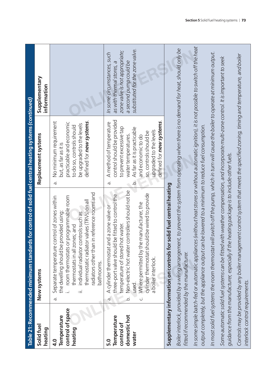|                                                                                                       | Supplementary<br>information       |                                                                                                                                                                                                                                                                                                                                                                                                                                                                                                                                  | substituted for the zone valve.<br>zone valve is not appropriate;<br>In some circumstances, such<br>a second pump could be<br>as with thermal stores, a                                                                                                                                                                                                                                                                                                                                                                                                                                                                          |                                                                                                                                                                                                                                                                                                                                                                                                                                                                                                                                                                                                                                                                                                                                                                                                                                                                                                                                                                                                                                                               |
|-------------------------------------------------------------------------------------------------------|------------------------------------|----------------------------------------------------------------------------------------------------------------------------------------------------------------------------------------------------------------------------------------------------------------------------------------------------------------------------------------------------------------------------------------------------------------------------------------------------------------------------------------------------------------------------------|----------------------------------------------------------------------------------------------------------------------------------------------------------------------------------------------------------------------------------------------------------------------------------------------------------------------------------------------------------------------------------------------------------------------------------------------------------------------------------------------------------------------------------------------------------------------------------------------------------------------------------|---------------------------------------------------------------------------------------------------------------------------------------------------------------------------------------------------------------------------------------------------------------------------------------------------------------------------------------------------------------------------------------------------------------------------------------------------------------------------------------------------------------------------------------------------------------------------------------------------------------------------------------------------------------------------------------------------------------------------------------------------------------------------------------------------------------------------------------------------------------------------------------------------------------------------------------------------------------------------------------------------------------------------------------------------------------|
| Table 21: Recommended minimum standards for control of solid fuel central heating systems (continued) | Replacement systems<br>New systems | defined for new systems.<br>No minimum requirement<br>practicable and economic<br>be upgraded to the levels<br>to do so, controls should<br>but, as far as it is<br>$\dot{\sigma}$<br>radiators other than in reference rooms and<br>room thermostats or programmable room<br>Separate temperature control of zones within<br>thermostatic radiator valves (TRVs) on all<br>the dwelling should be provided using<br>individual radiator controls such as<br>thermostats in all zones; and<br>bathrooms.<br>≔:<br>$\dot{\sigma}$ | control should be provided<br>defined for new systems.<br>A method of temperature<br>to prevent excessive tap<br>As far as it is practicable<br>upgraded to the levels<br>so, controls should be<br>water temperatures.<br>and economic to do<br>$\circ$<br>$\vec{\sigma}$<br>controllers should not be<br>cylinder thermostat should be wired to provide<br>three-port valve should be fitted to control the<br>Where permitted by the manufacturer, the<br>A cylinder thermostat and a zone valve or<br>temperature of stored hot water.<br>Non-electric hot water<br>a boiler interlock.<br>used.<br>$\vec{a}$<br>.<br>ف<br>Ü | In some simple batch-fed or automatic appliances (without heat stores or without automatic ignition), it is not possible to switch off the heat<br>Boiler interlock, provided by a wiring arrangement, to prevent the system from operating when there is no demand for heat, should only be<br>In most solid fuel systems the room thermostat will switch off the pump, which in turn will cause the boiler to operate at minimum output.<br>Controls may be provided by any boiler management control system that meets the specified zoning, timing and temperature, and boiler<br>Some automatic solid fuel systems can be fitted with weather compensation, and incorporate multi-zone control. It is important to seek<br>output completely, but the appliance output can be lowered to a minimum to reduce fuel consumption.<br>e heating package is to include other fuels.<br>Supplementary information on controls for solid fuel central heating<br>guidance from the manufacturer, especially if th<br>fitted if recommended by the manufacturer. |
|                                                                                                       | Solid fuel<br>heating              | control of space<br>Temperature<br>heating<br>$\overline{\mathbf{q}}$ .<br>D                                                                                                                                                                                                                                                                                                                                                                                                                                                     | domestic hot<br>Temperature<br>control of<br>water<br>5.0                                                                                                                                                                                                                                                                                                                                                                                                                                                                                                                                                                        | interlock control requirements.                                                                                                                                                                                                                                                                                                                                                                                                                                                                                                                                                                                                                                                                                                                                                                                                                                                                                                                                                                                                                               |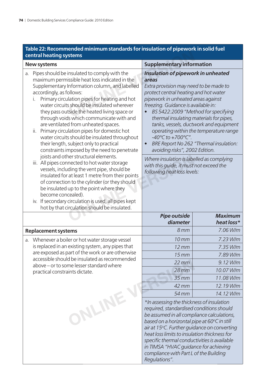$\overline{\phantom{a}}$ 

| Table 22: Recommended minimum standards for insulation of pipework in solid fuel |  |
|----------------------------------------------------------------------------------|--|
| <b>central heating systems</b>                                                   |  |

|                                                                                                                                                                                                                                                                                                                                                                                                                                                                                                                                                                                                                                                                                                                                                                                                                                                                                                                                                                                                                                             | central heating systems                                                                           | as ion msalation or pip                                                                                                                                                                                                                                                                                                                                                                                                                                                                                                                                                                                                                    |            |
|---------------------------------------------------------------------------------------------------------------------------------------------------------------------------------------------------------------------------------------------------------------------------------------------------------------------------------------------------------------------------------------------------------------------------------------------------------------------------------------------------------------------------------------------------------------------------------------------------------------------------------------------------------------------------------------------------------------------------------------------------------------------------------------------------------------------------------------------------------------------------------------------------------------------------------------------------------------------------------------------------------------------------------------------|---------------------------------------------------------------------------------------------------|--------------------------------------------------------------------------------------------------------------------------------------------------------------------------------------------------------------------------------------------------------------------------------------------------------------------------------------------------------------------------------------------------------------------------------------------------------------------------------------------------------------------------------------------------------------------------------------------------------------------------------------------|------------|
|                                                                                                                                                                                                                                                                                                                                                                                                                                                                                                                                                                                                                                                                                                                                                                                                                                                                                                                                                                                                                                             | <b>New systems</b>                                                                                | <b>Supplementary information</b>                                                                                                                                                                                                                                                                                                                                                                                                                                                                                                                                                                                                           |            |
| Pipes should be insulated to comply with the<br>a.<br>maximum permissible heat loss indicated in the<br>Supplementary Information column, and labelled<br>accordingly, as follows:<br>Primary circulation pipes for heating and hot<br>water circuits should be insulated wherever<br>they pass outside the heated living space or<br>through voids which communicate with and<br>are ventilated from unheated spaces.<br>ii. Primary circulation pipes for domestic hot<br>water circuits should be insulated throughout<br>their length, subject only to practical<br>constraints imposed by the need to penetrate<br>joists and other structural elements.<br>iii. All pipes connected to hot water storage<br>vessels, including the vent pipe, should be<br>insulated for at least 1 metre from their points<br>of connection to the cylinder (or they should<br>be insulated up to the point where they<br>become concealed).<br>iv. If secondary circulation is used, all pipes kept<br>hot by that circulation should be insulated. |                                                                                                   | Insulation of pipework in unheated<br>areas<br>Extra provision may need to be made to<br>protect central heating and hot water<br>pipework in unheated areas against<br>freezing. Guidance is available in:<br>BS 5422:2009 "Method for specifying<br>thermal insulating materials for pipes,<br>tanks, vessels, ductwork and equipment<br>operating within the temperature range<br>$-40^{\circ}$ C to $+700^{\circ}$ C".<br>BRE Report No 262 "Thermal insulation:<br>$\bullet$<br>avoiding risks", 2002 Edition.<br>Where insulation is labelled as complying<br>with this guide, it must not exceed the<br>following heat loss levels: |            |
|                                                                                                                                                                                                                                                                                                                                                                                                                                                                                                                                                                                                                                                                                                                                                                                                                                                                                                                                                                                                                                             |                                                                                                   |                                                                                                                                                                                                                                                                                                                                                                                                                                                                                                                                                                                                                                            |            |
|                                                                                                                                                                                                                                                                                                                                                                                                                                                                                                                                                                                                                                                                                                                                                                                                                                                                                                                                                                                                                                             | <b>Replacement systems</b>                                                                        | 8 <sub>mm</sub>                                                                                                                                                                                                                                                                                                                                                                                                                                                                                                                                                                                                                            | 7.06 W/m   |
| a.                                                                                                                                                                                                                                                                                                                                                                                                                                                                                                                                                                                                                                                                                                                                                                                                                                                                                                                                                                                                                                          | Whenever a boiler or hot water storage vessel                                                     | 10 <sub>mm</sub>                                                                                                                                                                                                                                                                                                                                                                                                                                                                                                                                                                                                                           | $7.23$ W/m |
|                                                                                                                                                                                                                                                                                                                                                                                                                                                                                                                                                                                                                                                                                                                                                                                                                                                                                                                                                                                                                                             | is replaced in an existing system, any pipes that                                                 | $12 \, \text{mm}$                                                                                                                                                                                                                                                                                                                                                                                                                                                                                                                                                                                                                          | 7.35 W/m   |
|                                                                                                                                                                                                                                                                                                                                                                                                                                                                                                                                                                                                                                                                                                                                                                                                                                                                                                                                                                                                                                             | are exposed as part of the work or are otherwise<br>accessible should be insulated as recommended | $15$ mm                                                                                                                                                                                                                                                                                                                                                                                                                                                                                                                                                                                                                                    | 7.89 W/m   |
|                                                                                                                                                                                                                                                                                                                                                                                                                                                                                                                                                                                                                                                                                                                                                                                                                                                                                                                                                                                                                                             | above - or to some lesser standard where                                                          | $22$ mm                                                                                                                                                                                                                                                                                                                                                                                                                                                                                                                                                                                                                                    | 9.12 W/m   |
|                                                                                                                                                                                                                                                                                                                                                                                                                                                                                                                                                                                                                                                                                                                                                                                                                                                                                                                                                                                                                                             | practical constraints dictate.                                                                    | $28$ mm                                                                                                                                                                                                                                                                                                                                                                                                                                                                                                                                                                                                                                    | 10.07 W/m  |
|                                                                                                                                                                                                                                                                                                                                                                                                                                                                                                                                                                                                                                                                                                                                                                                                                                                                                                                                                                                                                                             |                                                                                                   | $35$ mm                                                                                                                                                                                                                                                                                                                                                                                                                                                                                                                                                                                                                                    | 11.08 W/m  |
|                                                                                                                                                                                                                                                                                                                                                                                                                                                                                                                                                                                                                                                                                                                                                                                                                                                                                                                                                                                                                                             |                                                                                                   | 42 mm                                                                                                                                                                                                                                                                                                                                                                                                                                                                                                                                                                                                                                      | 12.19 W/m  |
|                                                                                                                                                                                                                                                                                                                                                                                                                                                                                                                                                                                                                                                                                                                                                                                                                                                                                                                                                                                                                                             |                                                                                                   | 54 mm                                                                                                                                                                                                                                                                                                                                                                                                                                                                                                                                                                                                                                      | 14.12 W/m  |
|                                                                                                                                                                                                                                                                                                                                                                                                                                                                                                                                                                                                                                                                                                                                                                                                                                                                                                                                                                                                                                             | ONLINE                                                                                            | *In assessing the thickness of insulation<br>required, standardised conditions should<br>be assumed in all compliance calculations,<br>based on a horizontal pipe at 60°C in still<br>air at 15°C. Further guidance on converting<br>heat loss limits to insulation thickness for<br>specific thermal conductivities is available<br>in TIMSA "HVAC guidance for achieving<br>compliance with Part L of the Building                                                                                                                                                                                                                       |            |

*Regulations".*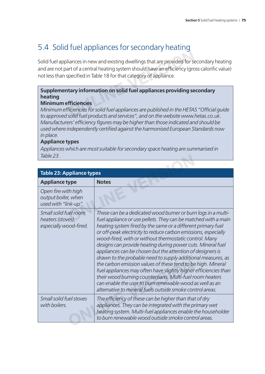# 5.4 Solid fuel appliances for secondary heating

Solid fuel appliances in new and existing dwellings that are provided for secondary heating and are not part of a central heating system should have an efficiency (gross calorific value) not less than specified in Table 18 for that category of appliance. liances in new and existing dwellings that are provided for sent of a central heating system should have an efficiency (group<br>cified in Table 18 for that category of appliance.<br>**The sense of an information on solid fuel ap** 

## **Supplementary information on solid fuel appliances providing secondary heating**

## **Minimum efficiencies**

*Minimum efficiencies for solid fuel appliances are published in the HETAS "Official quide to approved solid fuel products and services", and on the website www.hetas.co.uk.*  Manufacturers' efficiency figures may be higher than those indicated and should be used where independently certified against the harmonised European Standards now *in place.*

## **Appliance types**

*Appliances which are most suitable for secondary space heating are summarised in Table 23.*

| lable 23.                                                            |                                                                                                                                                                                                                                                                                                                                                                                                                                                                                                                                                                                                                                                                                                                                                                                                                                                   |  |  |
|----------------------------------------------------------------------|---------------------------------------------------------------------------------------------------------------------------------------------------------------------------------------------------------------------------------------------------------------------------------------------------------------------------------------------------------------------------------------------------------------------------------------------------------------------------------------------------------------------------------------------------------------------------------------------------------------------------------------------------------------------------------------------------------------------------------------------------------------------------------------------------------------------------------------------------|--|--|
|                                                                      |                                                                                                                                                                                                                                                                                                                                                                                                                                                                                                                                                                                                                                                                                                                                                                                                                                                   |  |  |
|                                                                      | <b>Table 23: Appliance types</b>                                                                                                                                                                                                                                                                                                                                                                                                                                                                                                                                                                                                                                                                                                                                                                                                                  |  |  |
| <b>Appliance type</b>                                                | <b>Notes</b>                                                                                                                                                                                                                                                                                                                                                                                                                                                                                                                                                                                                                                                                                                                                                                                                                                      |  |  |
| Open fire with high<br>output boiler, when<br>used with "link-up".   |                                                                                                                                                                                                                                                                                                                                                                                                                                                                                                                                                                                                                                                                                                                                                                                                                                                   |  |  |
| Small solid fuel room<br>heaters (stoves),<br>especially wood-fired. | These can be a dedicated wood burner or burn logs in a multi-<br>fuel appliance or use pellets. They can be matched with a main<br>heating system fired by the same or a different primary fuel<br>or off-peak electricity to reduce carbon emissions, especially<br>wood-fired, with or without thermostatic control. Many<br>designs can provide heating during power cuts. Mineral fuel<br>appliances can be chosen but the attention of designers is<br>drawn to the probable need to supply additional measures, as<br>the carbon emission values of these tend to be high. Mineral<br>fuel appliances may often have slightly higher efficiencies than<br>their wood burning counterparts. Multi-fuel room heaters<br>can enable the user to burn renewable wood as well as an<br>alternative to mineral fuels outside smoke control areas. |  |  |
| Small solid fuel stoves<br>with boilers.                             | The efficiency of these can be higher than that of dry<br>appliances. They can be integrated with the primary wet<br>heating system. Multi-fuel appliances enable the householder<br>to burn renewable wood outside smoke control areas.                                                                                                                                                                                                                                                                                                                                                                                                                                                                                                                                                                                                          |  |  |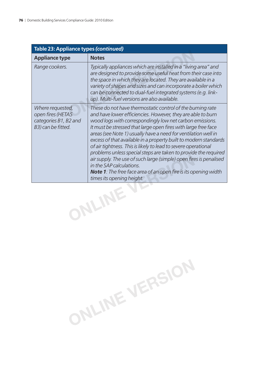| Table 23: Appliance types (continued)                                                |                                                                                                                                                                                                                                                                                                                                                                                                                                                                                                                                                                                                                                                                                                                                              |  |  |
|--------------------------------------------------------------------------------------|----------------------------------------------------------------------------------------------------------------------------------------------------------------------------------------------------------------------------------------------------------------------------------------------------------------------------------------------------------------------------------------------------------------------------------------------------------------------------------------------------------------------------------------------------------------------------------------------------------------------------------------------------------------------------------------------------------------------------------------------|--|--|
| <b>Appliance type</b>                                                                | <b>Notes</b>                                                                                                                                                                                                                                                                                                                                                                                                                                                                                                                                                                                                                                                                                                                                 |  |  |
| Range cookers.                                                                       | Typically appliances which are installed in a "living area" and<br>are designed to provide some useful heat from their case into<br>the space in which they are located. They are available in a<br>variety of shapes and sizes and can incorporate a boiler which<br>can be connected to dual-fuel integrated systems (e.g. link-<br>up). Multi-fuel versions are also available.                                                                                                                                                                                                                                                                                                                                                           |  |  |
| Where requested,<br>open fires (HETAS<br>categories B1, B2 and<br>B3) can be fitted. | These do not have thermostatic control of the burning rate<br>and have lower efficiencies. However, they are able to burn<br>wood logs with correspondingly low net carbon emissions.<br>It must be stressed that large open fires with large free face<br>areas (see Note 1) usually have a need for ventilation well in<br>excess of that available in a property built to modern standards<br>of air tightness. This is likely to lead to severe operational<br>problems unless special steps are taken to provide the required<br>air supply. The use of such large (simple) open fires is penalised<br>in the SAP calculations.<br><b>Note 1</b> : The free face area of an open fire is its opening width<br>times its opening height. |  |  |
| <b>ULIFA</b>                                                                         |                                                                                                                                                                                                                                                                                                                                                                                                                                                                                                                                                                                                                                                                                                                                              |  |  |

**ONLINE VERSION**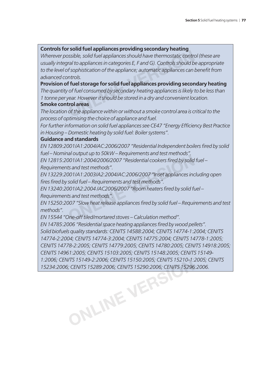### **Controls for solid fuel appliances providing secondary heating**

*Wherever possible, solid fuel appliances should have thermostatic control (these are usually integral to appliances in categories E, F and G). Controls should be appropriate*  to the level of sophistication of the appliance; automatic appliances can benefit from *advanced controls.* **CONDUCTE THE IMPLEM SECONDER SECONDER SECONDER SET OF SET OF SISSIBLE, Solid fuel appliances should have thermostatic controls about the f sophistication of the appliance; automatic appliances can introls.<br>
<b>If fuel stora** 

**Provision of fuel storage for solid fuel appliances providing secondary heating** *The quantity of fuel consumed by secondary heating appliances is likely to be less than 1 tonne per year. However it should be stored in a dry and convenient location.*

### **Smoke control areas**

*The location of the appliance within or without a smoke control area is critical to the process of optimising the choice of appliance and fuel.*

For further information on solid fuel appliances see CE47 "Energy Efficiency Best Practice *in Housing – Domestic heating by solid fuel: Boiler systems".*

### **Guidance and standards**

*EN 12809:2001/A1:2004/AC:2006/2007 "Residential Independent boilers fi red by solid fuel – Nominal output up to 50kW – Requirements and test methods".*

*EN 12815:2001/A1:2004/2006/2007 "Residential cookers fi red by solid fuel – Requirements and test methods".*

*EN 13229:2001/A1:2003/A2:2004/AC:2006/2007 "Inset appliances including open fi res fi red by solid fuel – Requirements and test methods".*

*EN 13240:2001/A2:2004 /AC2006/2007 "Room heaters fi red by solid fuel – Requirements and test methods".* all barpat up to bolivity inequiements and test methods".<br>
OO1/A1:2004/2006/2007 "Residential cookers fired by solid<br>
ts and test methods".<br>
DO1/A1:2003/A2:2004/AC:2006/2007 "Inset appliances inc<br>
solid fuel – Requirements

*EN 15250:2007 "Slow heat release appliances fi red by solid fuel – Requirements and test methods".*

*EN 15544 "One-off tiled/mortared stoves – Calculation method".*

*EN 14785:2006 "Residential space heating appliances fi red by wood pellets". Solid biofuels quality standards: CEN/TS 14588:2004; CEN/TS 14774-1:2004; CEN/TS 14774-2:2004; CEN/TS 14774-3:2004; CEN/TS 14775:2004; CEN/TS 14778-1:2005; CEN/TS 14778-2:2005; CEN/TS 14779:2005; CEN/TS 14780:2005; CEN/TS 14918:2005; CEN/TS 14961:2005; CEN/TS 15103:2005; CEN/TS 15148:2005; CEN/TS 15149- 1:2006; CEN/TS 15149-2:2006; CEN/TS 15150:2005; CEN/TS 15210-1:2005; CEN/TS 15234:2006; CEN/TS 15289:2006; CEN/TS 15290:2006; CEN/TS 15296:2006.* **ONLINE VERSION**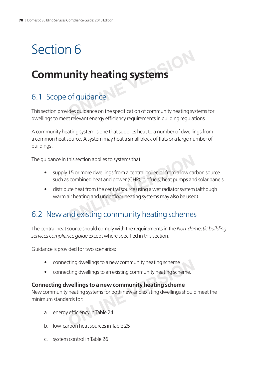# Section 6

# **Community heating systems** Inity heating systems

# 6.1 Scope of guidance

This section provides guidance on the specification of community heating systems for dwellings to meet relevant energy efficiency requirements in building regulations.

A community heating system is one that supplies heat to a number of dwellings from a common heat source. A system may heat a small block of flats or a large number of buildings.

The guidance in this section applies to systems that:

- supply 15 or more dwellings from a central boiler, or from a low carbon source such as combined heat and power (CHP), biofuels, heat pumps and solar panels
- distribute heat from the central source using a wet radiator system (although warm air heating and underfloor heating systems may also be used). The guidance in this section applies to systems that:<br>
• supply 15 or more dwellings from a central boiler, or from a low carl<br>
such as combined heat and power (CHP), biofuels, heat pumps and<br>
• distribute heat from the ce

The central heat source should comply with the requirements in the *Non-domestic building*  services compliance quide except where specified in this section.

Guidance is provided for two scenarios:

- connecting dwellings to a new community heating scheme
- connecting dwellings to an existing community heating scheme.

# **Connecting dwellings to a new community heating scheme**

New community heating systems for both new and existing dwellings should meet the minimum standards for: cting dwellings to a new community heating scheme<br>
cting dwellings to an existing community heating scheme<br> **Wellings to a new community heating scheme**<br>
heating systems for both new and existing dwellings should<br>
parts fo

- a. energy efficiency in Table 24
- b. low-carbon heat sources in Table 25
- c. system control in Table 26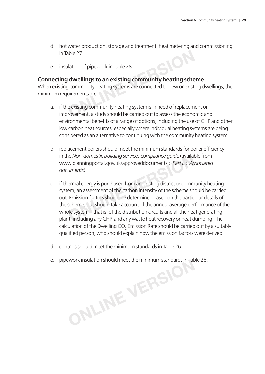- d. hot water production, storage and treatment, heat metering and commissioning in Table 27
- e. insulation of pipework in Table 28.

### **Connecting dwellings to an existing community heating scheme**

When existing community heating systems are connected to new or existing dwellings, the minimum requirements are:

- a. if the existing community heating system is in need of replacement or improvement, a study should be carried out to assess the economic and environmental benefits of a range of options, including the use of CHP and other low carbon heat sources, especially where individual heating systems are being considered as an alternative to continuing with the community heating system Able 27<br> **ONLIGE 28.**<br> **ONLIGE 28.**<br> **ONLIGE 28.**<br> **ONLIGE 28.**<br> **ONLIGE 28.**<br> **ONLIGE 28.**<br> **ONLIGE 28.**<br> **ONLIGE 28.**<br> **ONLIGE 28.**<br> **ONLIGE 28.**<br> **ONLIGE 28.**<br> **ONLIGE 20.**<br> **ONLIGE 20.**<br> **ONLIGE 20.**<br> **ONLIGE 20.**<br> **ON**
- b. replacement boilers should meet the minimum standards for boiler efficiency in the *Non-domestic building services compliance guide* (available from www.planningportal.gov.uk/approveddocuments > *Part L* > *Associated documents*)
- c. if thermal energy is purchased from an existing district or community heating system, an assessment of the carbon intensity of the scheme should be carried out. Emission factors should be determined based on the particular details of the scheme, but should take account of the annual average performance of the whole system – that is, of the distribution circuits and all the heat generating plant, including any CHP, and any waste heat recovery or heat dumping. The calculation of the Dwelling CO<sub>2</sub> Emission Rate should be carried out by a suitably qualified person, who should explain how the emission factors were derived Non-domestic building services compliance guide (availat<br>w.planningportal.gov.uk/approveddocuments > *Part L* > *As*<br>uments)<br>ermal energy is purchased from an existing district or comm<br>em, an assessment of the carbon inten
- d. controls should meet the minimum standards in Table 26
- e. pipework insulation should meet the minimum standards in Table 28. **ONLINE VERSION**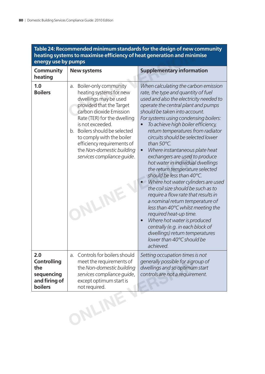|                                                                            | heating systems to maximise efficiency of heat generation and minimise                                                                                                                                                                                                                                                                                   |                                                                                                                                                                                                                                                                                                                                                                                                                                                                                                                                                                                                                                                                                                                                                                                                                                                                                                                                                        |
|----------------------------------------------------------------------------|----------------------------------------------------------------------------------------------------------------------------------------------------------------------------------------------------------------------------------------------------------------------------------------------------------------------------------------------------------|--------------------------------------------------------------------------------------------------------------------------------------------------------------------------------------------------------------------------------------------------------------------------------------------------------------------------------------------------------------------------------------------------------------------------------------------------------------------------------------------------------------------------------------------------------------------------------------------------------------------------------------------------------------------------------------------------------------------------------------------------------------------------------------------------------------------------------------------------------------------------------------------------------------------------------------------------------|
| energy use by pumps                                                        |                                                                                                                                                                                                                                                                                                                                                          |                                                                                                                                                                                                                                                                                                                                                                                                                                                                                                                                                                                                                                                                                                                                                                                                                                                                                                                                                        |
| Community<br>heating                                                       | <b>New systems</b>                                                                                                                                                                                                                                                                                                                                       | <b>Supplementary information</b>                                                                                                                                                                                                                                                                                                                                                                                                                                                                                                                                                                                                                                                                                                                                                                                                                                                                                                                       |
| 1.0<br><b>Boilers</b>                                                      | Boiler-only community<br>a.<br>heating systems for new<br>dwellings may be used<br>provided that the Target<br>carbon dioxide Emission<br>Rate (TER) for the dwelling<br>is not exceeded.<br>b. Boilers should be selected<br>to comply with the boiler<br>efficiency requirements of<br>the Non-domestic building<br>services compliance quide.<br>JLIN | When calculating the carbon emission<br>rate, the type and quantity of fuel<br>used and also the electricity needed to<br>operate the central plant and pumps<br>should be taken into account.<br>For systems using condensing boilers:<br>To achieve high boiler efficiency,<br>return temperatures from radiator<br>circuits should be selected lower<br>than $50^{\circ}$ C.<br>Where instantaneous plate heat<br>$\bullet$<br>exchangers are used to produce<br>hot water in individual dwellings<br>the return temperature selected<br>should be less than 40°C.<br>Where hot water cylinders are used<br>the coil size should be such as to<br>require a flow rate that results in<br>a nominal return temperature of<br>less than 40°C whilst meeting the<br>required heat-up time.<br>Where hot water is produced<br>$\bullet$<br>centrally (e.g. in each block of<br>dwellings) return temperatures<br>lower than 40°C should be<br>achieved. |
| 2.0<br><b>Controlling</b><br>the<br>sequencing<br>and firing of<br>boilers | Controls for boilers should<br>a.<br>meet the requirements of<br>the Non-domestic building<br>services compliance guide,<br>except optimum start is<br>not required.                                                                                                                                                                                     | Setting occupation times is not<br>generally possible for a group of<br>dwellings and so optimum start<br>controls are not a requirement.                                                                                                                                                                                                                                                                                                                                                                                                                                                                                                                                                                                                                                                                                                                                                                                                              |
|                                                                            | ONLINE                                                                                                                                                                                                                                                                                                                                                   |                                                                                                                                                                                                                                                                                                                                                                                                                                                                                                                                                                                                                                                                                                                                                                                                                                                                                                                                                        |

**Table 24: Recommended minimum standards for the design of new community**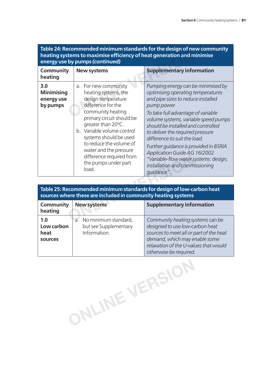| 199191 1110 9001911<br>heating systems to maximise efficiency of heat generation and minimise<br>energy use by pumps (continued) |                                                                                                                                                                                                                                                                                                                                            |                                                                                                                                                                                                                                                                                                                                                                                                                                                                                               |  |
|----------------------------------------------------------------------------------------------------------------------------------|--------------------------------------------------------------------------------------------------------------------------------------------------------------------------------------------------------------------------------------------------------------------------------------------------------------------------------------------|-----------------------------------------------------------------------------------------------------------------------------------------------------------------------------------------------------------------------------------------------------------------------------------------------------------------------------------------------------------------------------------------------------------------------------------------------------------------------------------------------|--|
| Community<br>heating                                                                                                             | <b>New systems</b>                                                                                                                                                                                                                                                                                                                         | <b>Supplementary information</b>                                                                                                                                                                                                                                                                                                                                                                                                                                                              |  |
| 3.0<br><b>Minimising</b><br>energy use<br>by pumps                                                                               | a. For new community<br>heating systems, the<br>design temperature<br>difference for the<br>community heating<br>primary circuit should be<br>greater than 20°C.<br>b. Variable volume control<br>systems should be used<br>to reduce the volume of<br>water and the pressure<br>difference required from<br>the pumps under part<br>load. | Pumping energy can be minimised by<br>optimising operating temperatures<br>and pipe sizes to reduce installed<br>pump power.<br>To take full advantage of variable<br>volume systems, variable speed pumps<br>should be installed and controlled<br>to deliver the required pressure<br>difference to suit the load.<br>Further guidance is provided in BSRIA<br><b>Application Guide AG 16/2002</b><br>"Variable-flow water systems: design,<br>installation and commissioning<br>quidance". |  |

# **Table 24: Recommended minimum standards for the design of new community heating systems to maximise effi ciency of heat generation and minimise**

|                                      | difference required from<br>the pumps under part<br>load.                     | "Variable-flow water systems: design,<br>installation and commissioning<br>quidance".                                                                                                                              |
|--------------------------------------|-------------------------------------------------------------------------------|--------------------------------------------------------------------------------------------------------------------------------------------------------------------------------------------------------------------|
|                                      |                                                                               |                                                                                                                                                                                                                    |
|                                      | sources where these are included in community heating systems                 | Table 25: Recommended minimum standards for design of low-carbon heat                                                                                                                                              |
| Community<br>heating                 | <b>New systems</b>                                                            | <b>Supplementary information</b>                                                                                                                                                                                   |
| 1.0<br>Low carbon<br>heat<br>sources | No minimum standard,<br>$a^{\prime}$<br>but see Supplementary<br>Information. | Community heating systems can be<br>designed to use low-carbon heat<br>sources to meet all or part of the heat<br>demand, which may enable some<br>relaxation of the U-values that would<br>otherwise be required. |

**ONLINE VERSION**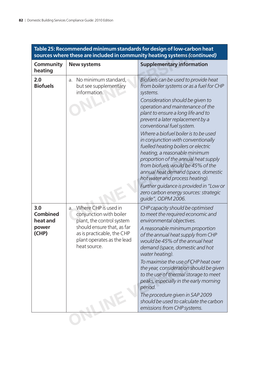| Table 25: Recommended minimum standards for design of low-carbon heat<br>sources where these are included in community heating systems (continued) |                                                                                                                                                                                           |                                                                                                                                                                                                                                                                                                                                                                                                                                                                                                                                                                                                                                                                                                    |  |  |
|----------------------------------------------------------------------------------------------------------------------------------------------------|-------------------------------------------------------------------------------------------------------------------------------------------------------------------------------------------|----------------------------------------------------------------------------------------------------------------------------------------------------------------------------------------------------------------------------------------------------------------------------------------------------------------------------------------------------------------------------------------------------------------------------------------------------------------------------------------------------------------------------------------------------------------------------------------------------------------------------------------------------------------------------------------------------|--|--|
| Community<br>heating                                                                                                                               | <b>New systems</b>                                                                                                                                                                        | <b>Supplementary information</b>                                                                                                                                                                                                                                                                                                                                                                                                                                                                                                                                                                                                                                                                   |  |  |
| 2.0<br><b>Biofuels</b>                                                                                                                             | No minimum standard,<br>a.<br>but see supplementary<br>information.                                                                                                                       | Biofuels can be used to provide heat<br>from boiler systems or as a fuel for CHP<br>systems.<br>Consideration should be given to<br>operation and maintenance of the<br>plant to ensure a long life and to<br>prevent a later replacement by a<br>conventional fuel system.<br>Where a biofuel boiler is to be used<br>in conjunction with conventionally<br>fuelled heating boilers or electric<br>heating, a reasonable minimum<br>proportion of the annual heat supply<br>from biofuels would be 45% of the<br>annual heat demand (space, domestic<br>hot water and process heating).<br>Further quidance is provided in "Low or<br>zero carbon energy sources: strategic<br>quide", ODPM 2006. |  |  |
| 3.0<br><b>Combined</b><br>heat and<br>power<br>(CHP)                                                                                               | a. Where CHP is used in<br>conjunction with boiler<br>plant, the control system<br>should ensure that, as far<br>as is practicable, the CHP<br>plant operates as the lead<br>heat source. | CHP capacity should be optimised<br>to meet the required economic and<br>environmental objectives.<br>A reasonable minimum proportion<br>of the annual heat supply from CHP<br>would be 45% of the annual heat<br>demand (space, domestic and hot<br>water heating).<br>To maximise the use of CHP heat over<br>the year, consideration should be given<br>to the use of thermal storage to meet<br>peaks, especially in the early morning<br>period.<br>The procedure given in SAP 2009<br>should be used to calculate the carbon<br>emissions from CHP systems.                                                                                                                                  |  |  |
|                                                                                                                                                    |                                                                                                                                                                                           |                                                                                                                                                                                                                                                                                                                                                                                                                                                                                                                                                                                                                                                                                                    |  |  |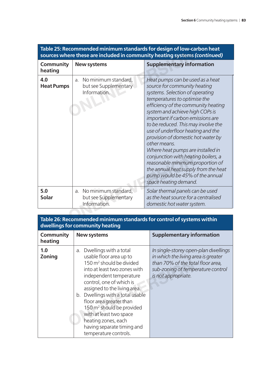| <b>Community</b><br>heating | <b>New systems</b>                                                  | <b>Supplementary information</b>                                                                                                                                                                                                                                                                                                                                                                                                                                                                                                                                                                         |
|-----------------------------|---------------------------------------------------------------------|----------------------------------------------------------------------------------------------------------------------------------------------------------------------------------------------------------------------------------------------------------------------------------------------------------------------------------------------------------------------------------------------------------------------------------------------------------------------------------------------------------------------------------------------------------------------------------------------------------|
| 4.0<br><b>Heat Pumps</b>    | No minimum standard,<br>a.<br>but see Supplementary<br>Information. | Heat pumps can be used as a heat<br>source for community heating<br>systems. Selection of operating<br>temperatures to optimise the<br>efficiency of the community heating<br>system and achieve high COPs is<br>important if carbon emissions are<br>to be reduced. This may involve the<br>use of underfloor heating and the<br>provision of domestic hot water by<br>other means.<br>Where heat pumps are installed in<br>conjunction with heating boilers, a<br>reasonable minimum proportion of<br>the annual heat supply from the heat<br>pump would be 45% of the annual<br>space heating demand. |
| 5.0<br><b>Solar</b>         | No minimum standard,<br>a.<br>but see Supplementary<br>Information. | Solar thermal panels can be used<br>as the heat source for a centralised<br>domestic hot water system.                                                                                                                                                                                                                                                                                                                                                                                                                                                                                                   |

# **Table 25: Recommended minimum standards for design of low-carbon heat**

### **Table 26: Recommended minimum standards for control of systems within dwellings for community heating**

| Community<br>heating | <b>New systems</b>                                                                                                                                                                                                                                                                                                                                                                                                                   | <b>Supplementary information</b>                                                                                                                                             |
|----------------------|--------------------------------------------------------------------------------------------------------------------------------------------------------------------------------------------------------------------------------------------------------------------------------------------------------------------------------------------------------------------------------------------------------------------------------------|------------------------------------------------------------------------------------------------------------------------------------------------------------------------------|
| 1.0<br>Zoning        | a. Dwellings with a total<br>usable floor area up to<br>150 m <sup>2</sup> should be divided<br>into at least two zones with<br>independent temperature<br>control, one of which is<br>assigned to the living area.<br>b. Dwellings with a total usable<br>floor area greater than<br>150 m <sup>2</sup> should be provided<br>with at least two space<br>heating zones, each<br>having separate timing and<br>temperature controls. | In single-storey open-plan dwellings<br>in which the living area is greater<br>than 70% of the total floor area,<br>sub-zoning of temperature control<br>is not appropriate. |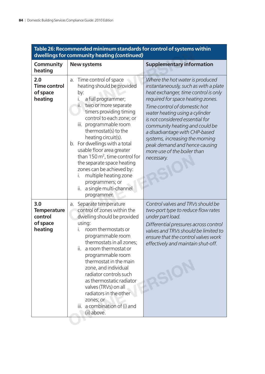| Table 26: Recommended minimum standards for control of systems within<br>dwellings for community heating (continued) |                                                                                                                                                                                                                                                                                                                                                                                                                                                                                                                            |                                                                                                                                                                                                                                                                                                                                                                                                                                                |  |  |
|----------------------------------------------------------------------------------------------------------------------|----------------------------------------------------------------------------------------------------------------------------------------------------------------------------------------------------------------------------------------------------------------------------------------------------------------------------------------------------------------------------------------------------------------------------------------------------------------------------------------------------------------------------|------------------------------------------------------------------------------------------------------------------------------------------------------------------------------------------------------------------------------------------------------------------------------------------------------------------------------------------------------------------------------------------------------------------------------------------------|--|--|
| Community<br>heating                                                                                                 | <b>New systems</b>                                                                                                                                                                                                                                                                                                                                                                                                                                                                                                         | <b>Supplementary information</b>                                                                                                                                                                                                                                                                                                                                                                                                               |  |  |
| 2.0<br><b>Time control</b><br>of space<br>heating                                                                    | Time control of space<br>a.<br>heating should be provided<br>by:<br>a full programmer;<br>İ.<br>two or more separate<br>Ш.<br>timers providing timing<br>control to each zone; or<br>iii. programmable room<br>thermostat(s) to the<br>heating circuit(s).<br>b. For dwellings with a total<br>usable floor area greater<br>than 150 $m^2$ , time control for<br>the separate space heating<br>zones can be achieved by:<br>multiple heating zone<br>İ.<br>programmers; or<br>a single multi-channel<br>ii.<br>programmer. | Where the hot water is produced<br>instantaneously, such as with a plate<br>heat exchanger, time control is only<br>required for space heating zones.<br>Time control of domestic hot<br>water heating using a cylinder<br>is not considered essential for<br>community heating and could be<br>a disadvantage with CHP-based<br>systems, increasing the morning<br>peak demand and hence causing<br>more use of the boiler than<br>necessary. |  |  |
| 3.0<br><b>Temperature</b><br>control<br>of space<br>heating                                                          | Separate temperature<br>a.<br>control of zones within the<br>dwelling should be provided<br>using:<br>room thermostats or<br>programmable room<br>thermostats in all zones;<br>ii.<br>a room thermostat or<br>programmable room<br>thermostat in the main<br>zone, and individual<br>radiator controls such<br>as thermostatic radiator<br>valves (TRVs) on all<br>radiators in the other<br>zones; or<br>iii. a combination of (i) and<br>(ii) above.                                                                     | Control valves and TRVs should be<br>two-port type to reduce flow rates<br>under part load.<br>Differential pressures across control<br>valves and TRVs should be limited to<br>ensure that the control valves work<br>effectively and maintain shut-off.<br>$\overline{\mathcal{C}}$                                                                                                                                                          |  |  |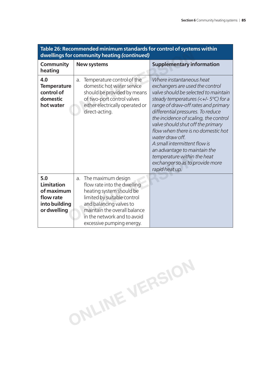| Table 26: Recommended minimum standards for control of systems within<br>dwellings for community heating (continued) |                                                                                                                                                                                                                                           |                                                                                                                                                                                                                                                                                                                                                                                                                                                                                                                               |  |  |
|----------------------------------------------------------------------------------------------------------------------|-------------------------------------------------------------------------------------------------------------------------------------------------------------------------------------------------------------------------------------------|-------------------------------------------------------------------------------------------------------------------------------------------------------------------------------------------------------------------------------------------------------------------------------------------------------------------------------------------------------------------------------------------------------------------------------------------------------------------------------------------------------------------------------|--|--|
| Community<br>heating                                                                                                 | <b>New systems</b>                                                                                                                                                                                                                        | <b>Supplementary information</b>                                                                                                                                                                                                                                                                                                                                                                                                                                                                                              |  |  |
| 4.0<br><b>Temperature</b><br>control of<br>domestic<br>hot water                                                     | Temperature control of the<br>a.<br>domestic hot water service<br>should be provided by means<br>of two-port control valves<br>either electrically operated or<br>direct-acting.                                                          | Where instantaneous heat<br>exchangers are used the control<br>valve should be selected to maintain<br>steady temperatures $(\lt +1.5^{\circ}C)$ for a<br>range of draw-off rates and primary<br>differential pressures. To reduce<br>the incidence of scaling, the control<br>valve should shut off the primary<br>flow when there is no domestic hot<br>water draw off.<br>A small intermittent flow is<br>an advantage to maintain the<br>temperature within the heat<br>exchanger so as to provide more<br>rapid heat up. |  |  |
| 5.0<br><b>Limitation</b><br>of maximum<br>flow rate<br>into building<br>or dwelling                                  | The maximum design<br>a.<br>flow rate into the dwelling<br>heating system should be<br>limited by suitable control<br>and balancing valves to<br>maintain the overall balance<br>in the network and to avoid<br>excessive pumping energy. |                                                                                                                                                                                                                                                                                                                                                                                                                                                                                                                               |  |  |

# **Table 26: Recommended minimum standards for control of systems within**

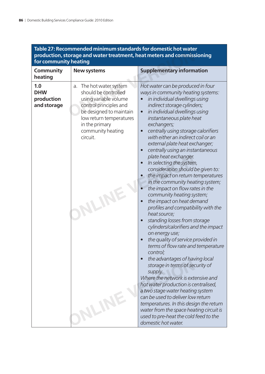| for community heating                          | lable 27: Recommended minimum standards for domestic not water                                                                                                                                                                | production, storage and water treatment, heat meters and commissioning                                                                                                                                                                                                                                                                                                                                                                                                                                                                                                                                                                                                                                                                                                                                                                                                                                                                                                                                                                                                                                                                                                                                                                                                                                    |
|------------------------------------------------|-------------------------------------------------------------------------------------------------------------------------------------------------------------------------------------------------------------------------------|-----------------------------------------------------------------------------------------------------------------------------------------------------------------------------------------------------------------------------------------------------------------------------------------------------------------------------------------------------------------------------------------------------------------------------------------------------------------------------------------------------------------------------------------------------------------------------------------------------------------------------------------------------------------------------------------------------------------------------------------------------------------------------------------------------------------------------------------------------------------------------------------------------------------------------------------------------------------------------------------------------------------------------------------------------------------------------------------------------------------------------------------------------------------------------------------------------------------------------------------------------------------------------------------------------------|
| <b>Community</b><br>heating                    | <b>New systems</b>                                                                                                                                                                                                            | <b>Supplementary information</b>                                                                                                                                                                                                                                                                                                                                                                                                                                                                                                                                                                                                                                                                                                                                                                                                                                                                                                                                                                                                                                                                                                                                                                                                                                                                          |
| 1.0<br><b>DHW</b><br>production<br>and storage | The hot water system<br>a.<br>should be controlled<br>using variable volume<br>control principles and<br>be designed to maintain<br>low return temperatures<br>in the primary<br>community heating<br>circuit.<br><b>JLIN</b> | Hot water can be produced in four<br>ways in community heating systems:<br>in individual dwellings using<br>indirect storage cylinders;<br>in individual dwellings using<br>$\bullet$<br>instantaneous plate heat<br>exchangers;<br>centrally using storage calorifiers<br>$\bullet$<br>with either an indirect coil or an<br>external plate heat exchanger;<br>centrally using an instantaneous<br>$\bullet$<br>plate heat exchanger.<br>In selecting the system,<br>$\bullet$<br>consideration should be given to:<br>the impact on return temperatures<br>in the community heating system;<br>the impact on flow rates in the<br>community heating system;<br>the impact on heat demand<br>profiles and compatibility with the<br>heat source;<br>standing losses from storage<br>cylinders/calorifiers and the impact<br>on energy use;<br>the quality of service provided in<br>terms of flow rate and temperature<br>control;<br>the advantages of having local<br>storage in terms of security of<br>supply.<br>Where the network is extensive and<br>hot water production is centralised,<br>a two stage water heating system<br>can be used to deliver low return<br>temperatures. In this design the return<br>water from the space heating circuit is<br>used to pre-heat the cold feed to the |
|                                                |                                                                                                                                                                                                                               | domestic hot water.                                                                                                                                                                                                                                                                                                                                                                                                                                                                                                                                                                                                                                                                                                                                                                                                                                                                                                                                                                                                                                                                                                                                                                                                                                                                                       |

# **Table 27: Recommended minimum standards for domestic hot water**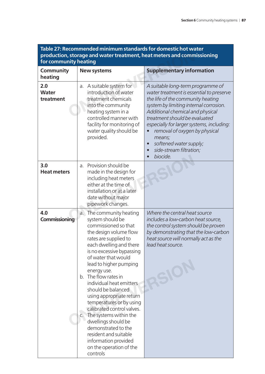| <u> Idule 27. Recommended Millimum standards for domestic flot water</u><br>production, storage and water treatment, heat meters and commissioning<br>for community heating |                                                                                                                                                                                                                                                                                                                                                                                                                                                                                                                                                                                       |                                                                                                                                                                                                                                                                                                                                                                                                                      |  |  |
|-----------------------------------------------------------------------------------------------------------------------------------------------------------------------------|---------------------------------------------------------------------------------------------------------------------------------------------------------------------------------------------------------------------------------------------------------------------------------------------------------------------------------------------------------------------------------------------------------------------------------------------------------------------------------------------------------------------------------------------------------------------------------------|----------------------------------------------------------------------------------------------------------------------------------------------------------------------------------------------------------------------------------------------------------------------------------------------------------------------------------------------------------------------------------------------------------------------|--|--|
| <b>Community</b><br>heating                                                                                                                                                 | <b>New systems</b>                                                                                                                                                                                                                                                                                                                                                                                                                                                                                                                                                                    | <b>Supplementary information</b>                                                                                                                                                                                                                                                                                                                                                                                     |  |  |
| 2.0<br><b>Water</b><br>treatment                                                                                                                                            | a. A suitable system for<br>introduction of water<br>treatment chemicals<br>into the community<br>heating system in a<br>controlled manner with<br>facility for monitoring of<br>water quality should be<br>provided.                                                                                                                                                                                                                                                                                                                                                                 | A suitable long-term programme of<br>water treatment is essential to preserve<br>the life of the community heating<br>system by limiting internal corrosion.<br>Additional chemical and physical<br>treatment should be evaluated<br>especially for larger systems, including:<br>removal of oxygen by physical<br>means;<br>softened water supply;<br>$\bullet$<br>side-stream filtration;<br>$\bullet$<br>biocide. |  |  |
| 3.0<br><b>Heat meters</b>                                                                                                                                                   | Provision should be<br>a.<br>made in the design for<br>including heat meters<br>either at the time of<br>installation or at a later<br>date without major<br>pipework changes.                                                                                                                                                                                                                                                                                                                                                                                                        |                                                                                                                                                                                                                                                                                                                                                                                                                      |  |  |
| 4.0<br>Commissioning                                                                                                                                                        | a. The community heating<br>system should be<br>commissioned so that<br>the design volume flow<br>rates are supplied to<br>each dwelling and there<br>is no excessive bypassing<br>of water that would<br>lead to higher pumping<br>energy use.<br>b. The flow rates in<br>individual heat emitters<br>should be balanced<br>using appropriate return<br>temperatures or by using<br>calibrated control valves.<br>The systems within the<br>C.<br>dwellings should be<br>demonstrated to the<br>resident and suitable<br>information provided<br>on the operation of the<br>controls | Where the central heat source<br>includes a low-carbon heat source,<br>the control system should be proven<br>by demonstrating that the low-carbon<br>heat source will normally act as the<br>lead heat source.<br>$\overline{\mathcal{L}}$                                                                                                                                                                          |  |  |

# **Table 27: Recommended minimum standards for domestic hot water**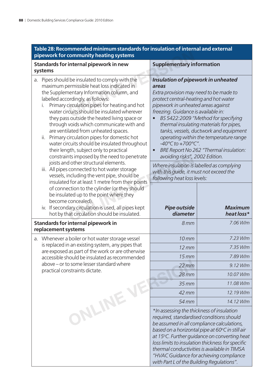| Table 28: Recommended minimum standards for insulation of internal and external<br>pipework for community heating systems                                                                                                                                                                                                                                                                                                                                                                                                                                                                                                                                                                                                                                                                                                                                                                                           |                                                                                                                                                                                                                                                                                                                                                                                                                                                                                                                                                                                                                                            |                              |
|---------------------------------------------------------------------------------------------------------------------------------------------------------------------------------------------------------------------------------------------------------------------------------------------------------------------------------------------------------------------------------------------------------------------------------------------------------------------------------------------------------------------------------------------------------------------------------------------------------------------------------------------------------------------------------------------------------------------------------------------------------------------------------------------------------------------------------------------------------------------------------------------------------------------|--------------------------------------------------------------------------------------------------------------------------------------------------------------------------------------------------------------------------------------------------------------------------------------------------------------------------------------------------------------------------------------------------------------------------------------------------------------------------------------------------------------------------------------------------------------------------------------------------------------------------------------------|------------------------------|
| Standards for internal pipework in new<br>systems                                                                                                                                                                                                                                                                                                                                                                                                                                                                                                                                                                                                                                                                                                                                                                                                                                                                   | <b>Supplementary information</b>                                                                                                                                                                                                                                                                                                                                                                                                                                                                                                                                                                                                           |                              |
| Pipes should be insulated to comply with the<br>a.<br>maximum permissible heat loss indicated in<br>the Supplementary Information column, and<br>labelled accordingly, as follows:<br>Primary circulation pipes for heating and hot<br>i.<br>water circuits should be insulated wherever<br>they pass outside the heated living space or<br>through voids which communicate with and<br>are ventilated from unheated spaces.<br>ii. Primary circulation pipes for domestic hot<br>water circuits should be insulated throughout<br>their length, subject only to practical<br>constraints imposed by the need to penetrate<br>joists and other structural elements.<br>iii. All pipes connected to hot water storage<br>vessels, including the vent pipe, should be<br>insulated for at least 1 metre from their points<br>of connection to the cylinder (or they should<br>be insulated up to the point where they | Insulation of pipework in unheated<br>areas<br>Extra provision may need to be made to<br>protect central-heating and hot water<br>pipework in unheated areas against<br>freezing. Guidance is available in:<br>BS 5422:2009 "Method for specifying<br>thermal insulating materials for pipes,<br>tanks, vessels, ductwork and equipment<br>operating within the temperature range<br>$-40^{\circ}$ C to $+700^{\circ}$ C".<br>BRE Report No 262 "Thermal insulation:<br>$\bullet$<br>avoiding risks", 2002 Edition.<br>Where insulation is labelled as complying<br>with this guide, it must not exceed the<br>following heat loss levels: |                              |
| become concealed).<br>iv. If secondary circulation is used, all pipes kept<br>hot by that circulation should be insulated.                                                                                                                                                                                                                                                                                                                                                                                                                                                                                                                                                                                                                                                                                                                                                                                          | <b>Pipe outside</b><br>diameter                                                                                                                                                                                                                                                                                                                                                                                                                                                                                                                                                                                                            | <b>Maximum</b><br>heat loss* |
| Standards for internal pipework in<br>replacement systems                                                                                                                                                                                                                                                                                                                                                                                                                                                                                                                                                                                                                                                                                                                                                                                                                                                           | 8mm                                                                                                                                                                                                                                                                                                                                                                                                                                                                                                                                                                                                                                        | 7.06 W/m                     |
| a. Whenever a boiler or hot water storage vessel                                                                                                                                                                                                                                                                                                                                                                                                                                                                                                                                                                                                                                                                                                                                                                                                                                                                    | 10 <sub>mm</sub>                                                                                                                                                                                                                                                                                                                                                                                                                                                                                                                                                                                                                           | 7.23 W/m                     |
| is replaced in an existing system, any pipes that                                                                                                                                                                                                                                                                                                                                                                                                                                                                                                                                                                                                                                                                                                                                                                                                                                                                   | $12 \, \text{mm}$                                                                                                                                                                                                                                                                                                                                                                                                                                                                                                                                                                                                                          | 7.35 W/m                     |
| are exposed as part of the work or are otherwise<br>accessible should be insulated as recommended                                                                                                                                                                                                                                                                                                                                                                                                                                                                                                                                                                                                                                                                                                                                                                                                                   | $15$ mm                                                                                                                                                                                                                                                                                                                                                                                                                                                                                                                                                                                                                                    | 7.89 W/m                     |
| above - or to some lesser standard where                                                                                                                                                                                                                                                                                                                                                                                                                                                                                                                                                                                                                                                                                                                                                                                                                                                                            | $22$ mm                                                                                                                                                                                                                                                                                                                                                                                                                                                                                                                                                                                                                                    | 9.12 W/m                     |
| practical constraints dictate.                                                                                                                                                                                                                                                                                                                                                                                                                                                                                                                                                                                                                                                                                                                                                                                                                                                                                      | $28$ mm                                                                                                                                                                                                                                                                                                                                                                                                                                                                                                                                                                                                                                    | 10.07 W/m                    |
|                                                                                                                                                                                                                                                                                                                                                                                                                                                                                                                                                                                                                                                                                                                                                                                                                                                                                                                     | $35$ mm                                                                                                                                                                                                                                                                                                                                                                                                                                                                                                                                                                                                                                    | 11.08 W/m                    |
|                                                                                                                                                                                                                                                                                                                                                                                                                                                                                                                                                                                                                                                                                                                                                                                                                                                                                                                     | 42 mm                                                                                                                                                                                                                                                                                                                                                                                                                                                                                                                                                                                                                                      | 12.19 W/m                    |
|                                                                                                                                                                                                                                                                                                                                                                                                                                                                                                                                                                                                                                                                                                                                                                                                                                                                                                                     | 54 mm                                                                                                                                                                                                                                                                                                                                                                                                                                                                                                                                                                                                                                      | 14.12 W/m                    |
| ONLINE                                                                                                                                                                                                                                                                                                                                                                                                                                                                                                                                                                                                                                                                                                                                                                                                                                                                                                              | *In assessing the thickness of insulation<br>required, standardised conditions should<br>be assumed in all compliance calculations,<br>based on a horizontal pipe at 60°C in still air<br>at 15°C. Further guidance on converting heat<br>loss limits to insulation thickness for specific<br>thermal conductivities is available in TIMSA<br>"HVAC Guidance for achieving compliance<br>with Part L of the Building Regulations".                                                                                                                                                                                                         |                              |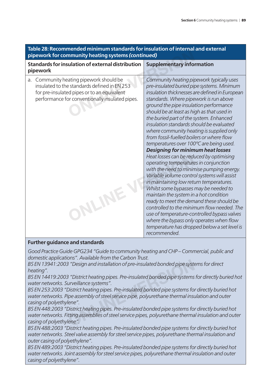| iable 20. Necommented minimum standards for insulation or internal and external<br>pipework for community heating systems (continued)                                                     |                                                                                                                                                                                                                                                                                                                                                                                                                                                                                                                                                                                                |  |  |
|-------------------------------------------------------------------------------------------------------------------------------------------------------------------------------------------|------------------------------------------------------------------------------------------------------------------------------------------------------------------------------------------------------------------------------------------------------------------------------------------------------------------------------------------------------------------------------------------------------------------------------------------------------------------------------------------------------------------------------------------------------------------------------------------------|--|--|
| Standards for insulation of external distribution<br>pipework                                                                                                                             | <b>Supplementary information</b>                                                                                                                                                                                                                                                                                                                                                                                                                                                                                                                                                               |  |  |
| a. Community heating pipework should be<br>insulated to the standards defined in EN 253<br>for pre-insulated pipes or to an equivalent<br>performance for conventionally insulated pipes. | Community heating pipework typically uses<br>pre-insulated buried pipe systems. Minimum<br>insulation thicknesses are defined in European<br>standards. Where pipework is run above<br>ground the pipe insulation performance<br>should be at least as high as that used in<br>the buried part of the system. Enhanced<br>insulation standards should be evaluated<br>where community heating is supplied only<br>from fossil-fuelled boilers or where flow<br>temperatures over 100°C are being used.<br><b>Designing for minimum heat losses</b><br>Heat losses can be reduced by optimising |  |  |
| NLINE                                                                                                                                                                                     | operating temperatures in conjunction<br>with the need to minimise pumping energy.<br>Variable volume control systems will assist<br>in maintaining low return temperatures.<br>Whilst some bypasses may be needed to<br>maintain the system in a hot condition<br>ready to meet the demand these should be<br>controlled to the minimum flow needed. The<br>use of temperature-controlled bypass valves<br>where the bypass only operates when flow<br>temperature has dropped below a set level is<br>recommended.                                                                           |  |  |

# **Table 28: Recommended minimum standards for insulation of internal and external**

#### **Further guidance and standards**

*Good Practice Guide GPG234 "Guide to community heating and CHP – Commercial, public and domestic applications". Available from the Carbon Trust.*

*BS EN 13941:2003 "Design and installation of pre-insulated bonded pipe systems for direct heating".*

*BS EN 14419:2003 "District heating pipes. Pre-insulated bonded pipe systems for directly buried hot water networks. Surveillance systems".*

*BS EN 253:2003 "District heating pipes. Pre-insulated bonded pipe systems for directly buried hot water networks. Pipe assembly of steel service pipe, polyurethane thermal insulation and outer casing of polyethylene". S* "Design and installation of pre-insulated bonded pipe systems".<br> *S* "District heating pipes. Pre-insulated bonded pipe systems<br>
wrveillance systems".<br>
District heating pipes. Pre-insulated bonded pipe systems for<br>
ipe

*BS EN 448:2003 "District heating pipes. Pre-insulated bonded pipe systems for directly buried hot water networks. Fitting assemblies of steel service pipes, polyurethane thermal insulation and outer casing of polyethylene".*

*BS EN 488:2003 "District heating pipes. Pre-insulated bonded pipe systems for directly buried hot water networks. Steel valve assembly for steel service pipes, polyurethane thermal insulation and outer casing of polyethylene".*

*BS EN 489:2003 "District heating pipes. Pre-insulated bonded pipe systems for directly buried hot water networks. Joint assembly for steel service pipes, polyurethane thermal insulation and outer casing of polyethylene".*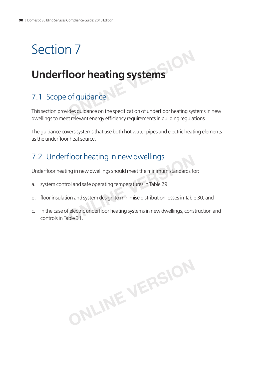# Section 7

# **Underfl oor heating systems**

# 7.1 Scope of guidance

This section provides guidance on the specification of underfloor heating systems in new dwellings to meet relevant energy efficiency requirements in building regulations. **ONLINEATING SYSTEMS**<br> **ONLINE SYSTEMS**<br> **O** *C* dides guidance on the specification of underfloor heating system

The guidance covers systems that use both hot water pipes and electric heating elements as the underfloor heat source.

# 7.2 Underfloor heating in new dwellings

Underfloor heating in new dwellings should meet the minimum standards for:

- a. system control and safe operating temperatures in Table 29
- b. floor insulation and system design to minimise distribution losses in Table 30; and
- c. in the case of electric underfloor heating systems in new dwellings, construction and controls in Table 31. **COMPTHE ATTLE IN THE WARK THE SET AND METHANDING S**<br> **ONLINE IS NOTE ATTLE IN THE SET AND MODE SET AND MORE SET AND REPORT AND REPORT AND REPORT AND REPORT AND RE<br>
<b>ON** and system design to minimise distribution losses in

**ONLINE VERSION**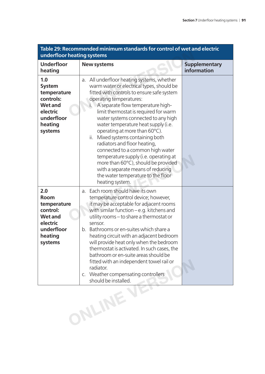| Table 29: Recommended minimum standards for control of wet and electric<br>underfloor heating systems              |                                                                                                                                                                                                                                                                                                                                                                                                                                                                                                                                                                                                                                                                  |                                     |  |  |
|--------------------------------------------------------------------------------------------------------------------|------------------------------------------------------------------------------------------------------------------------------------------------------------------------------------------------------------------------------------------------------------------------------------------------------------------------------------------------------------------------------------------------------------------------------------------------------------------------------------------------------------------------------------------------------------------------------------------------------------------------------------------------------------------|-------------------------------------|--|--|
| <b>Underfloor</b><br>heating                                                                                       | <b>New systems</b>                                                                                                                                                                                                                                                                                                                                                                                                                                                                                                                                                                                                                                               | <b>Supplementary</b><br>information |  |  |
| 1.0<br><b>System</b><br>temperature<br>controls:<br><b>Wet and</b><br>electric<br>underfloor<br>heating<br>systems | All underfloor heating systems, whether<br>a.<br>warm water or electrical types, should be<br>fitted with controls to ensure safe system<br>operating temperatures:<br>A separate flow temperature high-<br>İ.<br>limit thermostat is required for warm<br>water systems connected to any high<br>water temperature heat supply (i.e.<br>operating at more than 60°C).<br>Mixed systems containing both<br>ii.<br>radiators and floor heating,<br>connected to a common high water<br>temperature supply (i.e. operating at<br>more than 60°C), should be provided<br>with a separate means of reducing<br>the water temperature to the floor<br>heating system. |                                     |  |  |
| 2.0<br><b>Room</b><br>temperature<br>control:<br><b>Wet and</b><br>electric<br>underfloor<br>heating<br>systems    | Each room should have its own<br>a.<br>temperature control device; however,<br>it may be acceptable for adjacent rooms<br>with similar function $-e.g.$ kitchens and<br>utility rooms - to share a thermostat or<br>sensor.<br>Bathrooms or en-suites which share a<br>b.<br>heating circuit with an adjacent bedroom<br>will provide heat only when the bedroom<br>thermostat is activated. In such cases, the<br>bathroom or en-suite areas should be<br>fitted with an independent towel rail or<br>radiator.<br>c. Weather compensating controllers<br>should be installed.                                                                                  |                                     |  |  |
|                                                                                                                    | NLINE                                                                                                                                                                                                                                                                                                                                                                                                                                                                                                                                                                                                                                                            |                                     |  |  |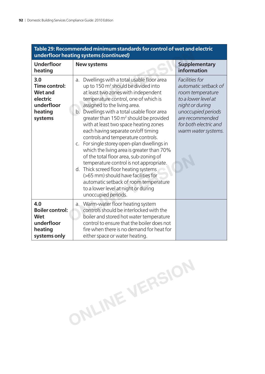| underfloor heating systems (continued)                                                 |                                                                                                                                                                                                                                                                                                                                                                                                                                                                                                                                                                                                                                                                                                                                                                                                                                |                                                                                                                                                                                               |  |  |
|----------------------------------------------------------------------------------------|--------------------------------------------------------------------------------------------------------------------------------------------------------------------------------------------------------------------------------------------------------------------------------------------------------------------------------------------------------------------------------------------------------------------------------------------------------------------------------------------------------------------------------------------------------------------------------------------------------------------------------------------------------------------------------------------------------------------------------------------------------------------------------------------------------------------------------|-----------------------------------------------------------------------------------------------------------------------------------------------------------------------------------------------|--|--|
| <b>Underfloor</b><br>heating                                                           | <b>New systems</b>                                                                                                                                                                                                                                                                                                                                                                                                                                                                                                                                                                                                                                                                                                                                                                                                             | <b>Supplementary</b><br>information                                                                                                                                                           |  |  |
| 3.0<br>Time control:<br><b>Wet and</b><br>electric<br>underfloor<br>heating<br>systems | Dwellings with a total usable floor area<br>a.<br>up to 150 m <sup>2</sup> should be divided into<br>at least two zones with independent<br>temperature control, one of which is<br>assigned to the living area.<br>Dwellings with a total usable floor area<br>$b_{\cdot}$<br>greater than 150 m <sup>2</sup> should be provided<br>with at least two space heating zones<br>each having separate on/off timing<br>controls and temperature controls.<br>c. For single storey open-plan dwellings in<br>which the living area is greater than 70%<br>of the total floor area, sub-zoning of<br>temperature control is not appropriate.<br>d. Thick screed floor heating systems<br>(>65 mm) should have facilities for<br>automatic setback of room temperature<br>to a lower level at night or during<br>unoccupied periods. | Facilities for<br>automatic setback of<br>room temperature<br>to a lower level at<br>night or during<br>unoccupied periods<br>are recommended<br>for both electric and<br>warm water systems. |  |  |
| 4.0<br><b>Boiler control:</b><br>Wet<br>underfloor<br>heating<br>systems only          | Warm-water floor heating system<br>$a_{\cdot}$<br>controls should be interlocked with the<br>boiler and stored hot water temperature<br>control to ensure that the boiler does not<br>fire when there is no demand for heat for<br>either space or water heating.                                                                                                                                                                                                                                                                                                                                                                                                                                                                                                                                                              |                                                                                                                                                                                               |  |  |

**ONLINE VERSION**

# **Table 29: Recommended minimum standards for control of wet and electric**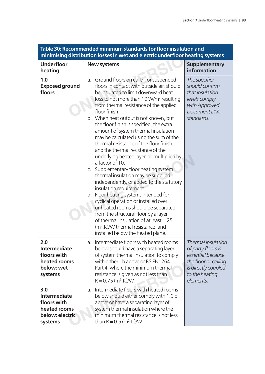| Table 30: Recommended minimum standards for floor insulation and<br>minimising distribution losses in wet and electric underfloor heating systems |                                                                                                                                                                                                                                                                                                                                                                                                                                                                                                                                                                                                                                                                                                                                                                                                                                                                                                                                                                                                                                    |                                                                                                                                             |  |
|---------------------------------------------------------------------------------------------------------------------------------------------------|------------------------------------------------------------------------------------------------------------------------------------------------------------------------------------------------------------------------------------------------------------------------------------------------------------------------------------------------------------------------------------------------------------------------------------------------------------------------------------------------------------------------------------------------------------------------------------------------------------------------------------------------------------------------------------------------------------------------------------------------------------------------------------------------------------------------------------------------------------------------------------------------------------------------------------------------------------------------------------------------------------------------------------|---------------------------------------------------------------------------------------------------------------------------------------------|--|
| <b>Underfloor</b><br>heating                                                                                                                      | <b>New systems</b>                                                                                                                                                                                                                                                                                                                                                                                                                                                                                                                                                                                                                                                                                                                                                                                                                                                                                                                                                                                                                 | <b>Supplementary</b><br>information                                                                                                         |  |
| 1.0<br><b>Exposed ground</b><br>floors                                                                                                            | Ground floors on earth, or suspended<br>a.<br>floors in contact with outside air, should<br>be insulated to limit downward heat<br>loss to not more than 10 W/m <sup>2</sup> resulting<br>from thermal resistance of the applied<br>floor finish.<br>b. When heat output is not known, but<br>the floor finish is specified, the extra<br>amount of system thermal insulation<br>may be calculated using the sum of the<br>thermal resistance of the floor finish<br>and the thermal resistance of the<br>underlying heated layer, all multiplied by<br>a factor of 10.<br>Supplementary floor heating system<br>C.<br>thermal insulation may be supplied<br>independently, or added to the statutory<br>insulation requirement.<br>Floor heating systems intended for<br>d.<br>cyclical operation or installed over<br>unheated rooms should be separated<br>from the structural floor by a layer<br>of thermal insulation of at least 1.25<br>(m <sup>2</sup> .K)/W thermal resistance, and<br>installed below the heated plane. | The specifier<br>should confirm<br>that insulation<br>levels comply<br>with Approved<br>Document L1A<br>standards.                          |  |
| 2.0<br><b>Intermediate</b><br>floors with<br>heated rooms<br>below: wet<br>systems                                                                | Intermediate floors with heated rooms<br>a.<br>below should have a separating layer<br>of system thermal insulation to comply<br>with either 1b above or BS EN1264<br>Part 4, where the minimum thermal<br>resistance is given as not less than<br>$R = 0.75$ (m <sup>2</sup> .K)/W.                                                                                                                                                                                                                                                                                                                                                                                                                                                                                                                                                                                                                                                                                                                                               | Thermal insulation<br>of party floors is<br>essential because<br>the floor or ceiling<br>is directly coupled<br>to the heating<br>elements. |  |
| 3.0<br><b>Intermediate</b><br>floors with<br>heated rooms<br>below: electric<br>systems                                                           | Intermediate floors with heated rooms<br>a.<br>below should either comply with 1.0 b.<br>above or have a separating layer of<br>system thermal insulation where the<br>minimum thermal resistance is not less<br>than R = $0.5$ (m <sup>2</sup> .K)/W.                                                                                                                                                                                                                                                                                                                                                                                                                                                                                                                                                                                                                                                                                                                                                                             |                                                                                                                                             |  |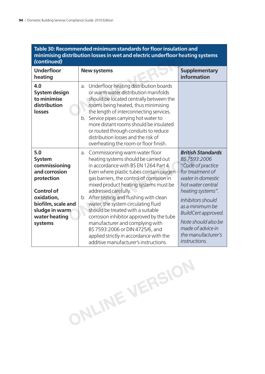# Table 30: Recommended minimum standards for floor insulation and **minimising distribution losses in wet and electric underfl oor heating systems**  *(continued)*

| (continued)                                                                                                                                                                 | minimising distribution losses in wet and electric underfloor heating systems                                                                                                                                                                                                                                                                                                                                                                                                                                                                                                                                    |                                                                                                                                                                                                                                                                                                    |
|-----------------------------------------------------------------------------------------------------------------------------------------------------------------------------|------------------------------------------------------------------------------------------------------------------------------------------------------------------------------------------------------------------------------------------------------------------------------------------------------------------------------------------------------------------------------------------------------------------------------------------------------------------------------------------------------------------------------------------------------------------------------------------------------------------|----------------------------------------------------------------------------------------------------------------------------------------------------------------------------------------------------------------------------------------------------------------------------------------------------|
| <b>Underfloor</b><br>heating                                                                                                                                                | <b>New systems</b>                                                                                                                                                                                                                                                                                                                                                                                                                                                                                                                                                                                               | <b>Supplementary</b><br>information                                                                                                                                                                                                                                                                |
| 4.0<br><b>System design</b><br>to minimise<br>distribution<br>losses                                                                                                        | a. Underfloor heating distribution boards<br>or warm water distribution manifolds<br>should be located centrally between the<br>rooms being heated, thus minimising<br>the length of interconnecting services.<br>b. Service pipes carrying hot water to<br>more distant rooms should be insulated<br>or routed through conduits to reduce<br>distribution losses and the risk of<br>overheating the room or floor finish.                                                                                                                                                                                       |                                                                                                                                                                                                                                                                                                    |
| 5.0<br><b>System</b><br>commissioning<br>and corrosion<br>protection<br><b>Control of</b><br>oxidation,<br>biofilm, scale and<br>sludge in warm<br>water heating<br>systems | Commissioning warm water floor<br>a.<br>heating systems should be carried out<br>in accordance with BS EN 1264 Part 4.<br>Even where plastic tubes contain oxygen<br>gas barriers, the control of corrosion in<br>mixed product heating systems must be<br>addressed carefully.<br>After testing and flushing with clean<br>b.<br>water, the system circulating fluid<br>should be treated with a suitable<br>corrosion inhibitor approved by the tube<br>manufacturer and complying with<br>BS 7593:2006 or DIN 4725/6, and<br>applied strictly in accordance with the<br>additive manufacturer's instructions. | <b>British Standards</b><br>BS 7593:2006<br>"Code of practice<br>for treatment of<br>water in domestic<br>hot water central<br>heating systems".<br>Inhibitors should<br>as a minimum be<br>BuildCert approved.<br>Note should also be<br>made of advice in<br>the manufacturer's<br>instructions. |

**ONLINE VERSION**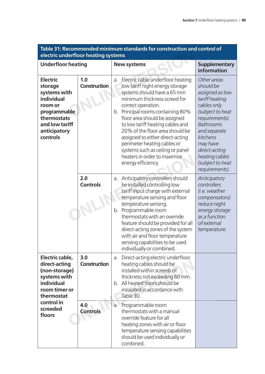| electric underfloor heating systems                                                                                                              |                        |                                                                                                                                                                                                                                                                                                                                                                                                                                                                           |                                                                                                                                                                                                                                                         |
|--------------------------------------------------------------------------------------------------------------------------------------------------|------------------------|---------------------------------------------------------------------------------------------------------------------------------------------------------------------------------------------------------------------------------------------------------------------------------------------------------------------------------------------------------------------------------------------------------------------------------------------------------------------------|---------------------------------------------------------------------------------------------------------------------------------------------------------------------------------------------------------------------------------------------------------|
| <b>Underfloor heating</b>                                                                                                                        |                        | <b>New systems</b>                                                                                                                                                                                                                                                                                                                                                                                                                                                        | <b>Supplementary</b><br>information                                                                                                                                                                                                                     |
| <b>Electric</b><br>storage<br>systems with<br>individual<br>room or<br>programmable<br>thermostats<br>and low tariff<br>anticipatory<br>controls | 1.0<br>Construction    | Electric cable underfloor heating<br>a.<br>low tariff night energy storage<br>systems should have a 65 mm<br>minimum thickness screed for<br>correct operation.<br>b. Principal rooms containing 80%<br>floor area should be assigned<br>to low tariff heating cables and<br>20% of the floor area should be<br>assigned to either direct-acting<br>perimeter heating cables or<br>systems such as ceiling or panel<br>heaters in order to maximise<br>energy efficiency. | Other areas<br>should be<br>assigned as low<br>tariff heating<br>cables only<br>(subject to heat<br>requirements).<br><b>Bathrooms</b><br>and separate<br>kitchens<br>may have<br>direct-acting<br>heating cables<br>(subject to heat<br>requirements). |
|                                                                                                                                                  | 2.0<br><b>Controls</b> | a. Anticipatory controllers should<br>be installed controlling low<br>tariff input charge with external<br>temperature sensing and floor<br>temperature sensing.<br>b. Programmable room<br>thermostats with an override<br>feature should be provided for all<br>direct-acting zones of the system<br>with air and floor temperature<br>sensing capabilities to be used<br>individually or combined                                                                      | Anticipatory<br>controllers<br>(i.e. weather<br>compensators)<br>reduce night<br>energy storage<br>as a function<br>of external<br>temperature.                                                                                                         |
| Electric cable,<br>direct-acting<br>(non-storage)<br>systems with<br>individual<br>room timer or<br>thermostat                                   | 3.0<br>Construction    | a. Direct-acting electric underfloor<br>heating cables should be<br>installed within screeds of<br>thickness not exceeding 60 mm.<br>b. All heated floors should be<br>insulated in accordance with<br>Table 30.                                                                                                                                                                                                                                                          |                                                                                                                                                                                                                                                         |
| control in<br>screeded<br>floors                                                                                                                 | 4.0<br><b>Controls</b> | a. Programmable room<br>thermostats with a manual<br>override feature for all<br>heating zones with air or floor<br>temperature sensing capabilities<br>should be used individually or<br>combined.                                                                                                                                                                                                                                                                       |                                                                                                                                                                                                                                                         |

### **Table 31: Recommended minimum standards for construction and control of electric underfl oor heating systems**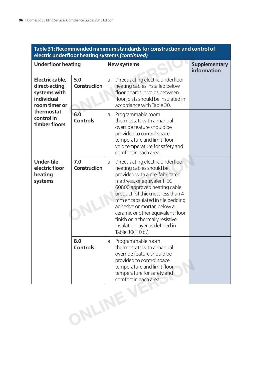| Table 31: Recommended minimum standards for construction and control of<br>electric underfloor heating systems (continued) |                        |                                                                                                                                                                                                                                                                                                                                                                                                            |                                     |
|----------------------------------------------------------------------------------------------------------------------------|------------------------|------------------------------------------------------------------------------------------------------------------------------------------------------------------------------------------------------------------------------------------------------------------------------------------------------------------------------------------------------------------------------------------------------------|-------------------------------------|
| <b>Underfloor heating</b>                                                                                                  |                        | <b>New systems</b>                                                                                                                                                                                                                                                                                                                                                                                         | <b>Supplementary</b><br>information |
| Electric cable,<br>direct-acting<br>systems with<br>individual<br>room timer or                                            | 5.0<br>Construction    | Direct-acting electric underfloor<br>a.<br>heating cables installed below<br>floor boards in voids between<br>floor joists should be insulated in<br>accordance with Table 30.                                                                                                                                                                                                                             |                                     |
| thermostat<br>control in<br>timber floors                                                                                  | 6.0<br><b>Controls</b> | a. Programmable room<br>thermostats with a manual<br>override feature should be<br>provided to control space<br>temperature and limit floor<br>void temperature for safety and<br>comfort in each area.                                                                                                                                                                                                    |                                     |
| <b>Under-tile</b><br>electric floor<br>heating<br>systems                                                                  | 7.0<br>Construction    | Direct-acting electric underfloor<br>a.<br>heating cables should be<br>provided with a pre-fabricated<br>mattress, or equivalent IEC<br>60800 approved heating cable<br>product, of thickness less than 4<br>mm encapsulated in tile bedding<br>adhesive or mortar, below a<br>ceramic or other equivalent floor<br>finish on a thermally resistive<br>insulation layer as defined in<br>Table 30(1.0 b.). |                                     |
|                                                                                                                            | 8.0<br><b>Controls</b> | a. Programmable room<br>thermostats with a manual<br>override feature should be<br>provided to control space<br>temperature and limit floor<br>temperature for safety and<br>comfort in each area.                                                                                                                                                                                                         |                                     |
|                                                                                                                            | ONLINE                 |                                                                                                                                                                                                                                                                                                                                                                                                            |                                     |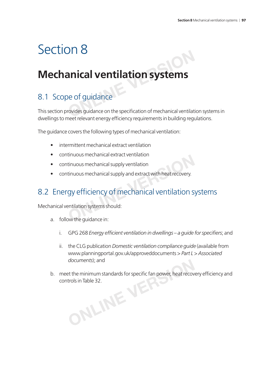# Section 8

# **Mechanical ventilation systems ONLINER CONCRETENTS**<br> **ONLINE CONCRETENTS**<br> **ONCOCORRECTS**<br> **ONCOCORRECTS**<br> **ONCOCORRECTS**<br> **ONLINER CONTAINMENT CONTRECTS**<br> **ONLINER CONTRECTS**

# 8.1 Scope of guidance

This section provides guidance on the specification of mechanical ventilation systems in dwellings to meet relevant energy efficiency requirements in building regulations.

The guidance covers the following types of mechanical ventilation:

- intermittent mechanical extract ventilation
- continuous mechanical extract ventilation
- continuous mechanical supply ventilation
- continuous mechanical supply and extract with heat recovery.

# 8.2 Energy efficiency of mechanical ventilation systems **ONLINE VERSION**

Mechanical ventilation systems should:

- a. follow the guidance in:
	- i. GPG 268 *Energy efficient ventilation in dwellings a guide for specifiers*; and
	- ii. the CLG publication *Domestic ventilation compliance guide* (available from www.planningportal.gov.uk/approveddocuments > *Part L* > *Associated documents*); and
- b. meet the minimum standards for specific fan power, heat recovery efficiency and controls in Table 32. **ONLINE ISLAND SERVERS);** and et the minimum standards for specific fan power, heat recover<br>trols in Table 32.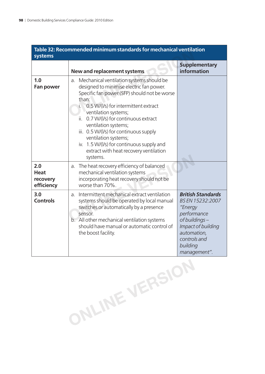| systems                                      | Table 32: Recommended minimum standards for mechanical ventilation                                                                                                                                                                                                                                                                                                                                                                                                  |                                                                                                                                                                          |
|----------------------------------------------|---------------------------------------------------------------------------------------------------------------------------------------------------------------------------------------------------------------------------------------------------------------------------------------------------------------------------------------------------------------------------------------------------------------------------------------------------------------------|--------------------------------------------------------------------------------------------------------------------------------------------------------------------------|
|                                              | New and replacement systems                                                                                                                                                                                                                                                                                                                                                                                                                                         | <b>Supplementary</b><br>information                                                                                                                                      |
| 1.0<br><b>Fan power</b>                      | Mechanical ventilation systems should be<br>a.<br>designed to minimise electric fan power.<br>Specific fan power (SFP) should not be worse<br>than:<br>0.5 W/(I/s) for intermittent extract<br>i.<br>ventilation systems;<br>0.7 W/(I/s) for continuous extract<br>ii.<br>ventilation systems;<br>iii. 0.5 W/(I/s) for continuous supply<br>ventilation systems;<br>iv. 1.5 W/(I/s) for continuous supply and<br>extract with heat recovery ventilation<br>systems. |                                                                                                                                                                          |
| 2.0<br><b>Heat</b><br>recovery<br>efficiency | The heat recovery efficiency of balanced<br>a.<br>mechanical ventilation systems<br>incorporating heat recovery should not be<br>worse than 70%.                                                                                                                                                                                                                                                                                                                    |                                                                                                                                                                          |
| 3.0<br><b>Controls</b>                       | Intermittent mechanical extract ventilation<br>a.<br>systems should be operated by local manual<br>switches or automatically by a presence<br>sensor.<br>b. All other mechanical ventilation systems<br>should have manual or automatic control of<br>the boost facility.                                                                                                                                                                                           | <b>British Standards</b><br>BS EN 15232:2007<br>"Energy<br>performance<br>of buildings-<br>Impact of building<br>automation,<br>controls and<br>building<br>management". |

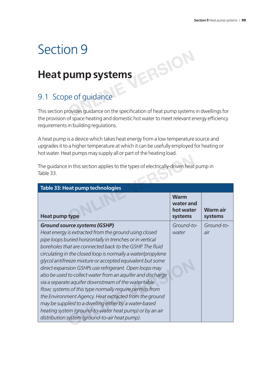# Section 9

# **Heat pump systems**

# 9.1 Scope of guidance

This section provides guidance on the specification of heat pump systems in dwellings for the provision of space heating and domestic hot water to meet relevant energy efficiency requirements in building regulations. **ONLINE STREET SIDE ASSEMBLE THE STREET SIDE OF SURFACE SURFACE SURFACE SURFACE SURFACE SURFACE SURFACE SURFACE SURFACE SURFACE SURFACE SURFACE SURFACE SURFACE SURFACE SURFACE SURFACE SURFACE SURFACE SURFACE SURFACE SURFAC** 

A heat pump is a device which takes heat energy from a low temperature source and upgrades it to a higher temperature at which it can be usefully employed for heating or hot water. Heat pumps may supply all or part of the heating load.

| <b>Table 33: Heat pump technologies</b>                                                                                                                                                                                                                                                                                                                                                                                                                                                                                                                                                                                                                                                                                                                                                                                         |                                                  |                           |
|---------------------------------------------------------------------------------------------------------------------------------------------------------------------------------------------------------------------------------------------------------------------------------------------------------------------------------------------------------------------------------------------------------------------------------------------------------------------------------------------------------------------------------------------------------------------------------------------------------------------------------------------------------------------------------------------------------------------------------------------------------------------------------------------------------------------------------|--------------------------------------------------|---------------------------|
| <b>Heat pump type</b>                                                                                                                                                                                                                                                                                                                                                                                                                                                                                                                                                                                                                                                                                                                                                                                                           | <b>Warm</b><br>water and<br>hot water<br>systems | <b>Warmair</b><br>systems |
| <b>Ground source systems (GSHP)</b><br>Heat energy is extracted from the ground using closed<br>pipe loops buried horizontally in trenches or in vertical<br>boreholes that are connected back to the GSHP. The fluid<br>circulating in the closed loop is normally a water/propylene<br>glycol antifreeze mixture or accepted equivalent but some<br>direct expansion GSHPs use refrigerant. Open loops may<br>also be used to collect water from an aquifer and discharge<br>via a separate aquifer downstream of the water table<br>flow; systems of this type normally require permits from<br>the Environment Agency. Heat extracted from the ground<br>may be supplied to a dwelling either by a water-based<br>heating system (ground-to-water heat pump) or by an air<br>distribution system (ground-to-air heat pump). | Ground-to-<br>water                              | Ground-to-<br>air         |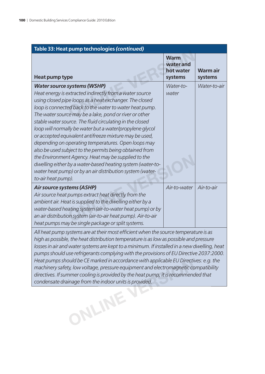| Table 33: Heat pump technologies (continued)                                                                                                                                                                                                                                                                                                                                                                                                                                                                                                                                                                                                                                                                                                                                              |                                                  |                           |
|-------------------------------------------------------------------------------------------------------------------------------------------------------------------------------------------------------------------------------------------------------------------------------------------------------------------------------------------------------------------------------------------------------------------------------------------------------------------------------------------------------------------------------------------------------------------------------------------------------------------------------------------------------------------------------------------------------------------------------------------------------------------------------------------|--------------------------------------------------|---------------------------|
| Heat pump type                                                                                                                                                                                                                                                                                                                                                                                                                                                                                                                                                                                                                                                                                                                                                                            | <b>Warm</b><br>water and<br>hot water<br>systems | <b>Warmair</b><br>systems |
| <b>Water source systems (WSHP)</b><br>Heat energy is extracted indirectly from a water source<br>using closed pipe loops as a heat exchanger. The closed<br>loop is connected back to the water to water heat pump.<br>The water source may be a lake, pond or river or other<br>stable water source. The fluid circulating in the closed<br>loop will normally be water but a water/propylene glycol<br>or accepted equivalent antifreeze mixture may be used,<br>depending on operating temperatures. Open loops may<br>also be used subject to the permits being obtained from<br>the Environment Agency. Heat may be supplied to the<br>dwelling either by a water-based heating system (water-to-<br>water heat pump) or by an air distribution system (water-<br>to-air heat pump). | Water-to-<br>water                               | Water-to-air              |
| <b>Air source systems (ASHP)</b><br>Air source heat pumps extract heat directly from the<br>ambient air. Heat is supplied to the dwelling either by a<br>water-based heating system (air-to-water heat pump) or by<br>an air distribution system (air-to-air heat pump). Air-to-air<br>heat pumps may be single package or split systems.<br>$\cdots$                                                                                                                                                                                                                                                                                                                                                                                                                                     | Air-to-water                                     | Air-to-air                |

All heat pump systems are at their most efficient when the source temperature is as *high as possible, the heat distribution temperature is as low as possible and pressure*  losses in air and water systems are kept to a minimum. If installed in a new dwelling, heat *pumps should use refrigerants complying with the provisions of EU Directive 2037:2000. Heat pumps should be CE marked in accordance with applicable EU Directives: e.g. the machinery safety, low voltage, pressure equipment and electromagnetic compatibility directives. If summer cooling is provided by the heat pump, it is recommended that condensate drainage from the indoor units is provided.* **ONLINE VERSION**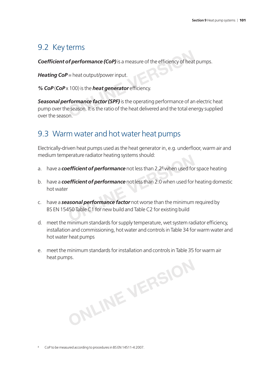# 9.2 Key terms

**Coefficient of performance (CoP)** is a measure of the efficiency of heat pumps.

*Heating CoP* = heat output/power input.

% **CoP** (CoP x 100) is the **heat generator** efficiency.

*Seasonal performance factor (SPF)* is the operating performance of an electric heat pump over the season. It is the ratio of the heat delivered and the total energy supplied over the season. **of performance (CoP)** is a measure of the efficiency of heat<br>  $V =$  heat output/power input.<br>
(100) is the **heat generator** efficiency.<br> **Properation of the peration** performance of an<br>
e season. It is the ratio of the hea

# 9.3 Warm water and hot water heat pumps

Electrically-driven heat pumps used as the heat generator in, e.g. underfloor, warm air and medium temperature radiator heating systems should:

- a. have a **coefficient of performance** not less than 2.2<sup>8</sup> when used for space heating
- b. have a **coefficient of performance** not less than 2.0 when used for heating domestic hot water
- c. have a *seasonal performance factor* not worse than the minimum required by BS EN 15450 Table C1 for new build and Table C2 for existing build First Tradiator neating systems should:<br>
First Pricent of performance not less than 2.2<sup>8</sup> when used for efficient of performance not less than 2.0 when used for<br> **A asonal performance factor** not worse than the minimum<br>
1
- d. meet the minimum standards for supply temperature, wet system radiator efficiency, installation and commissioning, hot water and controls in Table 34 for warm water and hot water heat pumps
- e. meet the minimum standards for installation and controls in Table 35 for warm air heat pumps. **ONLINE VERSION**

8 CoP to be measured according to procedures in BS EN 14511-4:2007.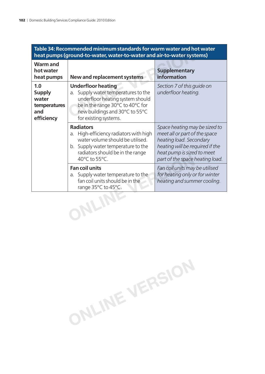|                 | Table 34: Recommended minimum standards for warm water and hot water<br>heat pumps (ground-to-water, water-to-water and air-to-water systems) |  |
|-----------------|-----------------------------------------------------------------------------------------------------------------------------------------------|--|
| <b>Warm and</b> |                                                                                                                                               |  |

| heat pumps (ground-to-water, water-to-water and air-to-water systems) |                                                                                                                                                                                                        |                                                                                                                                                                                               |
|-----------------------------------------------------------------------|--------------------------------------------------------------------------------------------------------------------------------------------------------------------------------------------------------|-----------------------------------------------------------------------------------------------------------------------------------------------------------------------------------------------|
| <b>Warm and</b><br>hot water<br>heat pumps                            | New and replacement systems                                                                                                                                                                            | <b>Supplementary</b><br>information                                                                                                                                                           |
| 1.0<br><b>Supply</b><br>water<br>temperatures<br>and<br>efficiency    | <b>Underfloor heating</b><br>Supply water temperatures to the<br>a.<br>underfloor heating system should<br>be in the range 30°C to 40°C for<br>new buildings and 30°C to 55°C<br>for existing systems. | Section 7 of this quide on<br>underfloor heating.                                                                                                                                             |
|                                                                       | <b>Radiators</b><br>High-efficiency radiators with high<br>a.<br>water volume should be utilised.<br>b. Supply water temperature to the<br>radiators should be in the range<br>40°C to 55°C.           | Space heating may be sized to<br>meet all or part of the space<br>heating load. Secondary<br>heating will be required if the<br>heat pump is sized to meet<br>part of the space heating load. |
|                                                                       | <b>Fan coil units</b><br>a. Supply water temperature to the<br>fan coil units should be in the<br>range 35°C to 45°C.                                                                                  | Fan coil units may be utilised<br>for heating only or for winter<br>heating and summer cooling.                                                                                               |
|                                                                       |                                                                                                                                                                                                        |                                                                                                                                                                                               |

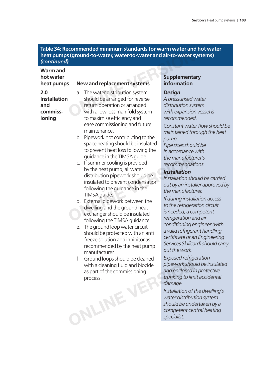| (continued)                                             | Table 34: Recommended minimum standards for warm water and hot water<br>heat pumps (ground-to-water, water-to-water and air-to-water systems)                                                                                                                                                                                                                                                                                                                                                                                                                                                                                                                                                                                                                                                                                                                                                                                                                                                           |                                                                                                                                                                                                                                                                                                                                                                                                                                                                                                                                                                                                                                                                                                                                                                                                                                                                                                                                                     |
|---------------------------------------------------------|---------------------------------------------------------------------------------------------------------------------------------------------------------------------------------------------------------------------------------------------------------------------------------------------------------------------------------------------------------------------------------------------------------------------------------------------------------------------------------------------------------------------------------------------------------------------------------------------------------------------------------------------------------------------------------------------------------------------------------------------------------------------------------------------------------------------------------------------------------------------------------------------------------------------------------------------------------------------------------------------------------|-----------------------------------------------------------------------------------------------------------------------------------------------------------------------------------------------------------------------------------------------------------------------------------------------------------------------------------------------------------------------------------------------------------------------------------------------------------------------------------------------------------------------------------------------------------------------------------------------------------------------------------------------------------------------------------------------------------------------------------------------------------------------------------------------------------------------------------------------------------------------------------------------------------------------------------------------------|
| <b>Warm and</b><br>hot water<br>heat pumps              | <b>New and replacement systems</b>                                                                                                                                                                                                                                                                                                                                                                                                                                                                                                                                                                                                                                                                                                                                                                                                                                                                                                                                                                      | <b>Supplementary</b><br>information                                                                                                                                                                                                                                                                                                                                                                                                                                                                                                                                                                                                                                                                                                                                                                                                                                                                                                                 |
| 2.0<br><b>Installation</b><br>and<br>commiss-<br>ioning | The water distribution system<br>a.<br>should be arranged for reverse<br>return operation or arranged<br>with a low loss manifold system<br>to maximise efficiency and<br>ease commissioning and future<br>maintenance.<br>b. Pipework not contributing to the<br>space heating should be insulated<br>to prevent heat loss following the<br>guidance in the TIMSA guide.<br>If summer cooling is provided<br>C.<br>by the heat pump, all water<br>distribution pipework should be<br>insulated to prevent condensation<br>following the guidance in the<br>TIMSA guide.<br>d. External pipework between the<br>dwelling and the ground heat<br>exchanger should be insulated<br>following the TIMSA guidance.<br>The ground loop water circuit<br>е.<br>should be protected with an anti<br>freeze solution and inhibitor as<br>recommended by the heat pump<br>manufacturer.<br>Ground loops should be cleaned<br>f.<br>with a cleaning fluid and biocide<br>as part of the commissioning<br>process. | <b>Design</b><br>A pressurised water<br>distribution system<br>with expansion vessel is<br>recommended.<br>Constant water flow should be<br>maintained through the heat<br>pump.<br>Pipe sizes should be<br>in accordance with<br>the manufacturer's<br>recommendations.<br><b>Installation</b><br>Installation should be carried<br>out by an installer approved by<br>the manufacturer.<br>If during installation access<br>to the refrigeration circuit<br>is needed, a competent<br>refrigeration and air<br>conditioning engineer (with<br>a valid refrigerant handling<br>certificate or an Engineering<br>Services Skillcard) should carry<br>out the work.<br><b>Exposed refrigeration</b><br>pipework should be insulated<br>and enclosed in protective<br>trunking to limit accidental<br>damage.<br>Installation of the dwelling's<br>water distribution system<br>should be undertaken by a<br>competent central heating<br>specialist. |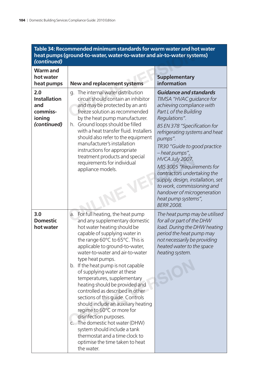#### **Table 34: Recommended minimum standards for warm water and hot water heat pumps (ground-to-water, water-to-water and air-to-water systems)**  *(continued)* **Warm and hot water heat pumps New and replacement systems Supplementary information 2.0 Installation and commissioning**  *(continued)* g. The internal water distribution circuit should contain an inhibitor and may be protected by an anti freeze solution as recommended by the heat pump manufacturer. h. Ground loops should be filled with a heat transfer fluid. Installers should also refer to the equipment manufacturer's installation instructions for appropriate treatment products and special requirements for individual appliance models. *Guidance and standards TIMSA "HVAC guidance for achieving compliance with Part L of the Building Regulations". BS EN 378 "Specifi cation for refrigerating systems and heat pumps". TR30 "Guide to good practice – heat pumps", HVCA July 2007. MIS 3005 "Requirements for contractors undertaking the supply, design, installation, set to work, commissioning and handover of microgeneration heat pump systems", BERR 2008.* **3.0 Domestic hot water** a. For full heating, the heat pump and any supplementary domestic hot water heating should be capable of supplying water in the range 60°C to 65°C. This is applicable to ground-to-water, water-to-water and air-to-water type heat pumps. b. If the heat pump is not capable of supplying water at these temperatures, supplementary heating should be provided and controlled as described in other sections of this guide. Controls should include an auxiliary heating regime to 60°C or more for disinfection purposes. c. The domestic hot water (DHW) system should include a tank thermostat and a time clock to optimise the time taken to heat *The heat pump may be utilised for all or part of the DHW load. During the DHW heating period the heat pump may not necessarily be providing heated water to the space heating system.* **Pround-to-water, water-to-water and air-to-water systems<br>
<b>ONEX ATTLE SERVINGE SERVING SUPPLEMENTATION**<br> **ONEX ATTLE SERVING SUPPLEMENTATION**<br>
TIMSA "HVAC guand may be protected by an anti-<br>
freeze solution as recommended Treatment products and special<br>
requirements for individual<br>
appliance models.<br>
MIS 3005 "Requirements"<br>
Contractors under<br>
supply, design, instandover of microsoft<br>
beat pump system<br>
BERR 2008.<br>
a. For full heating, the h b. If the heat pump is not capable<br>of supplying water at these<br>temperatures, supplementary<br>heating should be provided and<br>controlled as described in other<br>sections of this guide. Controls<br>should include an auxiliary heatin

the water.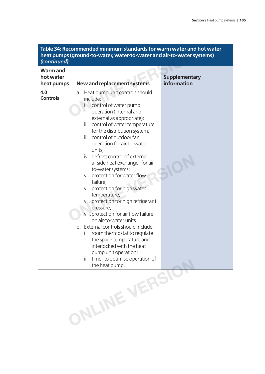| 4.0<br>Heat pump unit controls should<br>a.<br><b>Controls</b><br>include:<br>control of water pump<br>İ.<br>operation (internal and<br>external as appropriate);<br>control of water temperature<br>ii.<br>for the distribution system;<br>iii. control of outdoor fan<br>operation for air-to-water<br>units;<br>iv. defrost control of external<br>airside heat exchanger for air-<br>to-water systems;<br>protection for water flow<br>V.<br>failure;<br>vi. protection for high water<br>temperature;<br>vii. protection for high refrigerant<br>pressure;<br>viii. protection for air flow failure<br>on air-to-water units.<br>b. External controls should include:<br>room thermostat to regulate<br>i.<br>the space temperature and | <b>Warm and</b><br>hot water<br>heat pumps | <b>New and replacement systems</b> | <b>Supplementary</b><br>information |
|----------------------------------------------------------------------------------------------------------------------------------------------------------------------------------------------------------------------------------------------------------------------------------------------------------------------------------------------------------------------------------------------------------------------------------------------------------------------------------------------------------------------------------------------------------------------------------------------------------------------------------------------------------------------------------------------------------------------------------------------|--------------------------------------------|------------------------------------|-------------------------------------|
| pump unit operation;<br>timer to optimise operation of<br>ii.<br>ONLINE VERSIO                                                                                                                                                                                                                                                                                                                                                                                                                                                                                                                                                                                                                                                               |                                            | interlocked with the heat          |                                     |

**Table 34: Recommended minimum standards for warm water and hot water**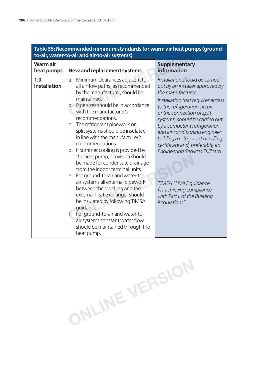|                              | <u>iable 55. Recommended inimilium standards for warm air neat pumps (ground-</u><br>to-air, water-to-air and air-to-air systems)                                                                                                                                                                                                                                                                                                                                                                                                                                                                                                                                                                                                                                                                                        |                                                                                                                                                                                                                                                                                                                                                                                                                                                                                                           |  |
|------------------------------|--------------------------------------------------------------------------------------------------------------------------------------------------------------------------------------------------------------------------------------------------------------------------------------------------------------------------------------------------------------------------------------------------------------------------------------------------------------------------------------------------------------------------------------------------------------------------------------------------------------------------------------------------------------------------------------------------------------------------------------------------------------------------------------------------------------------------|-----------------------------------------------------------------------------------------------------------------------------------------------------------------------------------------------------------------------------------------------------------------------------------------------------------------------------------------------------------------------------------------------------------------------------------------------------------------------------------------------------------|--|
| <b>Warmair</b><br>heat pumps | New and replacement systems                                                                                                                                                                                                                                                                                                                                                                                                                                                                                                                                                                                                                                                                                                                                                                                              | <b>Supplementary</b><br>information                                                                                                                                                                                                                                                                                                                                                                                                                                                                       |  |
| 1.0<br><b>Installation</b>   | a. Minimum clearances adjacent to<br>all airflow paths, as recommended<br>by the manufacturer, should be<br>maintained.<br>b. Pipe sizes should be in accordance<br>with the manufacturer's<br>recommendations.<br>c. The refrigerant pipework on<br>split systems should be insulated<br>in line with the manufacturer's<br>recommendations.<br>d. If summer cooling is provided by<br>the heat pump, provision should<br>be made for condensate drainage<br>from the indoor terminal units.<br>e. For ground-to-air and water-to-<br>air systems all external pipework<br>between the dwelling and the<br>external heat exchanger should<br>be insulated by following TIMSA<br>quidance.<br>For ground-to-air and water-to-<br>f.<br>air systems constant water flow<br>should be maintained through the<br>heat pump. | Installation should be carried<br>out by an installer approved by<br>the manufacturer.<br>Installation that requires access<br>to the refrigeration circuit,<br>or the connection of split<br>systems, should be carried out<br>by a competent refrigeration<br>and air conditioning engineer<br>holding a refrigerant handling<br>certificate and, preferably, an<br>Engineering Services Skillcard.<br>TIMSA "HVAC guidance<br>for achieving compliance<br>with Part L of the Building<br>Regulations". |  |

# **Table 35: Recommended minimum standards for warm air heat pumps (ground-**

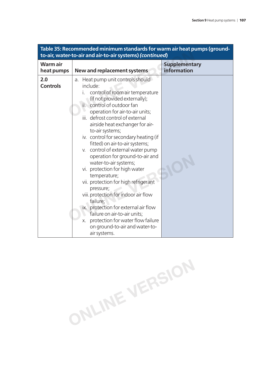| <b>Warmair</b><br>heat pumps | <b>New and replacement systems</b>                                                                                                                                                                                                                                                                                                                                                                                                                                                                                                                                                                                                                                                                                                                                                         | <b>Supplementary</b><br>information |
|------------------------------|--------------------------------------------------------------------------------------------------------------------------------------------------------------------------------------------------------------------------------------------------------------------------------------------------------------------------------------------------------------------------------------------------------------------------------------------------------------------------------------------------------------------------------------------------------------------------------------------------------------------------------------------------------------------------------------------------------------------------------------------------------------------------------------------|-------------------------------------|
| 2.0<br><b>Controls</b>       | a. Heat pump unit controls should<br>include:<br>control of room air temperature<br>(if not provided externally);<br>control of outdoor fan<br>ii.<br>operation for air-to-air units;<br>iii. defrost control of external<br>airside heat exchanger for air-<br>to-air systems;<br>iv. control for secondary heating (if<br>fitted) on air-to-air systems;<br>v. control of external water pump<br>operation for ground-to-air and<br>water-to-air systems;<br>vi. protection for high water<br>temperature;<br>vii. protection for high refrigerant<br>pressure;<br>viii. protection for indoor air flow<br>failure;<br>ix. protection for external air flow<br>failure on air-to-air units;<br>protection for water flow failure<br>Χ.<br>on ground-to-air and water-to-<br>air systems. |                                     |

# **Table 35: Recommended minimum standards for warm air heat pumps (ground-**

**ONLINE VERSION**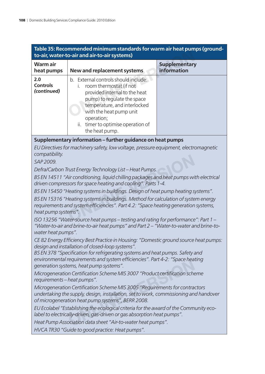| Table 35: Recommended minimum standards for warm air heat pumps (ground-<br>to-air, water-to-air and air-to-air systems)                                                                                                                                                             |                                                                                                                                                                                                                                                                        |                                     |
|--------------------------------------------------------------------------------------------------------------------------------------------------------------------------------------------------------------------------------------------------------------------------------------|------------------------------------------------------------------------------------------------------------------------------------------------------------------------------------------------------------------------------------------------------------------------|-------------------------------------|
| <b>Warmair</b><br>heat pumps                                                                                                                                                                                                                                                         | <b>New and replacement systems</b>                                                                                                                                                                                                                                     | <b>Supplementary</b><br>information |
| 2.0<br><b>Controls</b><br>(continued)                                                                                                                                                                                                                                                | b. External controls should include:<br>room thermostat (if not<br>L.<br>provided internal to the heat<br>pump) to regulate the space<br>temperature, and interlocked<br>with the heat pump unit<br>operation;<br>ii. timer to optimise operation of<br>the heat pump. |                                     |
|                                                                                                                                                                                                                                                                                      | Supplementary information – further guidance on heat pumps                                                                                                                                                                                                             |                                     |
| compatibility.<br>SAP 2009.                                                                                                                                                                                                                                                          | EU Directives for machinery safety, low voltage, pressure equipment, electromagnetic                                                                                                                                                                                   |                                     |
|                                                                                                                                                                                                                                                                                      | Defra/Carbon Trust Energy Technology List - Heat Pumps.                                                                                                                                                                                                                |                                     |
|                                                                                                                                                                                                                                                                                      | BS EN 14511 "Air conditioning, liquid chilling packages and heat pumps with electrical                                                                                                                                                                                 |                                     |
|                                                                                                                                                                                                                                                                                      | driven compressors for space heating and cooling". Parts 1-4.                                                                                                                                                                                                          |                                     |
| BS EN 15450 "Heating systems in buildings. Design of heat pump heating systems".<br>BS EN 15316 "Heating systems in buildings. Method for calculation of system energy<br>requirements and system efficiencies". Part 4.2: "Space heating generation systems,<br>heat pump systems". |                                                                                                                                                                                                                                                                        |                                     |
| ISO 13256 "Water-source heat pumps – testing and rating for performance": Part 1 –<br>"Water-to-air and brine-to-air heat pumps" and Part 2 - "Water-to-water and brine-to-<br>water heat pumps".                                                                                    |                                                                                                                                                                                                                                                                        |                                     |
|                                                                                                                                                                                                                                                                                      | CE 82 Energy Efficiency Best Practice in Housing: "Domestic ground source heat pumps:<br>design and installation of closed-loop systems".                                                                                                                              |                                     |
| BS EN 378 "Specification for refrigerating systems and heat pumps. Safety and<br>environmental requirements and system efficiencies". Part 4-2: "Space heating<br>generation systems, heat pump systems".                                                                            |                                                                                                                                                                                                                                                                        |                                     |
| Microgeneration Certification Scheme MIS 3007 "Product certification scheme<br>requirements - heat pumps".                                                                                                                                                                           |                                                                                                                                                                                                                                                                        |                                     |
| Microgeneration Certification Scheme MIS 3005 "Requirements for contractors<br>undertaking the supply, design, installation, set to work, commissioning and handover<br>of microgeneration heat pump systems", BERR 2008.                                                            |                                                                                                                                                                                                                                                                        |                                     |
| EU Ecolabel "Establishing the ecological criteria for the award of the Community eco-<br>label to electrically-driven, gas-driven or gas absorption heat pumps".                                                                                                                     |                                                                                                                                                                                                                                                                        |                                     |
| Heat Pump Association data sheet "Air-to-water heat pumps".                                                                                                                                                                                                                          |                                                                                                                                                                                                                                                                        |                                     |
| HVCA TR30 "Guide to good practice: Heat pumps".                                                                                                                                                                                                                                      |                                                                                                                                                                                                                                                                        |                                     |
|                                                                                                                                                                                                                                                                                      |                                                                                                                                                                                                                                                                        |                                     |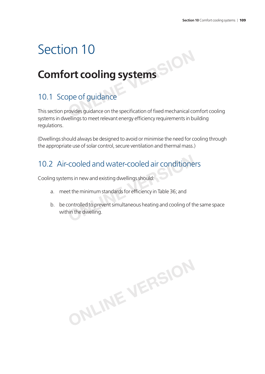## **Comfort cooling systems**

## 10.1 Scope of guidance

This section provides guidance on the specification of fixed mechanical comfort cooling systems in dwellings to meet relevant energy efficiency requirements in building regulations. **ONLITE COOLING SYSTEMS**<br> **ONLINE SYSTEMS**<br> **OPE OF GUIDANCE**<br> **Provides guidance on the specification of fixed mechanical continuons are related to be a second fixed mechanical continuo** 

(Dwellings should always be designed to avoid or minimise the need for cooling through the appropriate use of solar control, secure ventilation and thermal mass.)

## 10.2 Air-cooled and water-cooled air conditioners

Cooling systems in new and existing dwellings should:

- a. meet the minimum standards for efficiency in Table 36; and
- b. be controlled to prevent simultaneous heating and cooling of the same space within the dwelling. **COOled and Water-COOled air conditione**<br>ms in new and existing dwellings should:<br>et the minimum standards for efficiency in Table 36; and<br>controlled to prevent simultaneous heating and cooling of th<br>nin the dwelling.

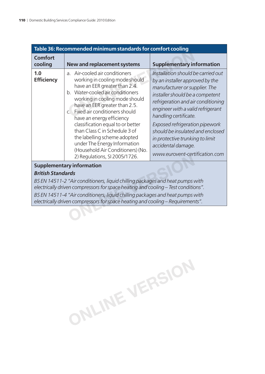| Table 36: Recommended minimum standards for comfort cooling |                                                                                                                                                                                                                                                                                                                                                                                                                                                                                                      |                                                                                                                                                                                                                                                                                                                                                                                                                |
|-------------------------------------------------------------|------------------------------------------------------------------------------------------------------------------------------------------------------------------------------------------------------------------------------------------------------------------------------------------------------------------------------------------------------------------------------------------------------------------------------------------------------------------------------------------------------|----------------------------------------------------------------------------------------------------------------------------------------------------------------------------------------------------------------------------------------------------------------------------------------------------------------------------------------------------------------------------------------------------------------|
| <b>Comfort</b><br>cooling                                   | <b>New and replacement systems</b>                                                                                                                                                                                                                                                                                                                                                                                                                                                                   | <b>Supplementary information</b>                                                                                                                                                                                                                                                                                                                                                                               |
| 1.0<br><b>Efficiency</b>                                    | a. Air-cooled air conditioners<br>working in cooling mode should<br>have an EER greater than 2.4.<br>b. Water-cooled air conditioners<br>working in cooling mode should<br>have an EER greater than 2.5.<br>Fixed air conditioners should<br>$\mathsf{C}$ .<br>have an energy efficiency<br>classification equal to or better<br>than Class C in Schedule 3 of<br>the labelling scheme adopted<br>under The Energy Information<br>(Household Air Conditioners) (No.<br>2) Regulations, SI 2005/1726. | Installation should be carried out<br>by an installer approved by the<br>manufacturer or supplier. The<br>installer should be a competent<br>refrigeration and air conditioning<br>engineer with a valid refrigerant<br>handling certificate.<br>Exposed refrigeration pipework<br>should be insulated and enclosed<br>in protective trunking to limit<br>accidental damage.<br>www.eurovent-certification.com |
| <b>Supplementary information</b>                            |                                                                                                                                                                                                                                                                                                                                                                                                                                                                                                      |                                                                                                                                                                                                                                                                                                                                                                                                                |

#### *British Standards*

*BS EN 14511-2 "Air conditioners, liquid chilling packages and heat pumps with electrically driven compressors for space heating and cooling – Test conditions". BS EN 14511-4 "Air conditioners, liquid chilling packages and heat pumps with electrically driven compressors for space heating and cooling – Requirements".* 2) Regulations, SI 2005/1726.<br> **Constrainer and System Professor and System Professor and Features of "Air conditioners, liquid chilling packages and heat pumps was nonpressors for space heating and cooling – Test conditio** 

**ONLINE VERSION**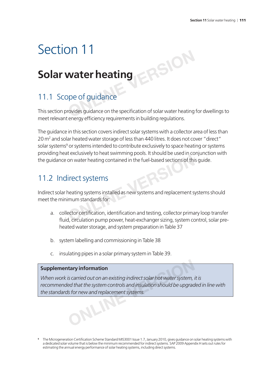## **Solar water heating**

## 11.1 Scope of guidance

This section provides guidance on the specification of solar water heating for dwellings to meet relevant energy efficiency requirements in building regulations. **Vater heating<br>
pe of guidance<br>
pe of guidance<br>
<b>Provides guidance on the specification of solar water heating** 

The guidance in this section covers indirect solar systems with a collector area of less than 20 m<sup>2</sup> and solar heated water storage of less than 440 litres. It does not cover "direct" solar systems<sup>9</sup> or systems intended to contribute exclusively to space heating or systems providing heat exclusively to heat swimming pools. It should be used in conjunction with the guidance on water heating contained in the fuel-based sections of this guide.

### 11.2 Indirect systems

Indirect solar heating systems installed as new systems and replacement systems should meet the minimum standards for: Forefastively to inducertaining polaritation and to discuss in the<br> **ON** Water heating contained in the fuel-based sections of this<br> **PECT SYSTEMS**<br>
Neating systems installed as new systems and replacement somewhat<br>
mum st

- a. collector certification, identification and testing, collector primary loop transfer fluid, circulation pump power, heat-exchanger sizing, system control, solar preheated water storage, and system preparation in Table 37
- b. system labelling and commissioning in Table 38
- c. insulating pipes in a solar primary system in Table 39.

#### **Supplementary information**

When work is carried out on an existing indirect solar hot water system, it is recommended that the system controls and insulation should be upgraded in line with *the standards for new and replacement systems.* **Example 3 Consider that the system controls and insulation should be upgraded that the system controls and insulation should be upgraded is for new and replacement systems.** 

**<sup>9</sup>** The Microgeneration Certification Scheme Standard MIS3001 Issue 1.7, January 2010, gives guidance on solar heating systems with a dedicated solar volume that is below the minimum recommended for indirect systems. SAP 2009 Appendix H sets out rules for estimating the annual energy performance of solar heating systems, including direct systems.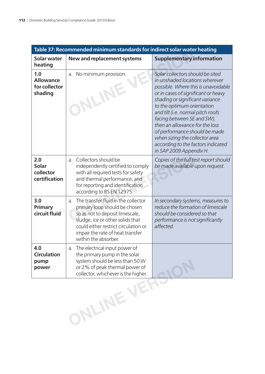| Table 37: Recommended minimum standards for indirect solar water heating |                                                                                                                                                                                                                                                       |                                                                                                                                                                                                                                                                                                                                                                                                                                                            |
|--------------------------------------------------------------------------|-------------------------------------------------------------------------------------------------------------------------------------------------------------------------------------------------------------------------------------------------------|------------------------------------------------------------------------------------------------------------------------------------------------------------------------------------------------------------------------------------------------------------------------------------------------------------------------------------------------------------------------------------------------------------------------------------------------------------|
| <b>Solar water</b><br>heating                                            | <b>New and replacement systems</b>                                                                                                                                                                                                                    | <b>Supplementary information</b>                                                                                                                                                                                                                                                                                                                                                                                                                           |
| 1.0<br><b>Allowance</b><br>for collector<br>shading                      | No minimum provision.<br>a.                                                                                                                                                                                                                           | Solar collectors should be sited<br>in unshaded locations wherever<br>possible. Where this is unavoidable<br>or in cases of significant or heavy<br>shading or significant variance<br>to the optimum orientation<br>and tilt (i.e. normal pitch roofs<br>facing between SE and SW),<br>then an allowance for the loss<br>of performance should be made<br>when sizing the collector area<br>according to the factors indicated<br>in SAP 2009 Appendix H. |
| 2.0<br>Solar<br>collector<br>certification                               | Collectors should be<br>$a_{-}$<br>independently certified to comply<br>with all required tests for safety<br>and thermal performance, and<br>for reporting and identification<br>according to BS EN 12975.                                           | Copies of the full test report should<br>be made available upon request.                                                                                                                                                                                                                                                                                                                                                                                   |
| 3.0<br><b>Primary</b><br>circuit fluid                                   | The transfer fluid in the collector<br>a.<br>primary loop should be chosen<br>so as not to deposit limescale,<br>sludge, ice or other solids that<br>could either restrict circulation or<br>impair the rate of heat transfer<br>within the absorber. | In secondary systems, measures to<br>reduce the formation of limescale<br>should be considered so that<br>performance is not significantly<br>affected.                                                                                                                                                                                                                                                                                                    |
| 4.0<br><b>Circulation</b><br>pump<br>power                               | The electrical input power of<br>a.<br>the primary pump in the solar<br>system should be less than 50 W<br>or 2% of peak thermal power of                                                                                                             |                                                                                                                                                                                                                                                                                                                                                                                                                                                            |
|                                                                          | ONLINE VERS                                                                                                                                                                                                                                           |                                                                                                                                                                                                                                                                                                                                                                                                                                                            |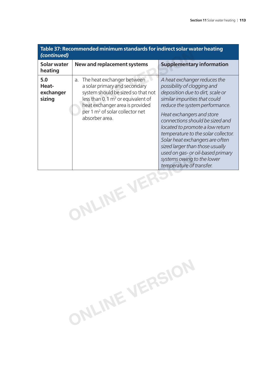| Table 37: Recommended minimum standards for indirect solar water heating<br>(continued) |                                                                                                                                                                                                                                                                |                                                                                                                                                                                                                                                                                                                                                                                                                                                                                   |
|-----------------------------------------------------------------------------------------|----------------------------------------------------------------------------------------------------------------------------------------------------------------------------------------------------------------------------------------------------------------|-----------------------------------------------------------------------------------------------------------------------------------------------------------------------------------------------------------------------------------------------------------------------------------------------------------------------------------------------------------------------------------------------------------------------------------------------------------------------------------|
| Solar water<br>heating                                                                  | New and replacement systems                                                                                                                                                                                                                                    | <b>Supplementary information</b>                                                                                                                                                                                                                                                                                                                                                                                                                                                  |
| 5.0<br>Heat-<br>exchanger<br>sizing                                                     | The heat exchanger between<br>a.<br>a solar primary and secondary<br>system should be sized so that not<br>less than $0.1 \,\mathrm{m}^2$ or equivalent of<br>heat exchanger area is provided<br>per 1 m <sup>2</sup> of solar collector net<br>absorber area. | A heat exchanger reduces the<br>possibility of clogging and<br>deposition due to dirt, scale or<br>similar impurities that could<br>reduce the system performance.<br>Heat exchangers and store<br>connections should be sized and<br>located to promote a low return<br>temperature to the solar collector.<br>Solar heat exchangers are often<br>sized larger than those usually<br>used on gas- or oil-based primary<br>systems owing to the lower<br>temperature of transfer. |
| ILINE VI                                                                                |                                                                                                                                                                                                                                                                |                                                                                                                                                                                                                                                                                                                                                                                                                                                                                   |

**ONLINE VERSION**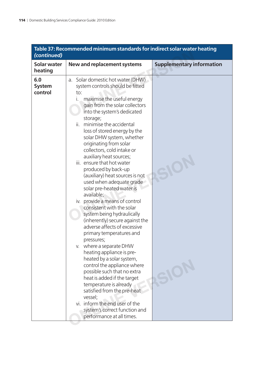| (continued)                     | Table 37: Recommended minimum standards for indirect solar water heating                                                                                                                                                                                                                                                                                                                                                                                                                                                                                                                                                                                                                                                                                                                                                                                                                                                                                                                                                                                                                                    |                                  |
|---------------------------------|-------------------------------------------------------------------------------------------------------------------------------------------------------------------------------------------------------------------------------------------------------------------------------------------------------------------------------------------------------------------------------------------------------------------------------------------------------------------------------------------------------------------------------------------------------------------------------------------------------------------------------------------------------------------------------------------------------------------------------------------------------------------------------------------------------------------------------------------------------------------------------------------------------------------------------------------------------------------------------------------------------------------------------------------------------------------------------------------------------------|----------------------------------|
| <b>Solar water</b><br>heating   | <b>New and replacement systems</b>                                                                                                                                                                                                                                                                                                                                                                                                                                                                                                                                                                                                                                                                                                                                                                                                                                                                                                                                                                                                                                                                          | <b>Supplementary information</b> |
| 6.0<br><b>System</b><br>control | a. Solar domestic hot water (DHW)<br>system controls should be fitted<br>to:<br>maximise the useful energy<br>i.<br>gain from the solar collectors<br>into the system's dedicated<br>storage;<br>ii. minimise the accidental<br>loss of stored energy by the<br>solar DHW system, whether<br>originating from solar<br>collectors, cold intake or<br>auxiliary heat sources;<br>iii. ensure that hot water<br>produced by back-up<br>(auxiliary) heat sources is not<br>used when adequate grade<br>solar pre-heated water is<br>available;<br>iv. provide a means of control<br>consistent with the solar<br>system being hydraulically<br>(inherently) secure against the<br>adverse affects of excessive<br>primary temperatures and<br>pressures;<br>v. where a separate DHW<br>heating appliance is pre-<br>heated by a solar system,<br>control the appliance where<br>possible such that no extra<br>heat is added if the target<br>temperature is already<br>satisfied from the pre-heat<br>vessel;<br>vi. inform the end user of the<br>system's correct function and<br>performance at all times. | SIO                              |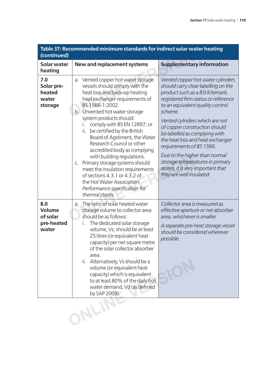| (continued)                                             | Table 37: Recommended minimum standards for indirect solar water heating                                                                                                                                                                                                                                                                                                                                                                                                                                                                                                                                                |                                                                                                                                                                                                                                                                                                                                                                                                                                                                                                            |
|---------------------------------------------------------|-------------------------------------------------------------------------------------------------------------------------------------------------------------------------------------------------------------------------------------------------------------------------------------------------------------------------------------------------------------------------------------------------------------------------------------------------------------------------------------------------------------------------------------------------------------------------------------------------------------------------|------------------------------------------------------------------------------------------------------------------------------------------------------------------------------------------------------------------------------------------------------------------------------------------------------------------------------------------------------------------------------------------------------------------------------------------------------------------------------------------------------------|
| <b>Solar water</b><br>heating                           | New and replacement systems                                                                                                                                                                                                                                                                                                                                                                                                                                                                                                                                                                                             | <b>Supplementary information</b>                                                                                                                                                                                                                                                                                                                                                                                                                                                                           |
| 7.0<br>Solar pre-<br>heated<br>water<br>storage         | Vented copper hot water storage<br>a.<br>vessels should comply with the<br>heat loss and back-up heating<br>heat exchanger requirements of<br>BS 1566-1:2002.<br>b. Unvented hot water storage<br>system products should:<br>comply with BS EN 12897; or<br>i.<br>ii. be certified by the British<br>Board of Agrément, the Water<br>Research Council or other<br>accredited body as complying<br>with building regulations.<br>c. Primary storage systems should<br>meet the insulation requirements<br>of sections 4.3.1 or 4.3.2 of<br>the Hot Water Association<br>Performance specification for<br>thermal stores. | Vented copper hot water cylinders<br>should carry clear labelling on the<br>product such as a BSI Kitemark,<br>registered firm status or reference<br>to an equivalent quality control<br>scheme.<br>Vented cylinders which are not<br>of copper construction should<br>be labelled as complying with<br>the heat loss and heat exchanger<br>requirements of BS 1566.<br>Due to the higher than normal<br>storage temperatures in primary<br>stores, it is very important that<br>they are well insulated. |
| 8.0<br><b>Volume</b><br>of solar<br>pre-heated<br>water | The ratio of solar heated water<br>a.<br>storage volume to collector area<br>should be as follows:<br>The dedicated solar storage<br>i.<br>volume, Vs, should be at least<br>25 litres (or equivalent heat<br>capacity) per net square metre<br>of the solar collector absorber<br>area.<br>ii. Alternatively, Vs should be a<br>volume (or equivalent heat<br>capacity) which is equivalent<br>to at least 80% of the daily hot<br>water demand, Vd (as defined<br>by SAP 2009).                                                                                                                                       | Collector area is measured as<br>effective aperture or net absorber<br>area, whichever is smaller.<br>A separate pre-heat storage vessel<br>should be considered wherever<br>possible.                                                                                                                                                                                                                                                                                                                     |
|                                                         | SLI                                                                                                                                                                                                                                                                                                                                                                                                                                                                                                                                                                                                                     |                                                                                                                                                                                                                                                                                                                                                                                                                                                                                                            |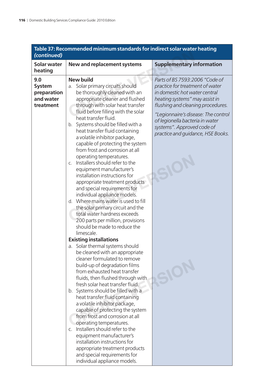| (continued)                                                   | Table 37: Recommended minimum standards for indirect solar water heating                                                                                                                                                                                                                                                                                                                                                                                                                                                                                                                                                                                                                                                                                                                                                                                                                                                                                                                                                                                                                                                                                                                                                                                                                                                                                                                                                                                                                                                                                             |                                                                                                                                                                                                                                                                                                                        |
|---------------------------------------------------------------|----------------------------------------------------------------------------------------------------------------------------------------------------------------------------------------------------------------------------------------------------------------------------------------------------------------------------------------------------------------------------------------------------------------------------------------------------------------------------------------------------------------------------------------------------------------------------------------------------------------------------------------------------------------------------------------------------------------------------------------------------------------------------------------------------------------------------------------------------------------------------------------------------------------------------------------------------------------------------------------------------------------------------------------------------------------------------------------------------------------------------------------------------------------------------------------------------------------------------------------------------------------------------------------------------------------------------------------------------------------------------------------------------------------------------------------------------------------------------------------------------------------------------------------------------------------------|------------------------------------------------------------------------------------------------------------------------------------------------------------------------------------------------------------------------------------------------------------------------------------------------------------------------|
| <b>Solar water</b><br>heating                                 | <b>New and replacement systems</b>                                                                                                                                                                                                                                                                                                                                                                                                                                                                                                                                                                                                                                                                                                                                                                                                                                                                                                                                                                                                                                                                                                                                                                                                                                                                                                                                                                                                                                                                                                                                   | <b>Supplementary information</b>                                                                                                                                                                                                                                                                                       |
| 9.0<br><b>System</b><br>preparation<br>and water<br>treatment | <b>New build</b><br>Solar primary circuits should<br>a.<br>be thoroughly cleaned with an<br>appropriate cleaner and flushed<br>through with solar heat transfer<br>fluid before filling with the solar<br>heat transfer fluid.<br>b. Systems should be filled with a<br>heat transfer fluid containing<br>a volatile inhibitor package,<br>capable of protecting the system<br>from frost and corrosion at all<br>operating temperatures.<br>Installers should refer to the<br>$\mathcal{C}$ .<br>equipment manufacturer's<br>installation instructions for<br>appropriate treatment products<br>and special requirements for<br>individual appliance models.<br>d. Where mains water is used to fill<br>the solar primary circuit and the<br>total water hardness exceeds<br>200 parts per million, provisions<br>should be made to reduce the<br>limescale.<br><b>Existing installations</b><br>a. Solar thermal systems should<br>be cleaned with an appropriate<br>cleaner formulated to remove<br>build-up of degradation films<br>from exhausted heat transfer<br>fluids, then flushed through with<br>fresh solar heat transfer fluid.<br>b. Systems should be filled with a<br>heat transfer fluid containing<br>a volatile inhibitor package,<br>capable of protecting the system<br>from frost and corrosion at all<br>operating temperatures.<br>Installers should refer to the<br>$C_{1}$<br>equipment manufacturer's<br>installation instructions for<br>appropriate treatment products<br>and special requirements for<br>individual appliance models. | Parts of BS 7593:2006 "Code of<br>practice for treatment of water<br>in domestic hot water central<br>heating systems" may assist in<br>flushing and cleaning procedures.<br>"Legionnaire's disease: The control<br>of legionella bacteria in water<br>systems". Approved code of<br>practice and quidance, HSE Books. |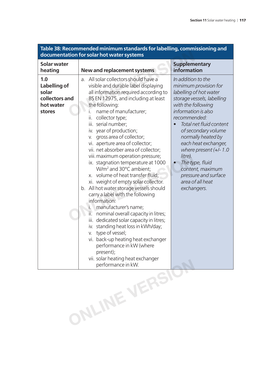| Table 38: Recommended minimum standards for labelling, commissioning and<br>documentation for solar hot water systems |                                                                                                                                                                                                                                                                                                                                                                                                                                                                                                                                                                                                                                                                                                                                                                                                                                                                                                                                                                                                                                                     |                                                                                                                                                                                                                                                                                                                                                                                                           |
|-----------------------------------------------------------------------------------------------------------------------|-----------------------------------------------------------------------------------------------------------------------------------------------------------------------------------------------------------------------------------------------------------------------------------------------------------------------------------------------------------------------------------------------------------------------------------------------------------------------------------------------------------------------------------------------------------------------------------------------------------------------------------------------------------------------------------------------------------------------------------------------------------------------------------------------------------------------------------------------------------------------------------------------------------------------------------------------------------------------------------------------------------------------------------------------------|-----------------------------------------------------------------------------------------------------------------------------------------------------------------------------------------------------------------------------------------------------------------------------------------------------------------------------------------------------------------------------------------------------------|
| <b>Solar water</b><br>heating                                                                                         | <b>New and replacement systems</b>                                                                                                                                                                                                                                                                                                                                                                                                                                                                                                                                                                                                                                                                                                                                                                                                                                                                                                                                                                                                                  | <b>Supplementary</b><br>information                                                                                                                                                                                                                                                                                                                                                                       |
| 1.0<br>Labelling of<br>solar<br>collectors and<br>hot water<br>stores                                                 | All solar collectors should have a<br>a <sub>1</sub><br>visible and durable label displaying<br>all information required according to<br>BS EN 12975, and including at least<br>the following:<br>name of manufacturer;<br>i.<br>collector type;<br>ii.<br>iii. serial number;<br>iv. year of production;<br>gross area of collector;<br>V.<br>vi. aperture area of collector;<br>vii. net absorber area of collector;<br>viii. maximum operation pressure;<br>ix. stagnation temperature at 1000<br>W/m <sup>2</sup> and 30°C ambient;<br>x. volume of heat transfer fluid;<br>xi. weight of empty solar collector.<br>b. All hot water storage vessels should<br>carry a label with the following<br>information:<br>manufacturer's name;<br>i.<br>ΪÈ<br>nominal overall capacity in litres;<br>iii. dedicated solar capacity in litres;<br>iv. standing heat loss in kWh/day;<br>type of vessel;<br>V.<br>vi. back-up heating heat exchanger<br>performance in kW (where<br>present);<br>vii. solar heating heat exchanger<br>performance in kW. | In addition to the<br>minimum provision for<br>labelling of hot water<br>storage vessels, labelling<br>with the following<br>information is also<br>recommended:<br>Total net fluid content<br>of secondary volume<br>normally heated by<br>each heat exchanger,<br>where present $(+/- 1.0$<br>litre).<br>The type, fluid<br>content, maximum<br>pressure and surface<br>area of all heat<br>exchangers. |
|                                                                                                                       | ONLINE VERSIC                                                                                                                                                                                                                                                                                                                                                                                                                                                                                                                                                                                                                                                                                                                                                                                                                                                                                                                                                                                                                                       |                                                                                                                                                                                                                                                                                                                                                                                                           |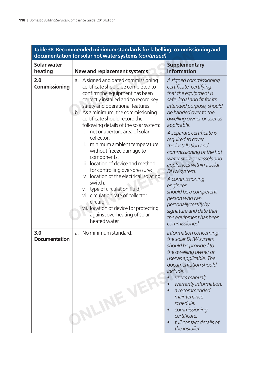| Table 38: Recommended minimum standards for labelling, commissioning and<br>documentation for solar hot water systems (continued) |                                                                                                                                                                                                                                                                                                                                                                                                                                                                                                                                                                                                                                                                                                                                                                   |                                                                                                                                                                                                                                                                                                                                                                                                                                                                                                                                                                    |
|-----------------------------------------------------------------------------------------------------------------------------------|-------------------------------------------------------------------------------------------------------------------------------------------------------------------------------------------------------------------------------------------------------------------------------------------------------------------------------------------------------------------------------------------------------------------------------------------------------------------------------------------------------------------------------------------------------------------------------------------------------------------------------------------------------------------------------------------------------------------------------------------------------------------|--------------------------------------------------------------------------------------------------------------------------------------------------------------------------------------------------------------------------------------------------------------------------------------------------------------------------------------------------------------------------------------------------------------------------------------------------------------------------------------------------------------------------------------------------------------------|
| <b>Solar water</b><br>heating                                                                                                     | New and replacement systems                                                                                                                                                                                                                                                                                                                                                                                                                                                                                                                                                                                                                                                                                                                                       | <b>Supplementary</b><br>information                                                                                                                                                                                                                                                                                                                                                                                                                                                                                                                                |
| 2.0<br>Commissioning                                                                                                              | A signed and dated commissioning<br>a.<br>certificate should be completed to<br>confirm the equipment has been<br>correctly installed and to record key<br>safety and operational features.<br>b. As a minimum, the commissioning<br>certificate should record the<br>following details of the solar system:<br>net or aperture area of solar<br>L.<br>collector;<br>minimum ambient temperature<br>ii.<br>without freeze damage to<br>components;<br>iii. location of device and method<br>for controlling over-pressure;<br>iv. location of the electrical isolating<br>switch;<br>type of circulation fluid;<br>V.<br>vi. circulation rate of collector<br>circuit;<br>vii. location of device for protecting<br>against overheating of solar<br>heated water. | A signed commissioning<br>certificate, certifying<br>that the equipment is<br>safe, legal and fit for its<br>intended purpose, should<br>be handed over to the<br>dwelling owner or user as<br>applicable.<br>A separate certificate is<br>required to cover<br>the installation and<br>commissioning of the hot<br>water storage vessels and<br>appliances within a solar<br>DHW system.<br>A commissioning<br>engineer<br>should be a competent<br>person who can<br>personally testify by<br>signature and date that<br>the equipment has been<br>commissioned. |
| 3.0<br><b>Documentation</b>                                                                                                       | No minimum standard.<br>a.<br>NLINEVE                                                                                                                                                                                                                                                                                                                                                                                                                                                                                                                                                                                                                                                                                                                             | Information concerning<br>the solar DHW system<br>should be provided to<br>the dwelling owner or<br>user as applicable. The<br>documentation should<br>include:<br>user's manual;<br>warranty information;<br>a recommended<br>maintenance<br>schedule;<br>commissioning<br>certificate;<br>full contact details of<br>the installer.                                                                                                                                                                                                                              |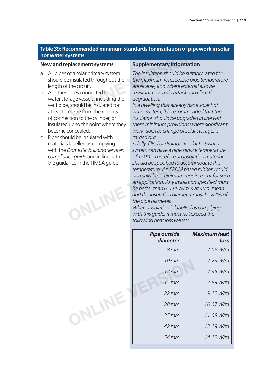| Table 39: Recommended minimum standards for insulation of pipework in solar |  |
|-----------------------------------------------------------------------------|--|
| hot water systems                                                           |  |

| hot water systems                                                                                                                                                                                                                                                                                                                                                                                                                                                                                                                                                     |                                                                                                                                                                                                                                                                                                                                                                                                                                                                                                                                                                                                                                                                                                                                                                                                                                                                                                                                                                                                                       |                             |
|-----------------------------------------------------------------------------------------------------------------------------------------------------------------------------------------------------------------------------------------------------------------------------------------------------------------------------------------------------------------------------------------------------------------------------------------------------------------------------------------------------------------------------------------------------------------------|-----------------------------------------------------------------------------------------------------------------------------------------------------------------------------------------------------------------------------------------------------------------------------------------------------------------------------------------------------------------------------------------------------------------------------------------------------------------------------------------------------------------------------------------------------------------------------------------------------------------------------------------------------------------------------------------------------------------------------------------------------------------------------------------------------------------------------------------------------------------------------------------------------------------------------------------------------------------------------------------------------------------------|-----------------------------|
| <b>New and replacement systems</b>                                                                                                                                                                                                                                                                                                                                                                                                                                                                                                                                    | <b>Supplementary information</b>                                                                                                                                                                                                                                                                                                                                                                                                                                                                                                                                                                                                                                                                                                                                                                                                                                                                                                                                                                                      |                             |
| a. All pipes of a solar primary system<br>should be insulated throughout the<br>length of the circuit.<br>b. All other pipes connected to hot<br>water storage vessels, including the<br>vent pipe, should be insulated for<br>at least 1 metre from their points<br>of connection to the cylinder, or<br>insulated up to the point where they<br>become concealed.<br>Pipes should be insulated with<br>C.<br>materials labelled as complying<br>with the Domestic building services<br>compliance guide and in line with<br>the guidance in the TIMSA guide.<br>MIN | The insulation should be suitably rated for<br>the maximum foreseeable pipe temperature<br>applicable, and where external also be<br>resistant to vermin attack and climatic<br>degradation.<br>In a dwelling that already has a solar hot<br>water system, it is recommended that the<br>insulation should be upgraded in line with<br>these minimum provisions where significant<br>work, such as change of solar storage, is<br>carried out.<br>A fully-filled or drainback solar hot water<br>system can have a pipe service temperature<br>of 150°C. Therefore an insulation material<br>should be specified to accommodate this<br>temperature. An EPDM based rubber would<br>normally be a minimum requirement for such<br>an application. Any insulation specified must<br>be better than 0.044 W/m.K at 40°C mean<br>and the insulation diameter must be 87% of<br>the pipe diameter.<br>Where insulation is labelled as complying<br>with this quide, it must not exceed the<br>following heat loss values: |                             |
|                                                                                                                                                                                                                                                                                                                                                                                                                                                                                                                                                                       | <b>Pipe outside</b><br>diameter                                                                                                                                                                                                                                                                                                                                                                                                                                                                                                                                                                                                                                                                                                                                                                                                                                                                                                                                                                                       | <b>Maximum heat</b><br>loss |
|                                                                                                                                                                                                                                                                                                                                                                                                                                                                                                                                                                       | 8 <sub>mm</sub>                                                                                                                                                                                                                                                                                                                                                                                                                                                                                                                                                                                                                                                                                                                                                                                                                                                                                                                                                                                                       | 7.06 W/m                    |
|                                                                                                                                                                                                                                                                                                                                                                                                                                                                                                                                                                       | 10 <sub>mm</sub>                                                                                                                                                                                                                                                                                                                                                                                                                                                                                                                                                                                                                                                                                                                                                                                                                                                                                                                                                                                                      | 7.23 W/m                    |
|                                                                                                                                                                                                                                                                                                                                                                                                                                                                                                                                                                       | $12 \, \text{mm}$                                                                                                                                                                                                                                                                                                                                                                                                                                                                                                                                                                                                                                                                                                                                                                                                                                                                                                                                                                                                     | 7.35 W/m                    |
|                                                                                                                                                                                                                                                                                                                                                                                                                                                                                                                                                                       | 15 <sub>mm</sub>                                                                                                                                                                                                                                                                                                                                                                                                                                                                                                                                                                                                                                                                                                                                                                                                                                                                                                                                                                                                      | 7.89 W/m                    |
|                                                                                                                                                                                                                                                                                                                                                                                                                                                                                                                                                                       | $22$ mm                                                                                                                                                                                                                                                                                                                                                                                                                                                                                                                                                                                                                                                                                                                                                                                                                                                                                                                                                                                                               | 9.12 W/m                    |
|                                                                                                                                                                                                                                                                                                                                                                                                                                                                                                                                                                       | 28 mm                                                                                                                                                                                                                                                                                                                                                                                                                                                                                                                                                                                                                                                                                                                                                                                                                                                                                                                                                                                                                 | 10.07 W/m                   |
| ONLINE                                                                                                                                                                                                                                                                                                                                                                                                                                                                                                                                                                | $35$ mm                                                                                                                                                                                                                                                                                                                                                                                                                                                                                                                                                                                                                                                                                                                                                                                                                                                                                                                                                                                                               | 11.08 W/m                   |
|                                                                                                                                                                                                                                                                                                                                                                                                                                                                                                                                                                       | 42 mm                                                                                                                                                                                                                                                                                                                                                                                                                                                                                                                                                                                                                                                                                                                                                                                                                                                                                                                                                                                                                 | 12.19 W/m                   |
|                                                                                                                                                                                                                                                                                                                                                                                                                                                                                                                                                                       | 54 mm                                                                                                                                                                                                                                                                                                                                                                                                                                                                                                                                                                                                                                                                                                                                                                                                                                                                                                                                                                                                                 | 14.12 W/m                   |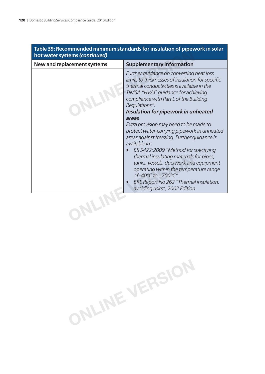| Table 39: Recommended minimum standards for insulation of pipework in solar<br>hot water systems (continued) |                                                                                                                                                                                                                                                                                                                                                                                                                                                      |  |
|--------------------------------------------------------------------------------------------------------------|------------------------------------------------------------------------------------------------------------------------------------------------------------------------------------------------------------------------------------------------------------------------------------------------------------------------------------------------------------------------------------------------------------------------------------------------------|--|
| New and replacement systems                                                                                  | <b>Supplementary information</b>                                                                                                                                                                                                                                                                                                                                                                                                                     |  |
|                                                                                                              | Further quidance on converting heat loss<br>limits to thicknesses of insulation for specific<br>thermal conductivities is available in the<br>TIMSA "HVAC guidance for achieving<br>compliance with Part L of the Building<br>Regulations".<br>Insulation for pipework in unheated<br>areas                                                                                                                                                          |  |
|                                                                                                              | Extra provision may need to be made to<br>protect water-carrying pipework in unheated<br>areas against freezing. Further quidance is<br>available in:<br>BS 5422:2009 "Method for specifying<br>thermal insulating materials for pipes,<br>tanks, vessels, ductwork and equipment<br>operating within the temperature range<br>of- $40^{\circ}$ C to +700 $^{\circ}$ C".<br>BRE Report No 262 "Thermal insulation:<br>avoiding risks", 2002 Edition. |  |
|                                                                                                              |                                                                                                                                                                                                                                                                                                                                                                                                                                                      |  |

**ONLINE VERSION**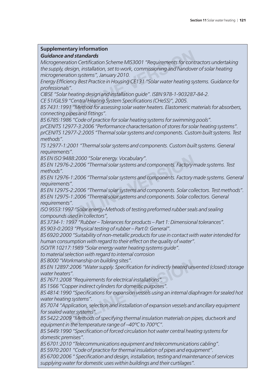#### **Supplementary information**

#### *Guidance and standards*

*Microgeneration Certification Scheme MIS3001 "Requirements for contractors undertaking the supply, design, installation, set to work, commissioning and handover of solar heating microgeneration systems", January 2010.* **nd standards**<br> **nd standards**<br>
ation Certification Scheme MIS3001 "Requirements for cont<br>
lesign, installation, set to work, commissioning and handove<br>
tion systems", January 2010.<br>
ency Best Practice in Housing CE131 "So

*Energy Effi ciency Best Practice in Housing CE131 "Solar water heating systems. Guidance for professionals".*

*CIBSE "Solar heating design and installation guide". ISBN 978-1-903287-84-2.*

*CE 51/GIL59 "Central Heating System Specifi cations (CHeSS)", 2005.*

*BS 7431:1991 "Method for assessing solar water heaters. Elastomeric materials for absorbers, connecting pipes and fi ttings".*

*BS 6785:1986 "Code of practice for solar heating systems for swimming pools".*

*prCEN/TS 12977-3:2006 "Performance characterisation of stores for solar heating systems". prCEN/TS 12977-2:2005 "Thermal solar systems and components. Custom built systems. Test methods".*

*TS 12977-1:2001 "Thermal solar systems and components. Custom built systems. General requirements".*

*BS EN ISO 9488:2000 "Solar energy. Vocabulary".*

*BS EN 12976-2:2006 "Thermal solar systems and components. Factory made systems. Test methods".*

*BS EN 12976-1:2006 "Thermal solar systems and components. Factory made systems. General requirements".*

*BS EN 12975-2:2006 "Thermal solar systems and components. Solar collectors. Test methods". BS EN 12975-1:2006 "Thermal solar systems and components. Solar collectors. General requirements".* 188:2000 "Solar energy. Vocabulary".<br>-2:2006 "Thermal solar systems and components. Factory r<br>-1:2006 "Thermal solar systems and components. Factory r<br>-3:2006 "Thermal solar systems and components. Solar col<br>-1:2006 "Therm

*ISO 9553:1997 "Solar energy-Methods of testing preformed rubber seals and sealing compounds used in collectors",*

*BS 3734-1: 1997 "Rubber – Tolerances for products – Part 1: Dimensional tolerances".*

*BS 903-0:2003 "Physical testing of rubber – Part 0: General".*

*BS 6920:2000 "Suitability of non-metallic products for use in contact with water intended for human consumption with regard to their effect on the quality of water".*

*ISO/TR 10217:1989 "Solar energy water heating systems guide".*

*to material selection with regard to internal corrosion*

*BS 8000 "Workmanship on building sites".*

BS EN 12897:2006 "Water supply. Specification for indirectly heated unvented (closed) storage *water heaters".* orkmanship on building sites".<br>7:2006 "Water supply. Specification for indirectly heated units".<br>78 "Requirements for electrical installations".<br>78 "Requirements for electrical installations".<br>79 "Specifications for expans

*BS 7671:2008 "Requirements for electrical installations".*

*BS 1566 "Copper indirect cylinders for domestic purposes".*

*BS 4814:1990 "Specifi cations for expansion vessels using an internal diaphragm for sealed hot water heating systems".*

*BS 7074 "Application, selection and installation of expansion vessels and ancillary equipment for sealed water systems".*

*BS 5422:2009 "Methods of specifying thermal insulation materials on pipes, ductwork and equipment in the temperature range of –40ºC to 700ºC".*

*BS 5449:1990 "Specifi cation of forced circulation hot water central heating systems for domestic premises".*

*BS 6701:2010 "Telecommunications equipment and telecommunications cabling".*

*BS 5970:2001 "Code of practice for thermal insulation of pipes and equipment".*

*BS 6700:2006 " Specifi cation and design, installation, testing and maintenance of services supplying water for domestic uses within buildings and their curtilages".*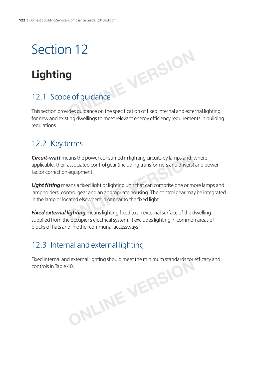## **Lighting**

## 12.1 Scope of guidance

This section provides guidance on the specification of fixed internal and external lighting for new and existing dwellings to meet relevant energy efficiency requirements in building regulations. **ONLINE**<br> **ONLINE AND SOLUTION**<br> **EXPLANER AND SOLUTION**<br> **POSITION**<br> **POSITION**<br> **POSITION**<br> **POSITION**<br> **POSITION** 

### 12.2 Key terms

*Circuit-watt* means the power consumed in lighting circuits by lamps and, where applicable, their associated control gear (including transformers and drivers) and power factor correction equipment. Proven consumed in lighting circuits by lamps and, vassociated control gear (including transformers and drivers)<br>equipment.<br>Proven and a appropriate housing. The control gear may<br>ated elsewhere in or near to the fixed ligh

**Light fitting** means a fixed light or lighting unit that can comprise one or more lamps and lampholders, control gear and an appropriate housing. The control gear may be integrated in the lamp or located elsewhere in or near to the fixed light.

**Fixed external lighting** means lighting fixed to an external surface of the dwelling supplied from the occupier's electrical system. It excludes lighting in common areas of blocks of flats and in other communal accessways.

## 12.3 Internal and external lighting

Fixed internal and external lighting should meet the minimum standards for efficacy and controls in Table 40. **ONLINE VERSION**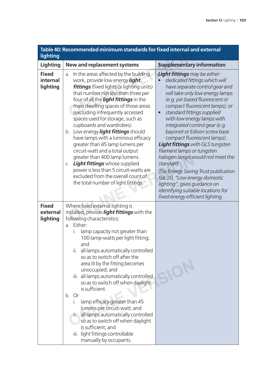| Table 40: Recommended minimum standards for fixed internal and external<br>lighting |                                                                                                                                                                                                                                                                                                                                                                                                                                                                                                                                                                                                                                                                                                                      |                                                                                                                                                                                                                                                                                                                                                                                                                                                                                                                                                                                                                                                                                             |
|-------------------------------------------------------------------------------------|----------------------------------------------------------------------------------------------------------------------------------------------------------------------------------------------------------------------------------------------------------------------------------------------------------------------------------------------------------------------------------------------------------------------------------------------------------------------------------------------------------------------------------------------------------------------------------------------------------------------------------------------------------------------------------------------------------------------|---------------------------------------------------------------------------------------------------------------------------------------------------------------------------------------------------------------------------------------------------------------------------------------------------------------------------------------------------------------------------------------------------------------------------------------------------------------------------------------------------------------------------------------------------------------------------------------------------------------------------------------------------------------------------------------------|
| Lighting                                                                            | New and replacement systems                                                                                                                                                                                                                                                                                                                                                                                                                                                                                                                                                                                                                                                                                          | <b>Supplementary information</b>                                                                                                                                                                                                                                                                                                                                                                                                                                                                                                                                                                                                                                                            |
| <b>Fixed</b><br>internal<br>lighting                                                | In the areas affected by the building<br>a.<br>work, provide low energy light<br><b>fittings</b> (fixed lights or lighting units)<br>that number not less than three per<br>four of all the <b>light fittings</b> in the<br>main dwelling spaces of those areas<br>(excluding infrequently accessed<br>spaces used for storage, such as<br>cupboards and wardrobes).<br>b. Low energy light fittings should<br>have lamps with a luminous efficacy<br>greater than 45 lamp lumens per<br>circuit-watt and a total output<br>greater than 400 lamp lumens.<br>c. Light fittings whose supplied<br>power is less than 5 circuit-watts are<br>excluded from the overall count of<br>the total number of light fittings. | Light fittings may be either:<br>dedicated fittings which will<br>have separate control gear and<br>will take only low energy lamps<br>(e.g. pin based fluorescent or<br>compact fluorescent lamps); or<br>standard fittings supplied<br>$\bullet$<br>with low energy lamps with<br>integrated control gear (e.g.<br>bayonet or Edison screw base<br>compact fluorescent lamps).<br><b>Light fittings</b> with GLS tungsten<br>filament lamps or tungsten<br>halogen lamps would not meet the<br>standard.<br>The Energy Saving Trust publication<br>GIL 20, "Low energy domestic<br>lighting", gives guidance on<br>identifying suitable locations for<br>fixed energy efficient lighting. |
| <b>Fixed</b><br>external<br>lighting                                                | Where fixed external lighting is<br>installed, provide <i>light fittings</i> with the<br>following characteristics:<br>a. Either:<br>lamp capacity not greater than<br>İ.<br>100 lamp-watts per light fitting;<br>and<br>all lamps automatically controlled<br>ii.<br>so as to switch off after the<br>area lit by the fitting becomes<br>unoccupied; and<br>iii. all lamps automatically controlled<br>so as to switch off when daylight<br>is sufficient.<br>b. Or<br>lamp efficacy greater than 45<br>Τ.<br>lumens per circuit-watt; and<br>ii. all lamps automatically controlled<br>so as to switch off when daylight<br>is sufficient; and<br>iii. light fittings controllable<br>manually by occupants.       |                                                                                                                                                                                                                                                                                                                                                                                                                                                                                                                                                                                                                                                                                             |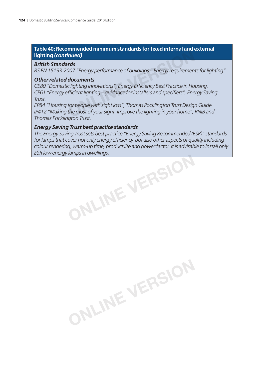#### **Table 40: Recommended minimum standards for fi xed internal and external lighting** *(continued)*

#### *British Standards*

*BS EN 15193:2007 "Energy performance of buildings – Energy requirements for lighting".*

#### *Other related documents*

CE80 "Domestic lighting innovations", Energy Efficiency Best Practice in Housing. *CE61 "Energy efficient lighting – guidance for installers and specifiers", Energy Saving Trust.* **ONLINE VERSION**

*EP84 "Housing for people with sight loss", Thomas Pocklington Trust Design Guide. IP412 "Making the most of your sight: Improve the lighting in your home", RNIB and Thomas Pocklington Trust.*

#### *Energy Saving Trust best practice standards*

*The Energy Saving Trust sets best practice "Energy Saving Recommended (ESR)" standards*  for lamps that cover not only energy efficiency, but also other aspects of quality including *colour rendering, warm-up time, product life and power factor. It is advisable to install only ESR low energy lamps in dwellings.*

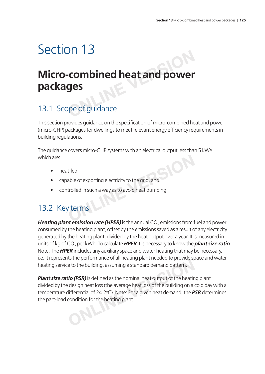# **Micro-combined heat and power packages Combined heat and power**<br>**ges**<br>peof guidance

## 13.1 Scope of guidance

This section provides guidance on the specification of micro-combined heat and power (micro-CHP) packages for dwellings to meet relevant energy efficiency requirements in building regulations.

The guidance covers micro-CHP systems with an electrical output less than 5 kWe which are: **Example 1**<br> **Example 10**<br> **EXERCISE 10**<br> **EXERCISE 20**<br> **EXERCISE 20**<br> **PERCISE 20**<br> **PERCISE 20**<br> **PERCISE 20**<br> **PERCISE 20**<br> **PERCISE 20**<br> **PERCISE 20**<br> **PERCISE 20**<br> **PERCISE 20**<br> **PERCISE 20**<br> **PERCISE 20**<br> **PERCISE 2** 

- heat-led
- capable of exporting electricity to the grid, and
- controlled in such a way as to avoid heat dumping.

### 13.2 Key terms

*Heating plant emission rate (HPER)* is the annual CO<sub>2</sub> emissions from fuel and power consumed by the heating plant, offset by the emissions saved as a result of any electricity generated by the heating plant, divided by the heat output over a year. It is measured in units of kg of CO<sub>2</sub> per kWh. To calculate **HPER** it is necessary to know the **plant size ratio**. Note: The *HPER* includes any auxiliary space and water heating that may be necessary, i.e. it represents the performance of all heating plant needed to provide space and water heating service to the building, assuming a standard demand pattern.

**Plant size ratio (PSR)** is defined as the nominal heat output of the heating plant divided by the design heat loss (the average heat loss of the building on a cold day with a temperature differential of 24.2°C). Note: For a given heat demand, the **PSR** determines the part-load condition for the heating plant. **Example 10 and particular conducts of an including, assuming a standard demand pattern.<br>
<b>CONCITY** is defined as the nominal heat output of the heating energies in the distribution of 24.2°C). Note: For a given heat deman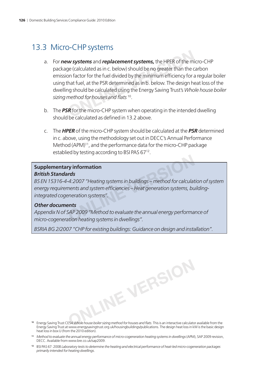### 13.3 Micro-CHP systems

- a. For *new systems* and *replacement systems,* the HPER of the micro-CHP package (calculated as in c. below) should be no greater than the carbon emission factor for the fuel divided by the minimum efficiency for a regular boiler using that fuel, at the PSR determined as in b. below. The design heat loss of the dwelling should be calculated using the Energy Saving Trust's *Whole house boiler*  sizing method for houses and flats<sup>10</sup>. **w systems** and **replacement systems**, the HPER of the mige (calculated as in c. below) should be no greater than the con factor for the fuel divided by the minimum efficiency for a hat fuel, at the PSR determined as in b.
- b. The *PSR* for the micro-CHP system when operating in the intended dwelling should be calculated as defined in 13.2 above.
- c. The *HPER* of the micro-CHP system should be calculated at the *PSR* determined in c. above, using the methodology set out in DECC's Annual Performance Method (APM)<sup>11</sup>, and the performance data for the micro-CHP package establied by testing according to BSI PAS 67<sup>12</sup>.

#### **Supplementary information** *British Standards*

*BS EN 15316-4-4:2007 "Heating systems in buildings – method for calculation of system*  energy requirements and system efficiencies – Heat generation systems, building*integrated cogeneration systems".* **Properties Argumes Serverse Serverse Serverse Serverse Serverse Serverse Alternation systems in buildings – method for calculat<br>
Alternation systems efficiencies – Heat generation systems, but<br>
<b>Properties SAP 2009** "Meth

#### *Other documents*

*Appendix N of SAP 2009 "Method to evaluate the annual energy performance of micro-cogeneration heating systems in dwellings".*

*BSRIA BG 2/2007 "CHP for existing buildings: Guidance on design and installation".*

- <sup>10</sup> Energy Saving Trust CE54 Whole house boiler sizing method for houses and flats. This is an interactive calculator available from the Energy Saving Trust at www.energysavingtrust.org.uk/housingbuildings/publications. The design heat loss in kW is the basic design heat loss in box U (from the 2010 edition). **ONLINE VERSION**
- **<sup>11</sup>** *Method to evaluate the annual energy performance of micro-cogeneration heating systems in dwellings* (APM), SAP 2009 revision, DECC. Available from www.bre.co.uk/sap2009.
- **<sup>12</sup>** BSI PAS 67: 2008 *Laboratory tests to determine the heating and electrical performance of heat-led micro-cogeneration packages primarily intended for heating dwellings*.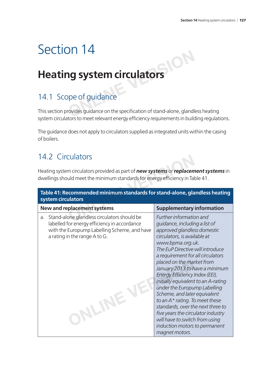## **Heating system circulators**

## 14.1 Scope of guidance

This section provides guidance on the specification of stand-alone, glandless heating system circulators to meet relevant energy efficiency requirements in building regulations. **ONLINER STREM CITCULATORS**<br> **ONLINE STREM CITCULATORS**<br>
ppe of guidance on the specification of stand-alone, gland<br>
tents meet relevant account of stand-alone, gland

The guidance does not apply to circulators supplied as integrated units within the casing of boilers.

## 14.2 Circulators

| 14.2 Circulators                                                                                                                                                                            |                                                                                                                                                                                                                                                                                                                                                                                                                                                                                                                                                                                                                                   |  |  |
|---------------------------------------------------------------------------------------------------------------------------------------------------------------------------------------------|-----------------------------------------------------------------------------------------------------------------------------------------------------------------------------------------------------------------------------------------------------------------------------------------------------------------------------------------------------------------------------------------------------------------------------------------------------------------------------------------------------------------------------------------------------------------------------------------------------------------------------------|--|--|
| Heating system circulators provided as part of new systems or replacement systems in<br>dwellings should meet the minimum standards for energy efficiency in Table 41.                      |                                                                                                                                                                                                                                                                                                                                                                                                                                                                                                                                                                                                                                   |  |  |
| Table 41: Recommended minimum standards for stand-alone, glandless heating<br>system circulators                                                                                            |                                                                                                                                                                                                                                                                                                                                                                                                                                                                                                                                                                                                                                   |  |  |
| <b>New and replacement systems</b>                                                                                                                                                          | <b>Supplementary information</b>                                                                                                                                                                                                                                                                                                                                                                                                                                                                                                                                                                                                  |  |  |
| Stand-alone glandless circulators should be<br>a.<br>labelled for energy efficiency in accordance<br>with the Europump Labelling Scheme, and have<br>a rating in the range A to G.<br>NLINE | Further information and<br>guidance, including a list of<br>approved glandless domestic<br>circulators, is available at<br>www.bpma.org.uk.<br>The EuP Directive will introduce<br>a requirement for all circulators<br>placed on the market from<br>January 2013 to have a minimum<br>Energy Efficiency Index (EEI),<br>initially equivalent to an A-rating<br>under the Europump Labelling<br>Scheme, and later equivalent<br>to an $A^*$ rating. To meet these<br>standards, over the next three to<br>five years the circulator industry<br>will have to switch from using<br>induction motors to permanent<br>magnet motors. |  |  |